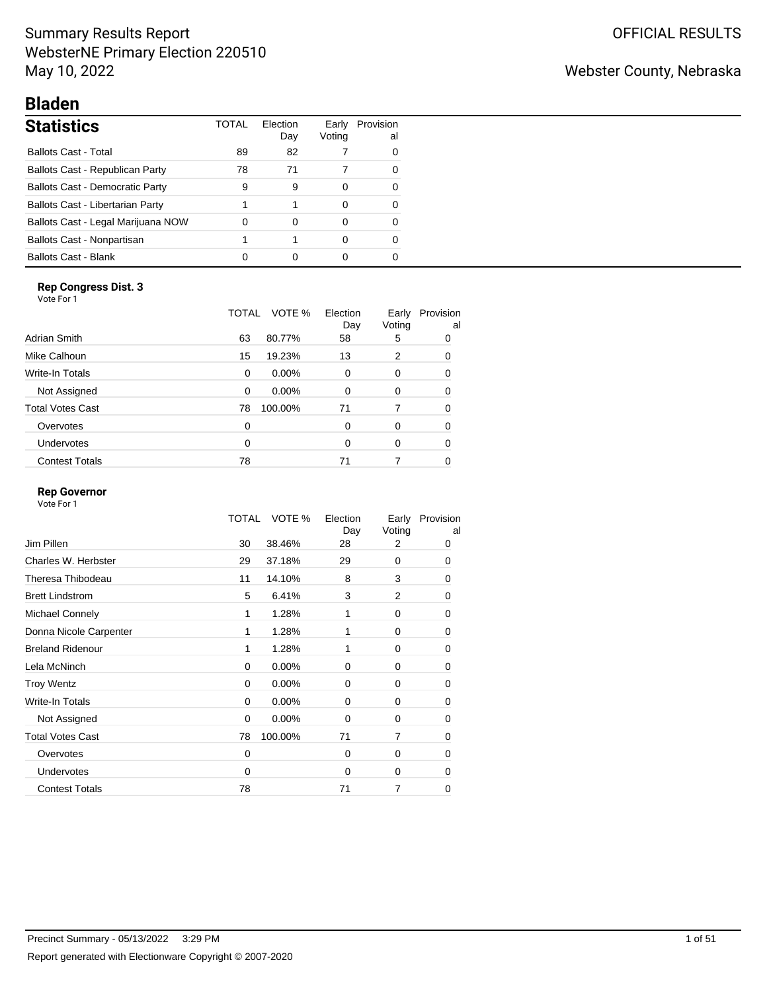# Summary Results Report WebsterNE Primary Election 220510 May 10, 2022

# Webster County, Nebraska

| <b>Statistics</b>                      | TOTAL | Flection<br>Day | Earlv<br>Voting | Provision<br>al |
|----------------------------------------|-------|-----------------|-----------------|-----------------|
| <b>Ballots Cast - Total</b>            | 89    | 82              |                 | 0               |
| Ballots Cast - Republican Party        | 78    | 71              |                 | 0               |
| <b>Ballots Cast - Democratic Party</b> | 9     | 9               | O               | 0               |
| Ballots Cast - Libertarian Party       |       |                 | 0               | 0               |
| Ballots Cast - Legal Marijuana NOW     | O     | 0               | 0               | 0               |
| Ballots Cast - Nonpartisan             |       |                 | $\Omega$        | ∩               |
| <b>Ballots Cast - Blank</b>            |       |                 | 0               | 0               |

## **Rep Congress Dist. 3**

| Vote For 1              |       |          |                 |                 |                 |
|-------------------------|-------|----------|-----------------|-----------------|-----------------|
|                         | TOTAL | VOTE %   | Election<br>Day | Early<br>Voting | Provision<br>al |
| Adrian Smith            | 63    | 80.77%   | 58              | 5               | 0               |
| Mike Calhoun            | 15    | 19.23%   | 13              | 2               | 0               |
| Write-In Totals         | 0     | $0.00\%$ | 0               | 0               | 0               |
| Not Assigned            | 0     | $0.00\%$ | $\Omega$        | 0               | 0               |
| <b>Total Votes Cast</b> | 78    | 100.00%  | 71              | 7               | 0               |
| Overvotes               | 0     |          | 0               | 0               | 0               |
| Undervotes              | 0     |          | 0               | 0               | 0               |
| <b>Contest Totals</b>   | 78    |          | 71              | 7               | 0               |

### **Rep Governor**

|                         | TOTAL       | VOTE %   | Election<br>Day | Early<br>Voting | Provision<br>al |
|-------------------------|-------------|----------|-----------------|-----------------|-----------------|
| Jim Pillen              | 30          | 38.46%   | 28              | 2               | 0               |
| Charles W. Herbster     | 29          | 37.18%   | 29              | $\mathbf 0$     | 0               |
| Theresa Thibodeau       | 11          | 14.10%   | 8               | 3               | 0               |
| <b>Brett Lindstrom</b>  | 5           | 6.41%    | 3               | $\overline{2}$  | 0               |
| Michael Connely         | 1           | 1.28%    | 1               | 0               | 0               |
| Donna Nicole Carpenter  | 1           | 1.28%    | 1               | 0               | 0               |
| <b>Breland Ridenour</b> | 1           | 1.28%    | 1               | 0               | 0               |
| Lela McNinch            | $\Omega$    | $0.00\%$ | $\Omega$        | 0               | 0               |
| <b>Troy Wentz</b>       | 0           | 0.00%    | $\Omega$        | 0               | 0               |
| Write-In Totals         | 0           | 0.00%    | 0               | 0               | 0               |
| Not Assigned            | 0           | 0.00%    | $\Omega$        | 0               | $\mathbf 0$     |
| <b>Total Votes Cast</b> | 78          | 100.00%  | 71              | 7               | 0               |
| Overvotes               | $\mathbf 0$ |          | 0               | $\mathbf 0$     | 0               |
| Undervotes              | 0           |          | $\Omega$        | 0               | 0               |
| <b>Contest Totals</b>   | 78          |          | 71              | 7               | 0               |
|                         |             |          |                 |                 |                 |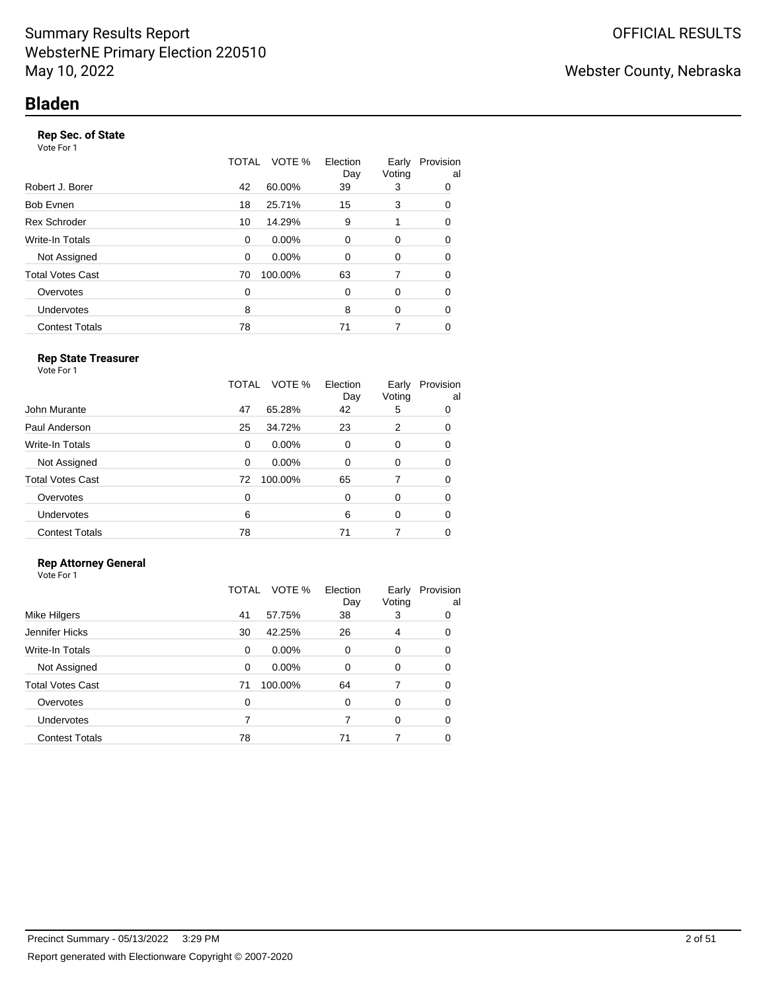## **Rep Sec. of State**

Vote For 1

|                       | TOTAL | VOTE %   | Election<br>Day | Early<br>Voting | Provision<br>al |
|-----------------------|-------|----------|-----------------|-----------------|-----------------|
| Robert J. Borer       | 42    | 60.00%   | 39              | 3               | 0               |
| Bob Evnen             | 18    | 25.71%   | 15              | 3               | 0               |
| <b>Rex Schroder</b>   | 10    | 14.29%   | 9               | 1               | 0               |
| Write-In Totals       | 0     | $0.00\%$ | $\Omega$        | 0               | 0               |
| Not Assigned          | 0     | $0.00\%$ | $\Omega$        | 0               | 0               |
| Total Votes Cast      | 70    | 100.00%  | 63              | 7               | 0               |
| Overvotes             | 0     |          | $\Omega$        | 0               | 0               |
| Undervotes            | 8     |          | 8               | 0               | 0               |
| <b>Contest Totals</b> | 78    |          | 71              | 7               | 0               |

#### **Rep State Treasurer** Vote For 1

|                         | TOTAL | VOTE %   | Election<br>Day | Early<br>Voting | Provision<br>al |
|-------------------------|-------|----------|-----------------|-----------------|-----------------|
| John Murante            | 47    | 65.28%   | 42              | 5               | 0               |
| Paul Anderson           | 25    | 34.72%   | 23              | 2               | 0               |
| Write-In Totals         | 0     | $0.00\%$ | 0               | 0               | 0               |
| Not Assigned            | 0     | $0.00\%$ | 0               | 0               | 0               |
| <b>Total Votes Cast</b> | 72    | 100.00%  | 65              | 7               | 0               |
| Overvotes               | 0     |          | 0               | 0               | 0               |
| Undervotes              | 6     |          | 6               | 0               | 0               |
| <b>Contest Totals</b>   | 78    |          | 71              | 7               |                 |

## **Rep Attorney General**

| <b>Rep Attorney General</b><br>Vote For 1 |              |          |                 |                 |                 |
|-------------------------------------------|--------------|----------|-----------------|-----------------|-----------------|
|                                           | <b>TOTAL</b> | VOTE %   | Election<br>Day | Early<br>Voting | Provision<br>al |
| Mike Hilgers                              | 41           | 57.75%   | 38              | 3               | 0               |
| Jennifer Hicks                            | 30           | 42.25%   | 26              | 4               | 0               |
| Write-In Totals                           | 0            | $0.00\%$ | 0               | 0               | 0               |
| Not Assigned                              | 0            | $0.00\%$ | 0               | 0               | 0               |
| <b>Total Votes Cast</b>                   | 71           | 100.00%  | 64              | 7               | 0               |
| Overvotes                                 | 0            |          | 0               | 0               | 0               |
| Undervotes                                |              |          |                 | 0               | 0               |

Contest Totals 78 71 7 0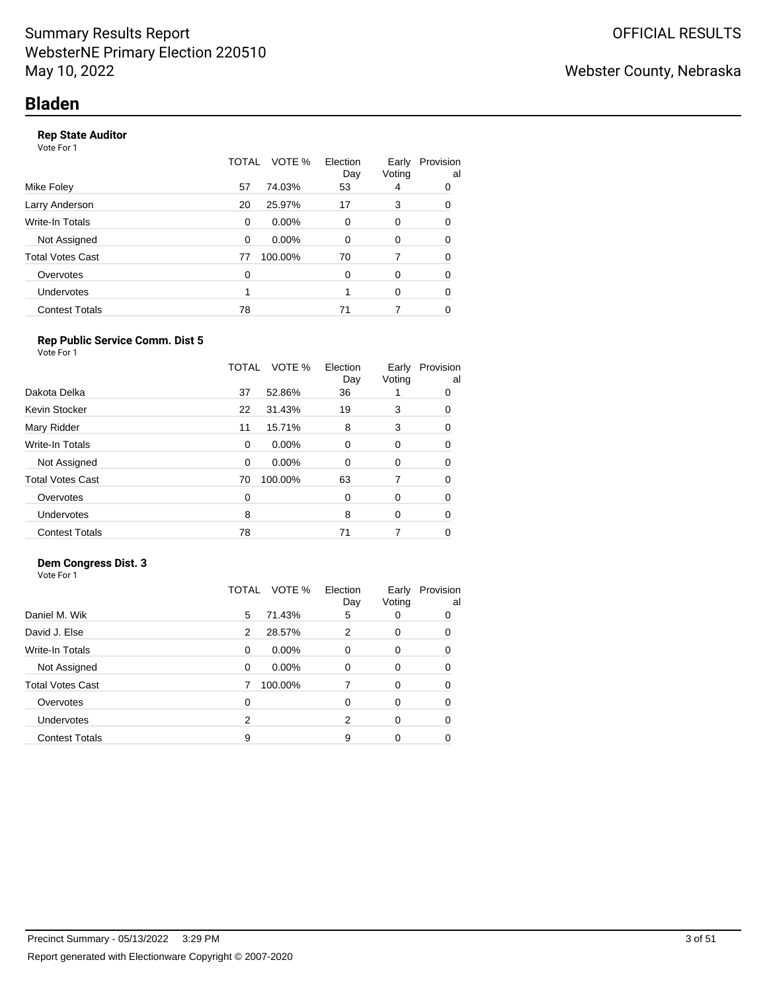## **Rep State Auditor**

Vote For 1

|                       | TOTAL         | VOTE %<br>Election<br>Day | Early<br>Voting | Provision<br>al |
|-----------------------|---------------|---------------------------|-----------------|-----------------|
| Mike Foley            | 57            | 74.03%<br>53              | 4               | 0               |
| Larry Anderson        | 20            | 25.97%<br>17              | 3               | 0               |
| Write-In Totals       | 0             | $0.00\%$<br>$\Omega$      | 0               | 0               |
| Not Assigned          | 0             | $0.00\%$<br>$\Omega$      | 0               | 0               |
| Total Votes Cast      | 100.00%<br>77 | 70                        |                 | 0               |
| Overvotes             | 0             | $\Omega$                  | 0               | 0               |
| Undervotes            |               |                           | 0               | 0               |
| <b>Contest Totals</b> | 78            | 71                        |                 | 0               |
|                       |               |                           |                 |                 |

### **Rep Public Service Comm. Dist 5**

|                         | TOTAL | VOTE %   | Election<br>Day | Early<br>Voting | Provision<br>al |
|-------------------------|-------|----------|-----------------|-----------------|-----------------|
| Dakota Delka            | 37    | 52.86%   | 36              |                 | 0               |
| Kevin Stocker           | 22    | 31.43%   | 19              | 3               | 0               |
| Mary Ridder             | 11    | 15.71%   | 8               | 3               | 0               |
| <b>Write-In Totals</b>  | 0     | $0.00\%$ | 0               | $\Omega$        | 0               |
| Not Assigned            | 0     | $0.00\%$ | 0               | 0               | 0               |
| <b>Total Votes Cast</b> | 70    | 100.00%  | 63              | 7               | 0               |
| Overvotes               | 0     |          | 0               | 0               | 0               |
| Undervotes              | 8     |          | 8               | $\Omega$        | 0               |
| <b>Contest Totals</b>   | 78    |          | 71              | 7               |                 |

## **Dem Congress Dist. 3**

|                         | VOTE %<br>TOTAL | Election<br>Day | Early<br>Voting | Provision<br>al |
|-------------------------|-----------------|-----------------|-----------------|-----------------|
| Daniel M. Wik           | 71.43%<br>5     | 5               | 0               | 0               |
| David J. Else           | 28.57%<br>2     | 2               | $\Omega$        | 0               |
| Write-In Totals         | $0.00\%$<br>0   | 0               | $\Omega$        | 0               |
| Not Assigned            | $0.00\%$<br>0   | 0               | 0               | 0               |
| <b>Total Votes Cast</b> | 100.00%         | 7               | $\Omega$        | 0               |
| Overvotes               | 0               | 0               | $\Omega$        | 0               |
| Undervotes              | 2               | $\overline{2}$  | $\Omega$        | 0               |
| <b>Contest Totals</b>   | 9               | 9               | $\Omega$        | 0               |
|                         |                 |                 |                 |                 |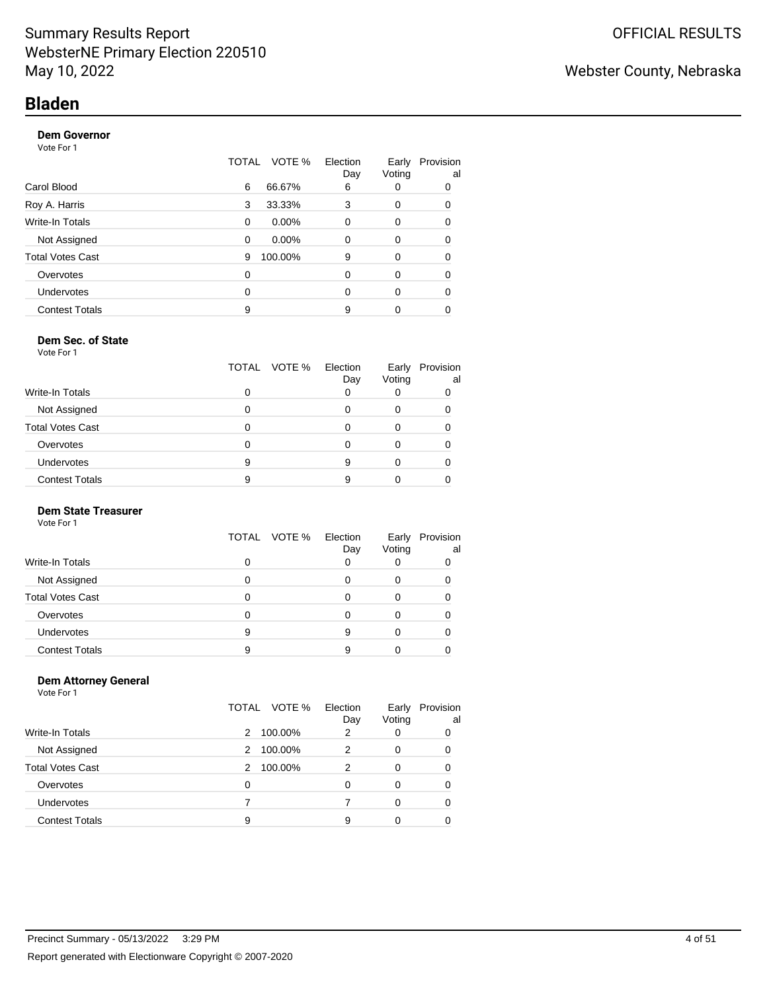### **Dem Governor**

Vote For 1

|                         | TOTAL | VOTE %   | Election<br>Day | Early<br>Voting | Provision<br>al |
|-------------------------|-------|----------|-----------------|-----------------|-----------------|
| Carol Blood             | 6     | 66.67%   | 6               | 0               | 0               |
| Roy A. Harris           | 3     | 33.33%   | 3               | 0               | 0               |
| Write-In Totals         | 0     | $0.00\%$ | 0               | 0               | 0               |
| Not Assigned            | 0     | $0.00\%$ | 0               | $\Omega$        | 0               |
| <b>Total Votes Cast</b> | 9     | 100.00%  | 9               | $\Omega$        | 0               |
| Overvotes               | 0     |          | $\Omega$        | 0               | 0               |
| Undervotes              | 0     |          | $\Omega$        | $\Omega$        | 0               |
| <b>Contest Totals</b>   | 9     |          | 9               |                 | 0               |

#### **Dem Sec. of State** Vote For 1

|                         |   | TOTAL VOTE % | Election<br>Day | Early<br>Voting | Provision<br>al |
|-------------------------|---|--------------|-----------------|-----------------|-----------------|
| <b>Write-In Totals</b>  |   |              |                 |                 |                 |
| Not Assigned            |   |              |                 | O               |                 |
| <b>Total Votes Cast</b> |   |              | 0               | 0               |                 |
| Overvotes               |   |              |                 | O               |                 |
| Undervotes              | 9 |              | 9               | O               |                 |
| <b>Contest Totals</b>   | 9 |              | 9               |                 |                 |

## **Dem State Treasurer**

Vote For 1

|                         |   | TOTAL VOTE % | Election<br>Day | Early<br>Voting | Provision<br>al |
|-------------------------|---|--------------|-----------------|-----------------|-----------------|
| <b>Write-In Totals</b>  | 0 |              | 0               |                 |                 |
| Not Assigned            | 0 |              | U               |                 |                 |
| <b>Total Votes Cast</b> | O |              | O               |                 |                 |
| Overvotes               | 0 |              |                 |                 |                 |
| <b>Undervotes</b>       | 9 |              | 9               |                 |                 |
| <b>Contest Totals</b>   | 9 |              | 9               |                 |                 |

#### **Dem Attorney General** Vote For 1

|                         |   | TOTAL VOTE % | Election<br>Day | Early<br>Voting | Provision<br>al |
|-------------------------|---|--------------|-----------------|-----------------|-----------------|
| Write-In Totals         | 2 | 100.00%      | 2               |                 | 0               |
| Not Assigned            | 2 | 100.00%      | 2               | 0               | O               |
| <b>Total Votes Cast</b> | 2 | 100.00%      | 2               | $\Omega$        |                 |
| Overvotes               | 0 |              | 0               | 0               |                 |
| Undervotes              |   |              |                 | 0               |                 |
| <b>Contest Totals</b>   | 9 |              | 9               |                 |                 |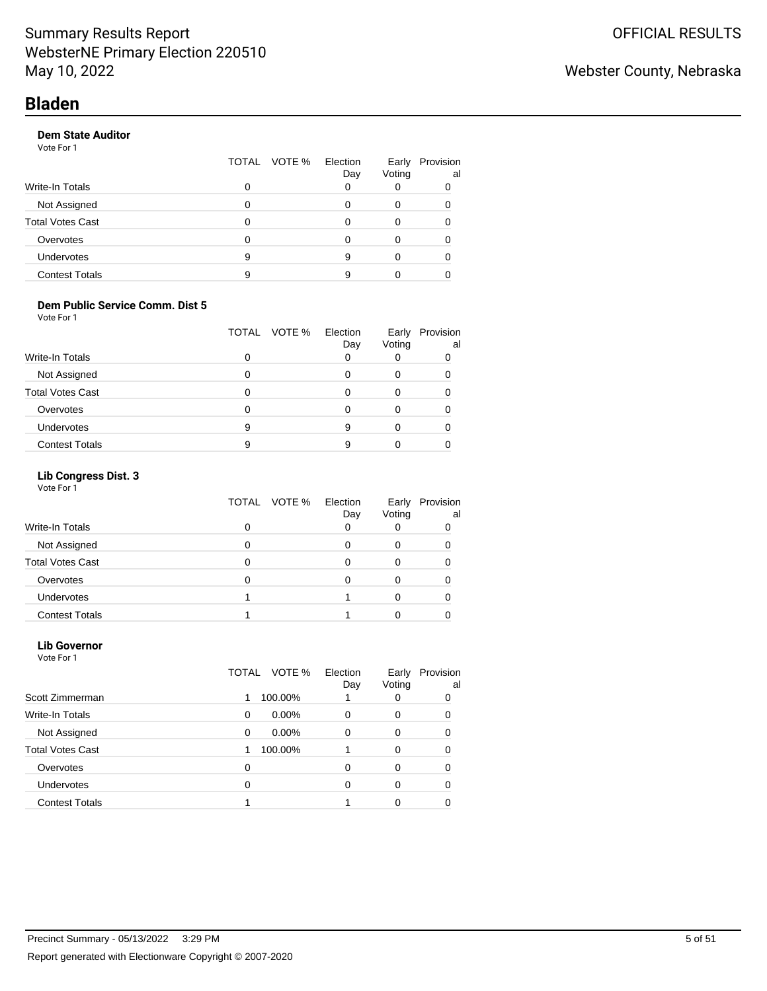### **Dem State Auditor**

Vote For 1

|                       | TOTAL | VOTE % | Election<br>Day | Early<br>Voting | Provision<br>al |
|-----------------------|-------|--------|-----------------|-----------------|-----------------|
| Write-In Totals       | 0     |        |                 |                 |                 |
| Not Assigned          | O     |        |                 | 0               |                 |
| Total Votes Cast      | 0     |        |                 | 0               |                 |
| Overvotes             | 0     |        |                 | 0               |                 |
| <b>Undervotes</b>     | 9     |        | 9               |                 |                 |
| <b>Contest Totals</b> | 9     |        |                 |                 |                 |

### **Dem Public Service Comm. Dist 5**

Vote For 1

|                         | TOTAL VOTE % | Election<br>Day | Early<br>Voting | Provision<br>al |
|-------------------------|--------------|-----------------|-----------------|-----------------|
| <b>Write-In Totals</b>  |              |                 |                 | 0               |
| Not Assigned            |              |                 |                 |                 |
| <b>Total Votes Cast</b> | O            |                 |                 |                 |
| Overvotes               |              |                 | $\mathbf{O}$    |                 |
| <b>Undervotes</b>       | 9            | 9               |                 |                 |
| <b>Contest Totals</b>   | 9            | g               |                 |                 |

### **Lib Congress Dist. 3**

Vote For 1

|                         |   | TOTAL VOTE % | Election<br>Day | Early<br>Voting | Provision<br>al |
|-------------------------|---|--------------|-----------------|-----------------|-----------------|
| <b>Write-In Totals</b>  | ი |              |                 |                 |                 |
| Not Assigned            | 0 |              |                 |                 |                 |
| <b>Total Votes Cast</b> | O |              |                 |                 |                 |
| Overvotes               |   |              | U               |                 |                 |
| <b>Undervotes</b>       |   |              |                 |                 |                 |
| <b>Contest Totals</b>   |   |              |                 |                 |                 |

#### **Lib Governor** Vote For 1

|                         | TOTAL | VOTE %   | Election<br>Day | Early<br>Voting | Provision<br>a |
|-------------------------|-------|----------|-----------------|-----------------|----------------|
| Scott Zimmerman         |       | 100.00%  |                 |                 | O              |
| Write-In Totals         | 0     | $0.00\%$ | 0               | 0               | 0              |
| Not Assigned            | 0     | $0.00\%$ | 0               | 0               |                |
| <b>Total Votes Cast</b> |       | 100.00%  |                 | 0               |                |
| Overvotes               | 0     |          | 0               | 0               |                |
| <b>Undervotes</b>       | 0     |          | 0               | 0               |                |
| <b>Contest Totals</b>   |       |          |                 |                 |                |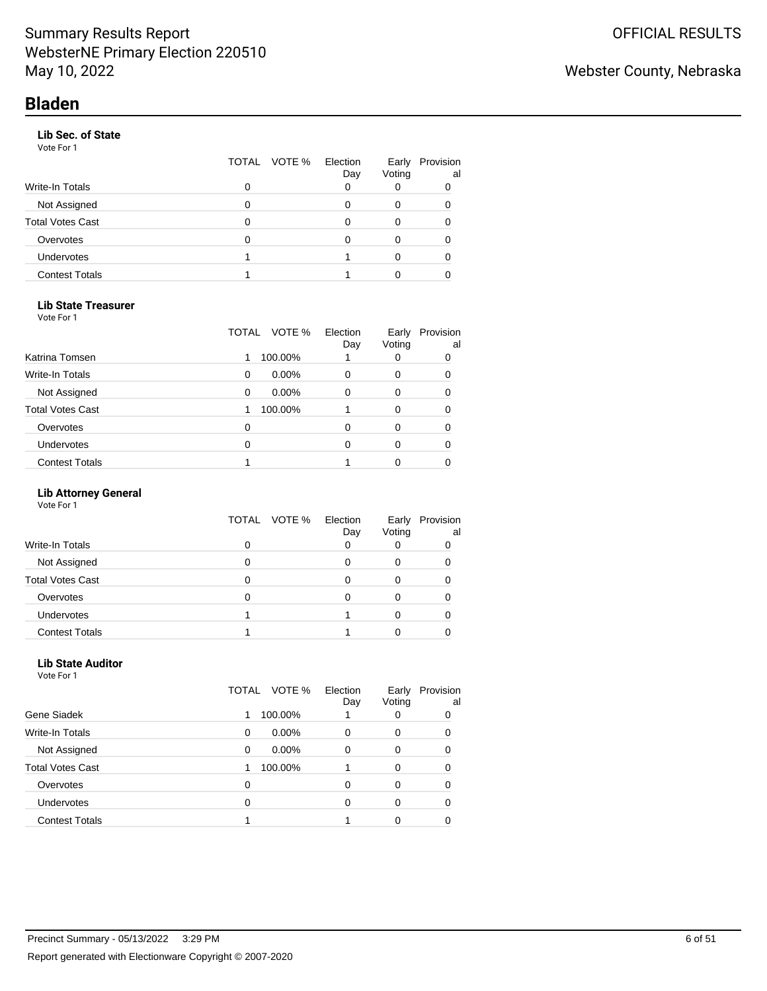### **Lib Sec. of State**

Vote For 1

|                         | TOTAL | VOTE % | Election<br>Day | Early<br>Voting | Provision<br>al |
|-------------------------|-------|--------|-----------------|-----------------|-----------------|
| Write-In Totals         | ი     |        | Ω               |                 |                 |
| Not Assigned            |       |        | O               | 0               |                 |
| <b>Total Votes Cast</b> | 0     |        |                 | 0               |                 |
| Overvotes               | O     |        | Ω               | 0               |                 |
| <b>Undervotes</b>       |       |        |                 |                 |                 |
| <b>Contest Totals</b>   |       |        |                 |                 |                 |

### **Lib State Treasurer**

Vote For 1

|                         | VOTE %<br>TOTAL | Election<br>Day | Early<br>Voting | Provision<br>al |
|-------------------------|-----------------|-----------------|-----------------|-----------------|
| Katrina Tomsen          | 100.00%<br>1    |                 | 0               | 0               |
| <b>Write-In Totals</b>  | $0.00\%$<br>0   | 0               | 0               | 0               |
| Not Assigned            | $0.00\%$<br>0   | 0               | 0               | 0               |
| <b>Total Votes Cast</b> | 100.00%<br>1    |                 | 0               | 0               |
| Overvotes               | 0               | 0               | 0               | 0               |
| <b>Undervotes</b>       | 0               | 0               | 0               | 0               |
| <b>Contest Totals</b>   |                 |                 |                 |                 |

### **Lib Attorney General**

Vote For 1

|                         | TOTAL VOTE % | Election<br>Day | Early<br>Voting | Provision<br>al |
|-------------------------|--------------|-----------------|-----------------|-----------------|
| Write-In Totals         |              |                 |                 |                 |
| Not Assigned            |              |                 |                 |                 |
| <b>Total Votes Cast</b> | O            |                 |                 |                 |
| Overvotes               |              |                 |                 |                 |
| <b>Undervotes</b>       |              |                 |                 |                 |
| <b>Contest Totals</b>   |              |                 |                 |                 |

#### **Lib State Auditor** Vote For 1

|                         | TOTAL | VOTE %   | Election<br>Day | Early<br>Voting | Provision<br>al |
|-------------------------|-------|----------|-----------------|-----------------|-----------------|
| Gene Siadek             |       | 100.00%  |                 | 0               | 0               |
| Write-In Totals         | 0     | $0.00\%$ | 0               | 0               | 0               |
| Not Assigned            | 0     | $0.00\%$ | 0               | 0               | 0               |
| <b>Total Votes Cast</b> |       | 100.00%  |                 | 0               | 0               |
| Overvotes               | 0     |          | $\Omega$        | 0               | 0               |
| <b>Undervotes</b>       | 0     |          | 0               | 0               | 0               |
| <b>Contest Totals</b>   |       |          |                 | 0               |                 |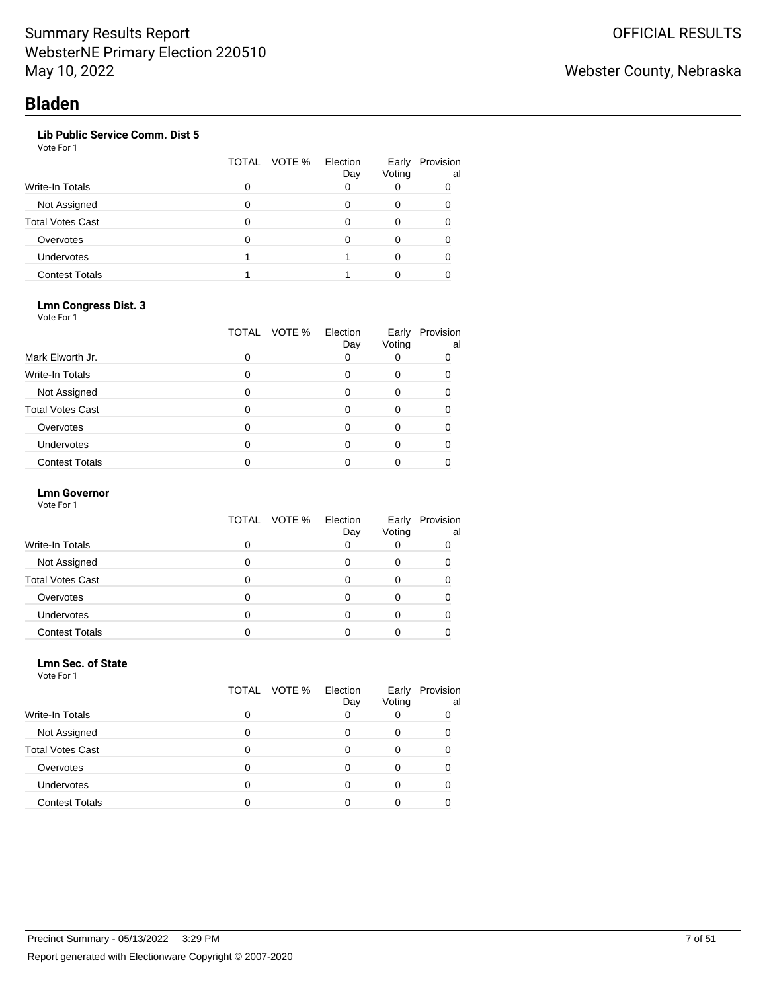## **Lib Public Service Comm. Dist 5**

Vote For 1

|                         | TOTAL VOTE % | Election<br>Day | Early<br>Voting | Provision<br>al |
|-------------------------|--------------|-----------------|-----------------|-----------------|
| <b>Write-In Totals</b>  | 0            | O               |                 |                 |
| Not Assigned            | 0            |                 | 0               |                 |
| <b>Total Votes Cast</b> | 0            | Ω               | 0               |                 |
| Overvotes               | O            | Ω               | 0               |                 |
| Undervotes              |              |                 |                 |                 |
| <b>Contest Totals</b>   |              |                 |                 |                 |

### **Lmn Congress Dist. 3**

Vote For 1

|                         | TOTAL | VOTE % | Election<br>Day | Early<br>Voting | Provision<br>al |
|-------------------------|-------|--------|-----------------|-----------------|-----------------|
| Mark Elworth Jr.        | 0     |        | 0               |                 |                 |
| Write-In Totals         | 0     |        | 0               | 0               |                 |
| Not Assigned            | O     |        | 0               | 0               |                 |
| <b>Total Votes Cast</b> | 0     |        | 0               | 0               |                 |
| Overvotes               | O     |        | 0               | 0               |                 |
| <b>Undervotes</b>       | ი     |        | ი               | 0               |                 |
| <b>Contest Totals</b>   |       |        |                 |                 |                 |

#### **Lmn Governor**

Vote For 1

|                         | TOTAL VOTE % | Election<br>Day | Early<br>Voting | Provision<br>al |
|-------------------------|--------------|-----------------|-----------------|-----------------|
| <b>Write-In Totals</b>  |              |                 |                 |                 |
| Not Assigned            |              |                 |                 |                 |
| <b>Total Votes Cast</b> | 0            |                 |                 |                 |
| Overvotes               |              |                 |                 |                 |
| <b>Undervotes</b>       |              |                 |                 |                 |
| <b>Contest Totals</b>   |              |                 |                 |                 |

#### **Lmn Sec. of State** Vote For 1

|                         |   | TOTAL VOTE % | Election<br>Day | Early<br>Voting | Provision<br>al |
|-------------------------|---|--------------|-----------------|-----------------|-----------------|
| Write-In Totals         | 0 |              | 0               |                 |                 |
| Not Assigned            | ი |              | 0               | 0               |                 |
| <b>Total Votes Cast</b> | O |              | O               | 0               |                 |
| Overvotes               | n |              | ი               | 0               |                 |
| <b>Undervotes</b>       | O |              | Ω               | 0               |                 |
| <b>Contest Totals</b>   |   |              |                 |                 |                 |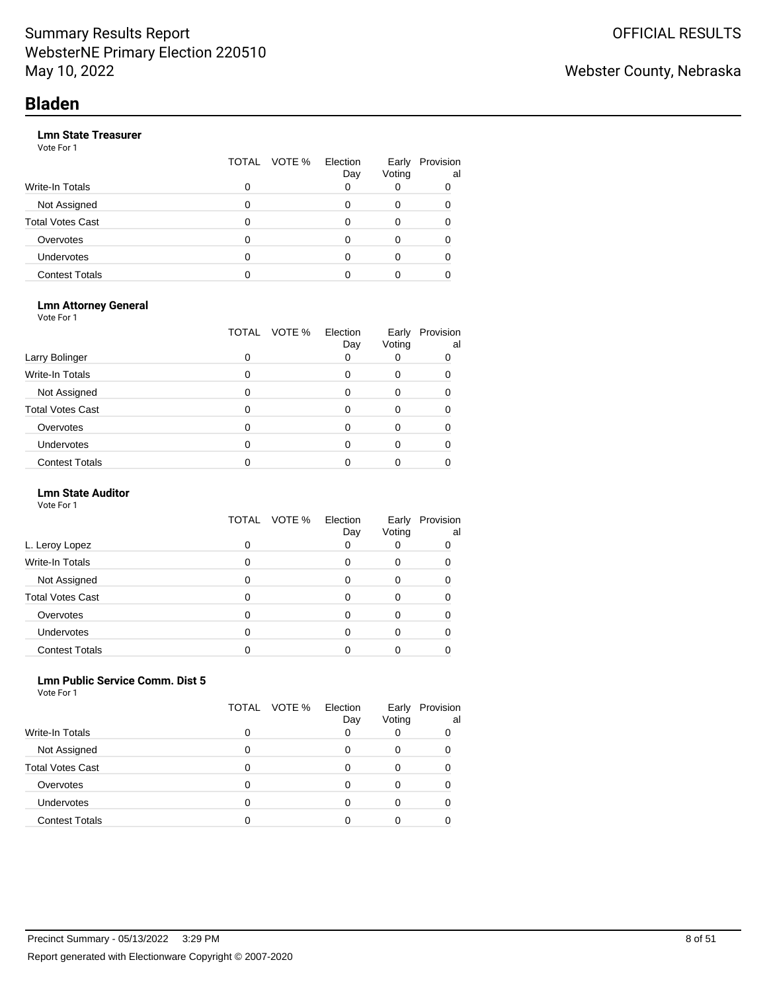### **Lmn State Treasurer**

Vote For 1

|                         | TOTAL | VOTE % | Election<br>Day | Early<br>Voting | Provision<br>al |
|-------------------------|-------|--------|-----------------|-----------------|-----------------|
| Write-In Totals         | 0     |        |                 |                 |                 |
| Not Assigned            | 0     |        |                 | O               |                 |
| <b>Total Votes Cast</b> | 0     |        |                 |                 |                 |
| Overvotes               | 0     |        |                 |                 |                 |
| <b>Undervotes</b>       | 0     |        |                 | 0               |                 |
| <b>Contest Totals</b>   |       |        |                 |                 |                 |

#### **Lmn Attorney General**

Vote For 1

|                         |   | TOTAL VOTE % | Election<br>Day | Early<br>Voting | Provision<br>al |
|-------------------------|---|--------------|-----------------|-----------------|-----------------|
| Larry Bolinger          | 0 |              |                 |                 | 0               |
| <b>Write-In Totals</b>  | 0 |              | 0               | 0               | 0               |
| Not Assigned            | O |              |                 | 0               |                 |
| <b>Total Votes Cast</b> | ი |              |                 | 0               |                 |
| Overvotes               | O |              |                 | O               |                 |
| <b>Undervotes</b>       | ი |              |                 | ŋ               |                 |
| <b>Contest Totals</b>   |   |              |                 |                 |                 |

#### **Lmn State Auditor**

Vote For 1

|                         | TOTAL | VOTE % | Election<br>Day | Early<br>Voting | Provision<br>al |
|-------------------------|-------|--------|-----------------|-----------------|-----------------|
| L. Leroy Lopez          | 0     |        |                 |                 |                 |
| <b>Write-In Totals</b>  | O     |        | 0               | 0               | 0               |
| Not Assigned            | ი     |        | 0               | 0               |                 |
| <b>Total Votes Cast</b> |       |        | O               |                 |                 |
| Overvotes               | ი     |        | ი               | 0               |                 |
| <b>Undervotes</b>       |       |        | 0               | O               |                 |
| <b>Contest Totals</b>   |       |        |                 |                 |                 |

#### **Lmn Public Service Comm. Dist 5** Vote For 1

|                         | TOTAL VOTE % | Election<br>Day | Early<br>Voting | Provision<br>al |
|-------------------------|--------------|-----------------|-----------------|-----------------|
| Write-In Totals         |              |                 |                 |                 |
| Not Assigned            |              |                 |                 |                 |
| <b>Total Votes Cast</b> |              |                 |                 |                 |
| Overvotes               |              |                 |                 |                 |
| <b>Undervotes</b>       |              |                 |                 |                 |
| <b>Contest Totals</b>   |              |                 |                 |                 |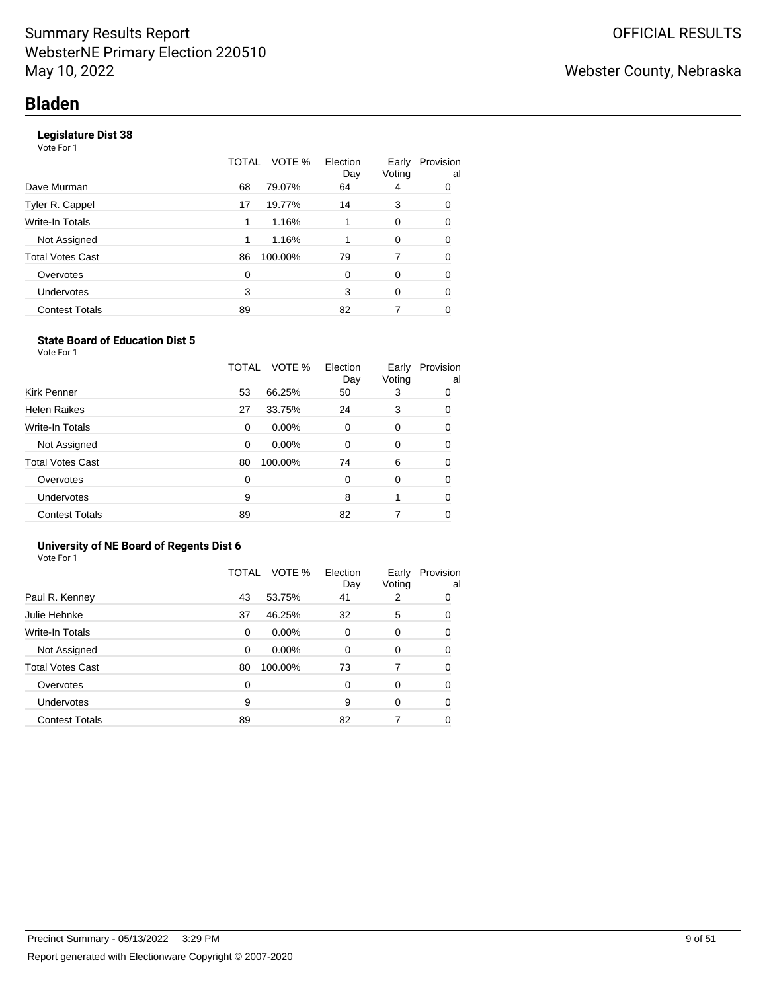## **Legislature Dist 38**

Vote For 1

|                       | TOTAL | VOTE %  | Election<br>Day | Early<br>Voting | Provision<br>al |
|-----------------------|-------|---------|-----------------|-----------------|-----------------|
| Dave Murman           | 68    | 79.07%  | 64              | 4               | 0               |
| Tyler R. Cappel       | 17    | 19.77%  | 14              | 3               | 0               |
| Write-In Totals       | 1     | 1.16%   |                 | $\Omega$        | 0               |
| Not Assigned          | 1     | 1.16%   |                 | $\Omega$        | 0               |
| Total Votes Cast      | 86    | 100.00% | 79              |                 | 0               |
| Overvotes             | 0     |         | 0               | $\Omega$        | 0               |
| Undervotes            | 3     |         | 3               | $\Omega$        | 0               |
| <b>Contest Totals</b> | 89    |         | 82              |                 | 0               |
|                       |       |         |                 |                 |                 |

#### **State Board of Education Dist 5** Vote For 1

|                         | TOTAL    | VOTE %   | Election<br>Day | Early<br>Voting | Provision<br>al |
|-------------------------|----------|----------|-----------------|-----------------|-----------------|
| Kirk Penner             | 53       | 66.25%   | 50              | 3               | 0               |
| <b>Helen Raikes</b>     | 27       | 33.75%   | 24              | 3               | 0               |
| <b>Write-In Totals</b>  | $\Omega$ | $0.00\%$ | $\Omega$        | 0               | 0               |
| Not Assigned            | $\Omega$ | $0.00\%$ | $\Omega$        | $\Omega$        | 0               |
| <b>Total Votes Cast</b> | 80       | 100.00%  | 74              | 6               | 0               |
| Overvotes               | 0        |          | $\Omega$        | 0               | 0               |
| Undervotes              | 9        |          | 8               |                 | 0               |
| <b>Contest Totals</b>   | 89       |          | 82              |                 | O               |

#### **University of NE Board of Regents Dist 6** Vote For 1

|                         | TOTAL | VOTE %   | Election<br>Day | Early<br>Voting | Provision<br>al |
|-------------------------|-------|----------|-----------------|-----------------|-----------------|
| Paul R. Kenney          | 43    | 53.75%   | 41              | 2               | 0               |
| Julie Hehnke            | 37    | 46.25%   | 32              | 5               | 0               |
| <b>Write-In Totals</b>  | 0     | $0.00\%$ | $\Omega$        | 0               | 0               |
| Not Assigned            | 0     | 0.00%    | $\Omega$        | 0               | 0               |
| <b>Total Votes Cast</b> | 80    | 100.00%  | 73              | 7               | $\Omega$        |
| Overvotes               | 0     |          | $\Omega$        | 0               | $\Omega$        |
| Undervotes              | 9     |          | 9               | 0               | 0               |
| <b>Contest Totals</b>   | 89    |          | 82              |                 | 0               |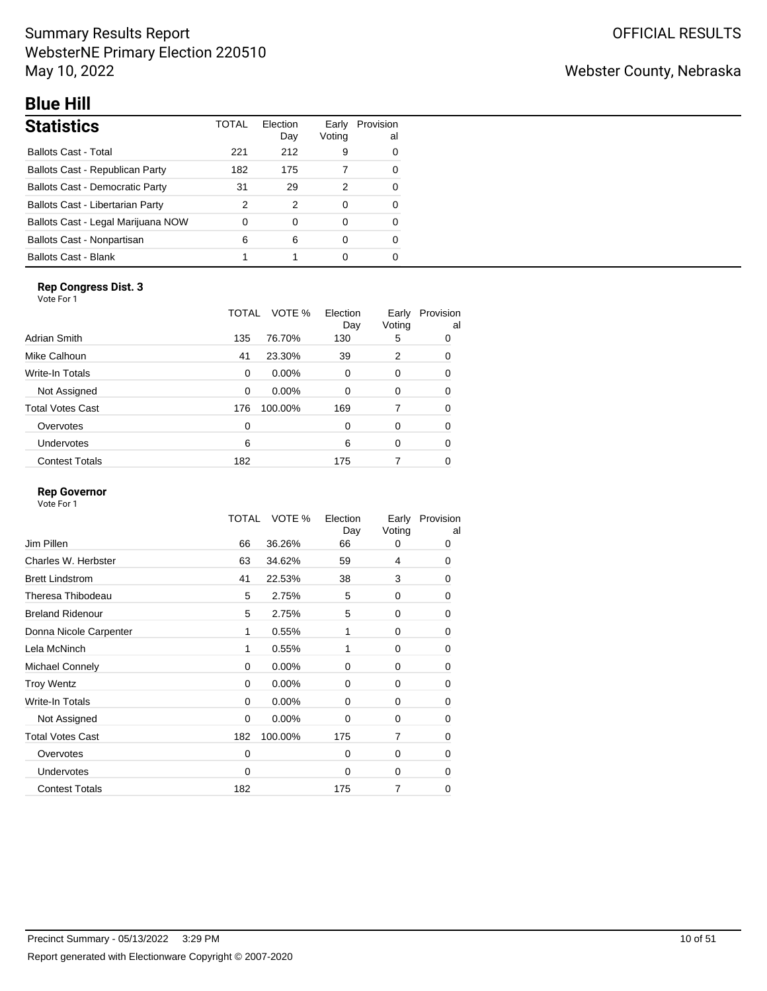# Summary Results Report WebsterNE Primary Election 220510 May 10, 2022

# **Blue Hill**

| <b>Statistics</b>                      | TOTAL | Flection<br>Day | Early<br>Voting | Provision<br>al |
|----------------------------------------|-------|-----------------|-----------------|-----------------|
| <b>Ballots Cast - Total</b>            | 221   | 212             | 9               |                 |
| Ballots Cast - Republican Party        | 182   | 175             |                 | 0               |
| <b>Ballots Cast - Democratic Party</b> | 31    | 29              | 2               | O               |
| Ballots Cast - Libertarian Party       | 2     | 2               | 0               | O               |
| Ballots Cast - Legal Marijuana NOW     | 0     | 0               | 0               | O               |
| Ballots Cast - Nonpartisan             | 6     | 6               | 0               | ∩               |
| <b>Ballots Cast - Blank</b>            |       |                 |                 |                 |

## **Rep Congress Dist. 3**

| Vote For 1              |       |          |                 |                 |                 |
|-------------------------|-------|----------|-----------------|-----------------|-----------------|
|                         | TOTAL | VOTE %   | Election<br>Day | Early<br>Voting | Provision<br>al |
| Adrian Smith            | 135   | 76.70%   | 130             | 5               | 0               |
| Mike Calhoun            | 41    | 23.30%   | 39              | 2               | 0               |
| Write-In Totals         | 0     | 0.00%    | 0               | 0               | 0               |
| Not Assigned            | 0     | $0.00\%$ | 0               | 0               | 0               |
| <b>Total Votes Cast</b> | 176   | 100.00%  | 169             | 7               | 0               |
| Overvotes               | 0     |          | 0               | 0               | 0               |
| Undervotes              | 6     |          | 6               | $\Omega$        | 0               |
| <b>Contest Totals</b>   | 182   |          | 175             | 7               | 0               |

### **Rep Governor**

Vote For 1

|                         | <b>TOTAL</b> | VOTE %   | Election<br>Day | Early<br>Voting | Provision<br>al |
|-------------------------|--------------|----------|-----------------|-----------------|-----------------|
| Jim Pillen              | 66           | 36.26%   | 66              | 0               | 0               |
| Charles W. Herbster     | 63           | 34.62%   | 59              | 4               | 0               |
| <b>Brett Lindstrom</b>  | 41           | 22.53%   | 38              | 3               | 0               |
| Theresa Thibodeau       | 5            | 2.75%    | 5               | 0               | 0               |
| <b>Breland Ridenour</b> | 5            | 2.75%    | 5               | 0               | 0               |
| Donna Nicole Carpenter  | 1            | 0.55%    | 1               | 0               | 0               |
| Lela McNinch            | 1            | 0.55%    | 1               | 0               | 0               |
| Michael Connely         | 0            | $0.00\%$ | $\Omega$        | 0               | 0               |
| <b>Troy Wentz</b>       | 0            | 0.00%    | 0               | 0               | 0               |
| <b>Write-In Totals</b>  | 0            | 0.00%    | 0               | 0               | 0               |
| Not Assigned            | 0            | 0.00%    | $\Omega$        | 0               | 0               |
| <b>Total Votes Cast</b> | 182          | 100.00%  | 175             | 7               | 0               |
| Overvotes               | $\mathbf 0$  |          | 0               | 0               | 0               |
| <b>Undervotes</b>       | 0            |          | 0               | 0               | 0               |
| <b>Contest Totals</b>   | 182          |          | 175             | 7               | 0               |
|                         |              |          |                 |                 |                 |

# Webster County, Nebraska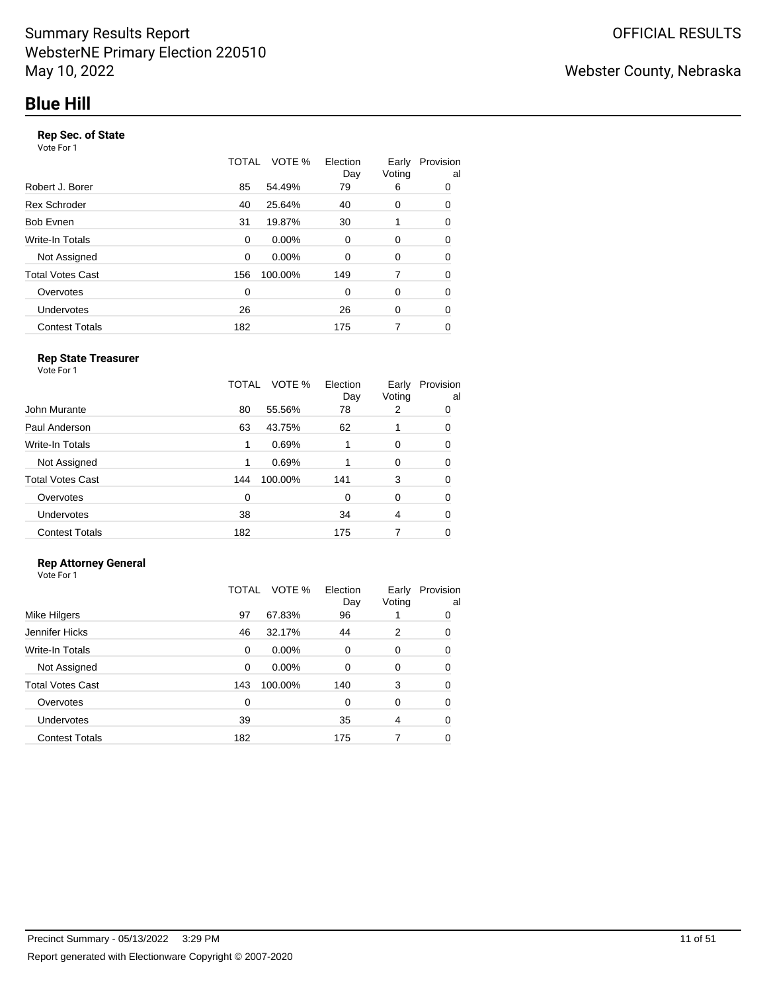## **Rep Sec. of State**

Vote For 1

|                       | TOTAL | VOTE %  | Election<br>Day | Early<br>Voting | Provision<br>al |
|-----------------------|-------|---------|-----------------|-----------------|-----------------|
| Robert J. Borer       | 85    | 54.49%  | 79              | 6               | 0               |
| <b>Rex Schroder</b>   | 40    | 25.64%  | 40              | 0               | 0               |
| Bob Evnen             | 31    | 19.87%  | 30              |                 | 0               |
| Write-In Totals       | 0     | 0.00%   | 0               | 0               | 0               |
| Not Assigned          | 0     | 0.00%   | 0               | 0               | 0               |
| Total Votes Cast      | 156   | 100.00% | 149             | 7               | 0               |
| Overvotes             | 0     |         | 0               | 0               | 0               |
| Undervotes            | 26    |         | 26              | $\Omega$        | 0               |
| <b>Contest Totals</b> | 182   |         | 175             | 7               | 0               |
|                       |       |         |                 |                 |                 |

#### **Rep State Treasurer** Vote For 1

|                         | TOTAL | VOTE %  | Election<br>Day | Early<br>Voting | Provision<br>al |
|-------------------------|-------|---------|-----------------|-----------------|-----------------|
| John Murante            | 80    | 55.56%  | 78              | 2               | 0               |
| Paul Anderson           | 63    | 43.75%  | 62              |                 | 0               |
| Write-In Totals         | 1     | 0.69%   |                 | $\Omega$        | 0               |
| Not Assigned            | 1     | 0.69%   |                 | $\Omega$        | 0               |
| <b>Total Votes Cast</b> | 144   | 100.00% | 141             | 3               | 0               |
| Overvotes               | 0     |         | 0               | $\Omega$        | 0               |
| Undervotes              | 38    |         | 34              | 4               | $\Omega$        |
| <b>Contest Totals</b>   | 182   |         | 175             |                 | 0               |

### **Rep Attorney General**

|                         | TOTAL | VOTE %   | Election<br>Day | Early<br>Voting | Provision<br>al |
|-------------------------|-------|----------|-----------------|-----------------|-----------------|
| Mike Hilgers            | 97    | 67.83%   | 96              |                 | 0               |
| Jennifer Hicks          | 46    | 32.17%   | 44              | 2               | 0               |
| Write-In Totals         | 0     | $0.00\%$ | 0               | $\Omega$        | 0               |
| Not Assigned            | 0     | $0.00\%$ | 0               | $\Omega$        | 0               |
| <b>Total Votes Cast</b> | 143   | 100.00%  | 140             | 3               | 0               |
| Overvotes               | 0     |          | 0               | $\Omega$        | 0               |
| Undervotes              | 39    |          | 35              | 4               | 0               |
| <b>Contest Totals</b>   | 182   |          | 175             |                 | 0               |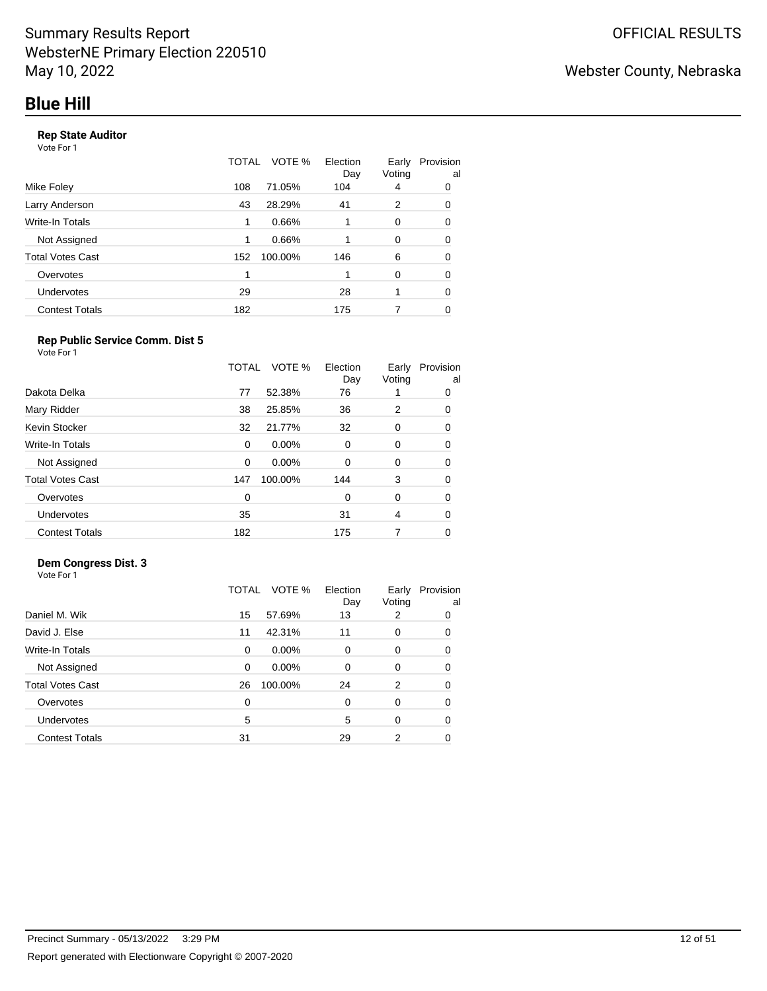### **Rep State Auditor**

Vote For 1

|                         | TOTAL | VOTE %  | Election<br>Day | Early<br>Voting | Provision<br>al |
|-------------------------|-------|---------|-----------------|-----------------|-----------------|
| Mike Foley              | 108   | 71.05%  | 104             | 4               | 0               |
| Larry Anderson          | 43    | 28.29%  | 41              | 2               | 0               |
| Write-In Totals         | 1     | 0.66%   |                 | $\Omega$        | 0               |
| Not Assigned            | 1     | 0.66%   |                 | $\Omega$        | 0               |
| <b>Total Votes Cast</b> | 152   | 100.00% | 146             | 6               | 0               |
| Overvotes               | 1     |         |                 | $\Omega$        | 0               |
| Undervotes              | 29    |         | 28              |                 | 0               |
| <b>Contest Totals</b>   | 182   |         | 175             |                 | 0               |
|                         |       |         |                 |                 |                 |

### **Rep Public Service Comm. Dist 5**

|                         | TOTAL | VOTE %  | Election<br>Day | Early<br>Voting | Provision<br>al |
|-------------------------|-------|---------|-----------------|-----------------|-----------------|
| Dakota Delka            | 77    | 52.38%  | 76              |                 | 0               |
| Mary Ridder             | 38    | 25.85%  | 36              | 2               | 0               |
| Kevin Stocker           | 32    | 21.77%  | 32              | 0               | 0               |
| Write-In Totals         | 0     | 0.00%   | $\Omega$        | $\Omega$        | 0               |
| Not Assigned            | 0     | 0.00%   | $\Omega$        | 0               | 0               |
| <b>Total Votes Cast</b> | 147   | 100.00% | 144             | 3               | 0               |
| Overvotes               | 0     |         | $\Omega$        | $\Omega$        | 0               |
| Undervotes              | 35    |         | 31              | 4               | 0               |
| <b>Contest Totals</b>   | 182   |         | 175             | 7               | 0               |

## **Dem Congress Dist. 3**

| Vote For 1 |  |
|------------|--|
|------------|--|

|                         | VOTE %<br>TOTAL | Election<br>Day | Early<br>Voting | Provision<br>al |
|-------------------------|-----------------|-----------------|-----------------|-----------------|
| Daniel M. Wik           | 15<br>57.69%    | 13              | 2               | 0               |
| David J. Else           | 42.31%<br>11    | 11              | $\Omega$        | 0               |
| Write-In Totals         | $0.00\%$<br>0   | 0               | $\Omega$        | 0               |
| Not Assigned            | 0.00%<br>0      | 0               | 0               | 0               |
| <b>Total Votes Cast</b> | 100.00%<br>26   | 24              | 2               | 0               |
| Overvotes               | 0               | 0               | 0               | 0               |
| Undervotes              | 5               | 5               | 0               | 0               |
| <b>Contest Totals</b>   | 31              | 29              | 2               | 0               |
|                         |                 |                 |                 |                 |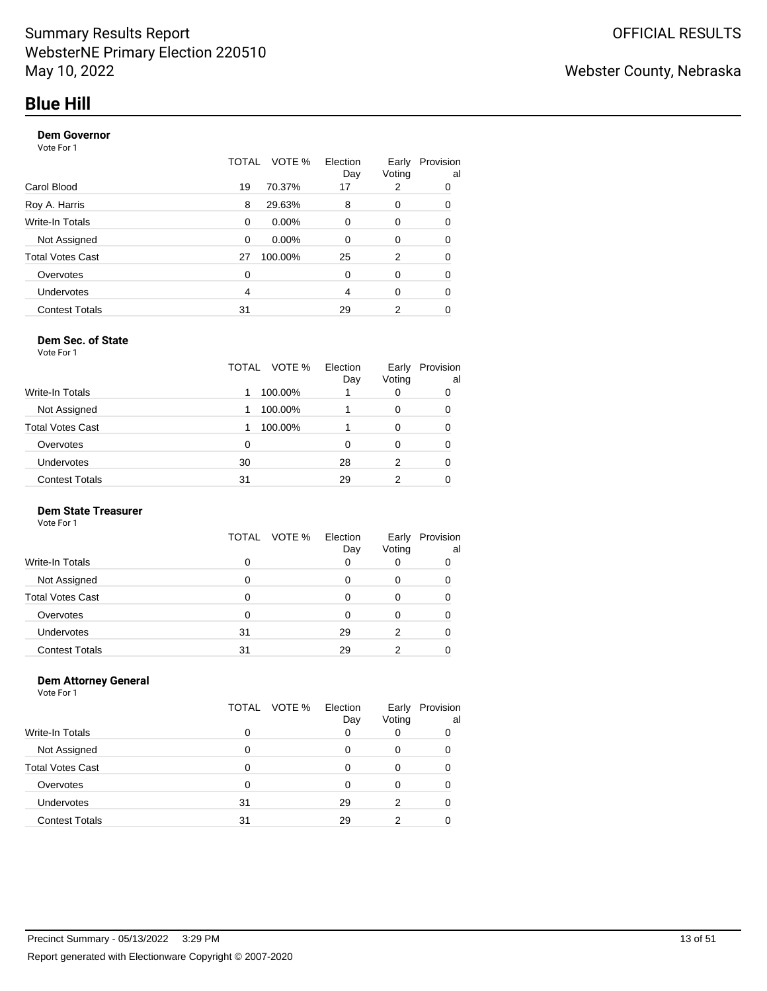#### **Dem Governor**

Vote For 1

|                       | TOTAL | VOTE %   | Election<br>Day | Early<br>Voting | Provision<br>al |
|-----------------------|-------|----------|-----------------|-----------------|-----------------|
| Carol Blood           | 19    | 70.37%   | 17              | 2               | 0               |
| Roy A. Harris         | 8     | 29.63%   | 8               | 0               | 0               |
| Write-In Totals       | 0     | $0.00\%$ | 0               | 0               | 0               |
| Not Assigned          | 0     | 0.00%    | 0               | $\Omega$        | 0               |
| Total Votes Cast      | 27    | 100.00%  | 25              | 2               | 0               |
| Overvotes             | 0     |          | 0               | $\Omega$        | 0               |
| Undervotes            | 4     |          | 4               | 0               | 0               |
| <b>Contest Totals</b> | 31    |          | 29              | 2               | 0               |
|                       |       |          |                 |                 |                 |

#### **Dem Sec. of State** Vote For 1

|                         |    | TOTAL VOTE % | Election<br>Day | Early<br>Voting | Provision<br>al |
|-------------------------|----|--------------|-----------------|-----------------|-----------------|
| Write-In Totals         |    | 100.00%      |                 | O               | 0               |
| Not Assigned            |    | 100.00%      |                 | 0               | 0               |
| <b>Total Votes Cast</b> |    | 100.00%      |                 | 0               | 0               |
| Overvotes               | 0  |              |                 | 0               | 0               |
| <b>Undervotes</b>       | 30 |              | 28              | 2               | 0               |
| <b>Contest Totals</b>   | 31 |              | 29              |                 |                 |

## **Dem State Treasurer**

Vote For 1

|                         | TOTAL | VOTE % | Election<br>Day | Early<br>Voting | Provision<br>al |
|-------------------------|-------|--------|-----------------|-----------------|-----------------|
| <b>Write-In Totals</b>  | ი     |        | 0               |                 |                 |
| Not Assigned            | 0     |        | U               |                 |                 |
| <b>Total Votes Cast</b> | O     |        | U               |                 |                 |
| Overvotes               | O     |        |                 |                 |                 |
| Undervotes              | 31    |        | 29              | 2               |                 |
| <b>Contest Totals</b>   | 31    |        | 29              | 2               |                 |

#### **Dem Attorney General** Vote For 1

|                         | VOTE %<br>TOTAL | Election<br>Day | Early<br>Voting | Provision<br>al |
|-------------------------|-----------------|-----------------|-----------------|-----------------|
| Write-In Totals         | 0               | 0               |                 |                 |
| Not Assigned            | ი               | Ω               |                 |                 |
| <b>Total Votes Cast</b> | o               | O               |                 |                 |
| Overvotes               | O               | O               |                 |                 |
| Undervotes              | 31              | 29              | 2               |                 |
| <b>Contest Totals</b>   | 31              | 29              | っ               |                 |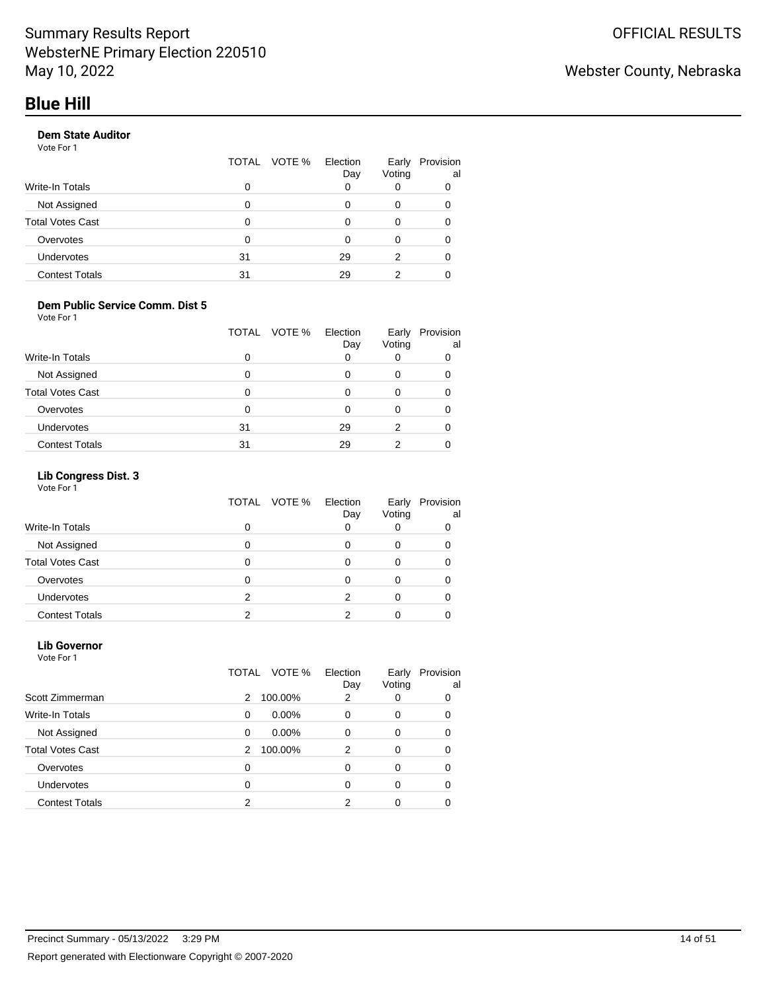### **Dem State Auditor**

Vote For 1

|                       | VOTE %<br>TOTAL | Election<br>Day | Early<br>Voting | Provision<br>al |
|-----------------------|-----------------|-----------------|-----------------|-----------------|
| Write-In Totals       | 0               |                 |                 |                 |
| Not Assigned          | 0               |                 | O               |                 |
| Total Votes Cast      | Ω               |                 | O               |                 |
| Overvotes             | 0               |                 | 0               |                 |
| <b>Undervotes</b>     | 31              | 29              | 2               |                 |
| <b>Contest Totals</b> | 31              | 29              | 2               |                 |
|                       |                 |                 |                 |                 |

### **Dem Public Service Comm. Dist 5**

Vote For 1

|                         | VOTE %<br>TOTAL | Election<br>Day | Early<br>Voting | Provision<br>al |
|-------------------------|-----------------|-----------------|-----------------|-----------------|
| <b>Write-In Totals</b>  | 0               |                 |                 |                 |
| Not Assigned            | 0               |                 |                 |                 |
| <b>Total Votes Cast</b> | 0               |                 |                 |                 |
| Overvotes               | 0               | U               |                 |                 |
| <b>Undervotes</b>       | 31              | 29              | 2               |                 |
| <b>Contest Totals</b>   | 31              | 29              | າ               |                 |

#### **Lib Congress Dist. 3**

Vote For 1

|                         | TOTAL | VOTE % | Election<br>Day | Early<br>Voting | Provision<br>al |
|-------------------------|-------|--------|-----------------|-----------------|-----------------|
| <b>Write-In Totals</b>  | 0     |        |                 |                 |                 |
| Not Assigned            | 0     |        |                 |                 |                 |
| <b>Total Votes Cast</b> | 0     |        |                 |                 |                 |
| Overvotes               | 0     |        |                 |                 |                 |
| <b>Undervotes</b>       | 2     |        |                 |                 |                 |
| <b>Contest Totals</b>   | ົ     |        |                 |                 |                 |

#### **Lib Governor** Vote For 1

|                         | TOTAL | VOTE %   | Election<br>Day | Early<br>Voting | Provision<br>al |
|-------------------------|-------|----------|-----------------|-----------------|-----------------|
| Scott Zimmerman         | 2     | 100.00%  | 2               |                 | 0               |
| Write-In Totals         | 0     | $0.00\%$ | 0               | 0               | 0               |
| Not Assigned            | 0     | $0.00\%$ | 0               | $\Omega$        | ∩               |
| <b>Total Votes Cast</b> | 2     | 100.00%  | 2               | $\Omega$        | 0               |
| Overvotes               | 0     |          | O               | $\Omega$        | 0               |
| <b>Undervotes</b>       | 0     |          | 0               | 0               | 0               |
| <b>Contest Totals</b>   | 2     |          | 2               |                 |                 |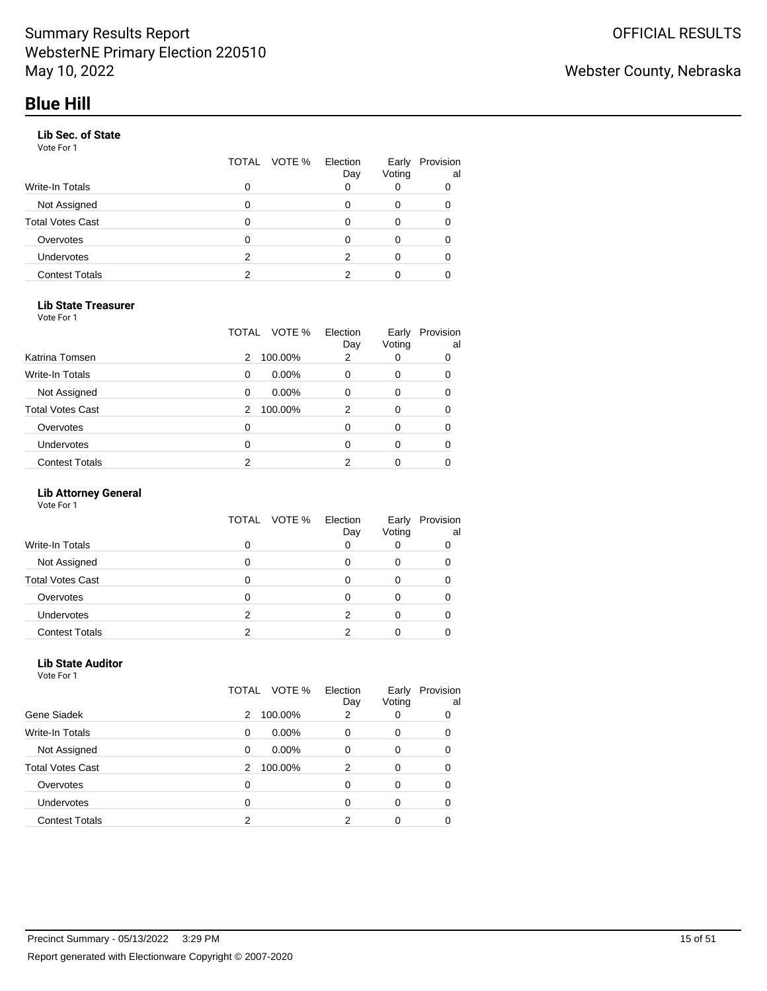## **Lib Sec. of State**

Vote For 1

|                         | TOTAL | VOTE % | Election<br>Day | Early<br>Voting | Provision<br>al |
|-------------------------|-------|--------|-----------------|-----------------|-----------------|
| <b>Write-In Totals</b>  | 0     |        | 0               |                 |                 |
| Not Assigned            |       |        | O               | O               |                 |
| <b>Total Votes Cast</b> |       |        |                 | O               |                 |
| Overvotes               |       |        |                 | 0               |                 |
| <b>Undervotes</b>       | 2     |        | っ               | 0               |                 |
| <b>Contest Totals</b>   | っ     |        |                 |                 |                 |

### **Lib State Treasurer**

Vote For 1

|                         | TOTAL         | VOTE %   | Election<br>Day | Early<br>Voting | Provision<br>al |
|-------------------------|---------------|----------|-----------------|-----------------|-----------------|
| Katrina Tomsen          | $\mathcal{P}$ | 100.00%  | 2               | 0               | 0               |
| <b>Write-In Totals</b>  | 0             | $0.00\%$ | 0               | 0               | 0               |
| Not Assigned            | 0             | $0.00\%$ | 0               | 0               | 0               |
| <b>Total Votes Cast</b> | 2             | 100.00%  | 2               | 0               | 0               |
| Overvotes               | 0             |          | 0               | 0               | 0               |
| <b>Undervotes</b>       | 0             |          | 0               | 0               | 0               |
| <b>Contest Totals</b>   | 2             |          | 2               | 0               |                 |

### **Lib Attorney General**

Vote For 1

|                         | TOTAL VOTE % | Election<br>Day | Early<br>Voting | Provision<br>al |
|-------------------------|--------------|-----------------|-----------------|-----------------|
| Write-In Totals         | O            |                 |                 |                 |
| Not Assigned            | o            | U               |                 |                 |
| <b>Total Votes Cast</b> | O            |                 |                 |                 |
| Overvotes               | O            | 0               |                 |                 |
| <b>Undervotes</b>       | 2            |                 |                 |                 |
| <b>Contest Totals</b>   | ົ            |                 |                 |                 |

#### **Lib State Auditor** Vote For 1

|                         | TOTAL | VOTE %   | Election<br>Day | Early<br>Voting | Provision<br>al |
|-------------------------|-------|----------|-----------------|-----------------|-----------------|
| Gene Siadek             | 2     | 100.00%  | 2               | 0               | 0               |
| Write-In Totals         | 0     | $0.00\%$ | 0               | 0               | 0               |
| Not Assigned            | 0     | $0.00\%$ | 0               | 0               | 0               |
| <b>Total Votes Cast</b> | 2     | 100.00%  | 2               | 0               | 0               |
| Overvotes               | 0     |          | $\Omega$        | 0               | 0               |
| <b>Undervotes</b>       | 0     |          | 0               | 0               | 0               |
| <b>Contest Totals</b>   | 2     |          | 2               | 0               |                 |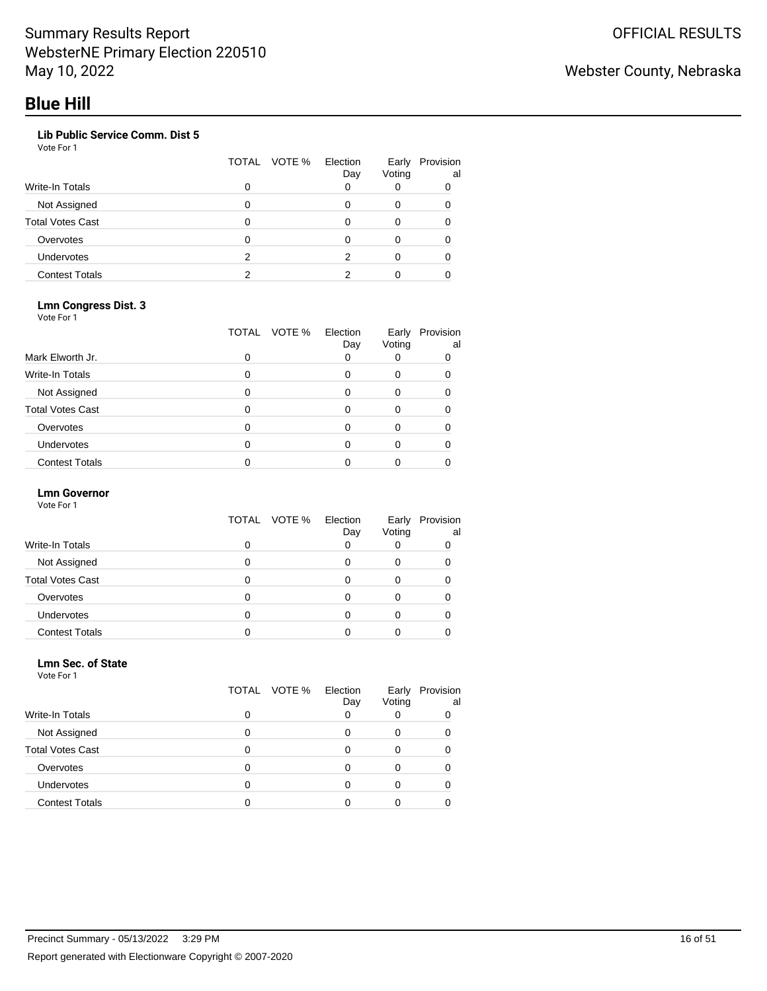## **Lib Public Service Comm. Dist 5**

Vote For 1

|                         | TOTAL | VOTE % | Election<br>Day | Early<br>Voting | Provision<br>al |
|-------------------------|-------|--------|-----------------|-----------------|-----------------|
| <b>Write-In Totals</b>  | 0     |        | O               |                 |                 |
| Not Assigned            |       |        |                 | 0               |                 |
| <b>Total Votes Cast</b> |       |        |                 | 0               |                 |
| Overvotes               | Ω     |        |                 | 0               |                 |
| <b>Undervotes</b>       | 2     |        | າ               | O               |                 |
| <b>Contest Totals</b>   |       |        |                 |                 |                 |

### **Lmn Congress Dist. 3**

Vote For 1

|                         | VOTE %<br>TOTAL | Election<br>Day | Early<br>Voting | Provision<br>al |
|-------------------------|-----------------|-----------------|-----------------|-----------------|
| Mark Elworth Jr.        | 0               |                 |                 | 0               |
| Write-In Totals         | 0               | 0               | 0               | 0               |
| Not Assigned            | O               |                 | Ω               |                 |
| <b>Total Votes Cast</b> | ი               |                 | 0               |                 |
| Overvotes               | O               |                 |                 |                 |
| <b>Undervotes</b>       | ი               |                 | ŋ               |                 |
| <b>Contest Totals</b>   |                 |                 |                 |                 |

#### **Lmn Governor**

Vote For 1

|                         | TOTAL VOTE % | Election<br>Day | Early<br>Voting | Provision<br>al |
|-------------------------|--------------|-----------------|-----------------|-----------------|
| <b>Write-In Totals</b>  |              |                 |                 |                 |
| Not Assigned            |              |                 |                 |                 |
| <b>Total Votes Cast</b> | 0            |                 |                 |                 |
| Overvotes               |              |                 |                 |                 |
| <b>Undervotes</b>       |              |                 |                 |                 |
| <b>Contest Totals</b>   |              |                 |                 |                 |

#### **Lmn Sec. of State** Vote For 1

|                         |   | TOTAL VOTE % | Election<br>Day | Early<br>Voting | Provision<br>al |
|-------------------------|---|--------------|-----------------|-----------------|-----------------|
| Write-In Totals         | 0 |              | 0               |                 |                 |
| Not Assigned            | ი |              | 0               | 0               |                 |
| <b>Total Votes Cast</b> | O |              | O               | 0               |                 |
| Overvotes               | n |              | ი               | 0               |                 |
| <b>Undervotes</b>       | O |              | Ω               | 0               |                 |
| <b>Contest Totals</b>   |   |              |                 |                 |                 |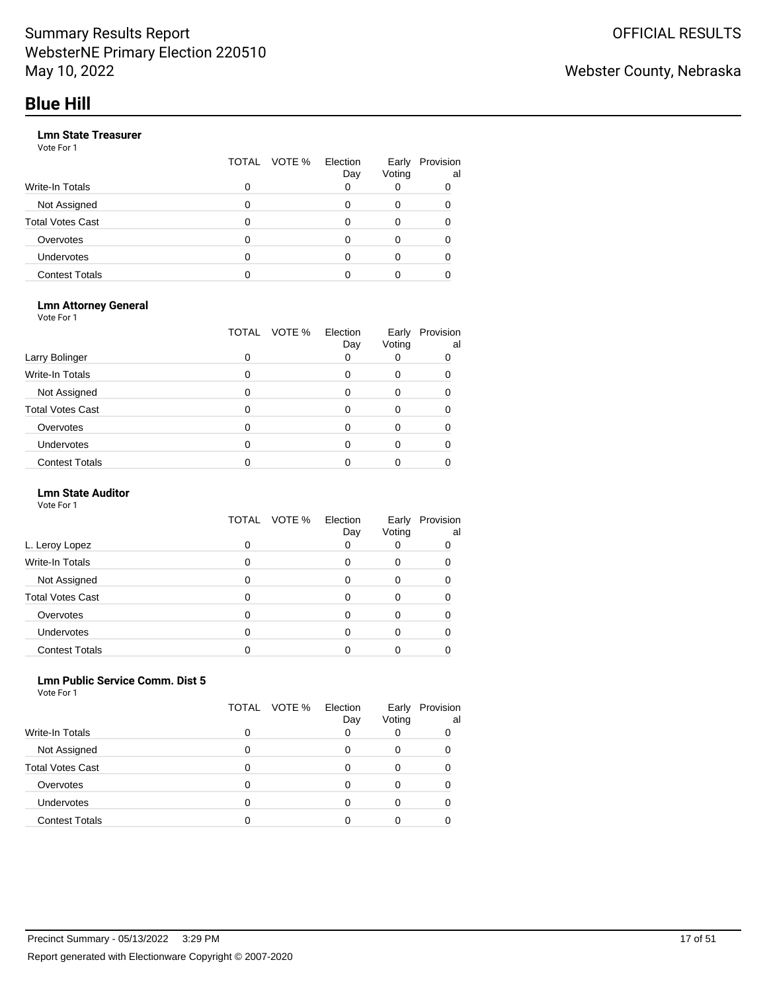### **Lmn State Treasurer**

Vote For 1

|                         | TOTAL | VOTE % | Election<br>Day | Early<br>Voting | Provision<br>al |
|-------------------------|-------|--------|-----------------|-----------------|-----------------|
| Write-In Totals         | 0     |        |                 |                 |                 |
| Not Assigned            | 0     |        |                 | O               |                 |
| <b>Total Votes Cast</b> | 0     |        |                 |                 |                 |
| Overvotes               | 0     |        |                 |                 |                 |
| <b>Undervotes</b>       | 0     |        |                 | 0               |                 |
| <b>Contest Totals</b>   |       |        |                 |                 |                 |

#### **Lmn Attorney General**

Vote For 1

|                         |   | TOTAL VOTE % | Election<br>Day | Early<br>Voting | Provision<br>al |
|-------------------------|---|--------------|-----------------|-----------------|-----------------|
| Larry Bolinger          | 0 |              |                 |                 | 0               |
| <b>Write-In Totals</b>  | 0 |              | 0               | 0               | 0               |
| Not Assigned            | O |              |                 | 0               |                 |
| <b>Total Votes Cast</b> | ი |              |                 | 0               |                 |
| Overvotes               | O |              |                 | O               |                 |
| <b>Undervotes</b>       | ი |              |                 | ŋ               |                 |
| <b>Contest Totals</b>   |   |              |                 |                 |                 |

#### **Lmn State Auditor**

Vote For 1

|                         | TOTAL VOTE % | Election<br>Day | Early<br>Voting | Provision<br>al |
|-------------------------|--------------|-----------------|-----------------|-----------------|
| L. Leroy Lopez          | 0            | 0               |                 |                 |
| Write-In Totals         |              | 0               | 0               |                 |
| Not Assigned            | ი            | 0               | $\Omega$        |                 |
| <b>Total Votes Cast</b> |              | O               | 0               |                 |
| Overvotes               | ი            | 0               | 0               |                 |
| <b>Undervotes</b>       |              | O               | $\Omega$        |                 |
| <b>Contest Totals</b>   |              |                 |                 |                 |
|                         |              |                 |                 |                 |

#### **Lmn Public Service Comm. Dist 5** Vote For 1

|                         | TOTAL VOTE % | Election<br>Day | Early<br>Voting | Provision<br>al |
|-------------------------|--------------|-----------------|-----------------|-----------------|
| Write-In Totals         |              |                 |                 |                 |
| Not Assigned            |              |                 |                 |                 |
| <b>Total Votes Cast</b> |              |                 |                 |                 |
| Overvotes               |              |                 |                 |                 |
| <b>Undervotes</b>       |              |                 |                 |                 |
| <b>Contest Totals</b>   |              |                 |                 |                 |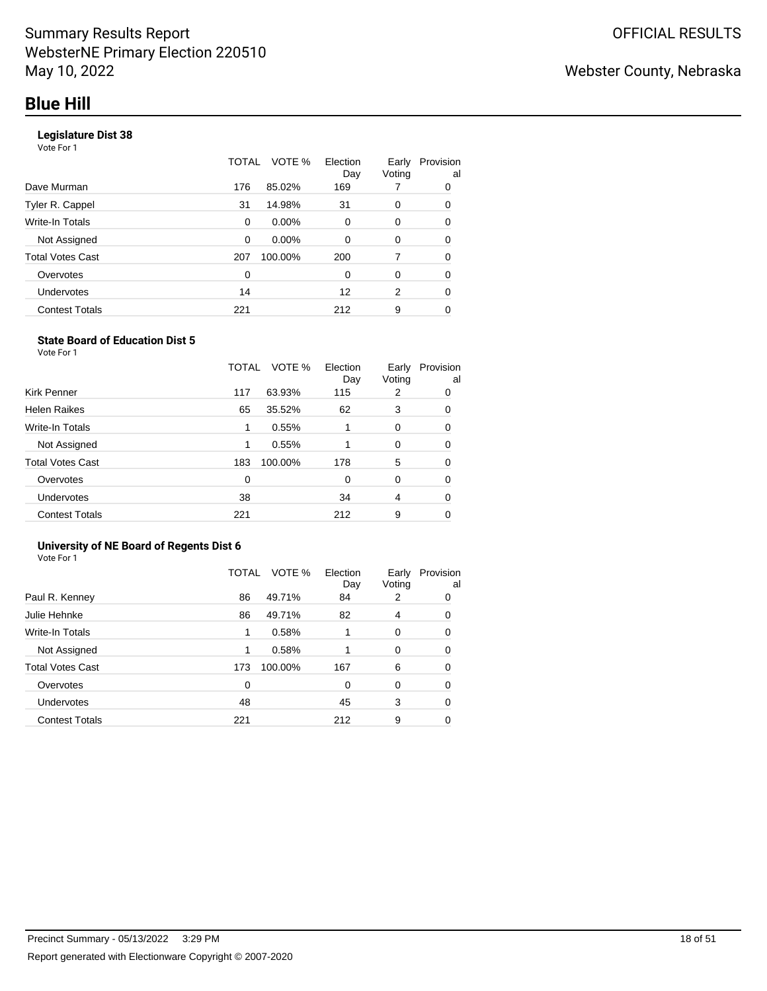### **Legislature Dist 38**

Vote For 1

|                       | TOTAL | VOTE %   | Election<br>Day | Early<br>Voting | Provision<br>al |
|-----------------------|-------|----------|-----------------|-----------------|-----------------|
| Dave Murman           | 176   | 85.02%   | 169             |                 | 0               |
| Tyler R. Cappel       | 31    | 14.98%   | 31              | 0               | 0               |
| Write-In Totals       | 0     | $0.00\%$ | $\Omega$        | 0               | 0               |
| Not Assigned          | 0     | 0.00%    | $\Omega$        | 0               | 0               |
| Total Votes Cast      | 207   | 100.00%  | 200             | 7               | 0               |
| Overvotes             | 0     |          | $\Omega$        | 0               | 0               |
| Undervotes            | 14    |          | 12              | 2               | 0               |
| <b>Contest Totals</b> | 221   |          | 212             | 9               | 0               |
|                       |       |          |                 |                 |                 |

#### **State Board of Education Dist 5** Vote For 1

|                         | TOTAL | VOTE %  | Election<br>Day | Early<br>Voting | Provision<br>al |
|-------------------------|-------|---------|-----------------|-----------------|-----------------|
| Kirk Penner             | 117   | 63.93%  | 115             | 2               | 0               |
| <b>Helen Raikes</b>     | 65    | 35.52%  | 62              | 3               | 0               |
| Write-In Totals         | 1     | 0.55%   |                 | 0               | 0               |
| Not Assigned            | 1     | 0.55%   |                 | 0               | 0               |
| <b>Total Votes Cast</b> | 183   | 100.00% | 178             | 5               | 0               |
| Overvotes               | 0     |         | $\Omega$        | 0               | 0               |
| Undervotes              | 38    |         | 34              | 4               | 0               |
| <b>Contest Totals</b>   | 221   |         | 212             | 9               | 0               |

#### **University of NE Board of Regents Dist 6** Vote For 1

|                         | TOTAL | VOTE %  | Election<br>Day | Early<br>Voting | Provision<br>a |
|-------------------------|-------|---------|-----------------|-----------------|----------------|
| Paul R. Kenney          | 86    | 49.71%  | 84              | 2               | 0              |
| Julie Hehnke            | 86    | 49.71%  | 82              | 4               | 0              |
| <b>Write-In Totals</b>  | 1     | 0.58%   |                 | 0               | 0              |
| Not Assigned            | 1     | 0.58%   |                 | 0               | 0              |
| <b>Total Votes Cast</b> | 173   | 100.00% | 167             | 6               | 0              |
| Overvotes               | 0     |         | 0               | 0               | 0              |
| <b>Undervotes</b>       | 48    |         | 45              | 3               | 0              |
| <b>Contest Totals</b>   | 221   |         | 212             | 9               |                |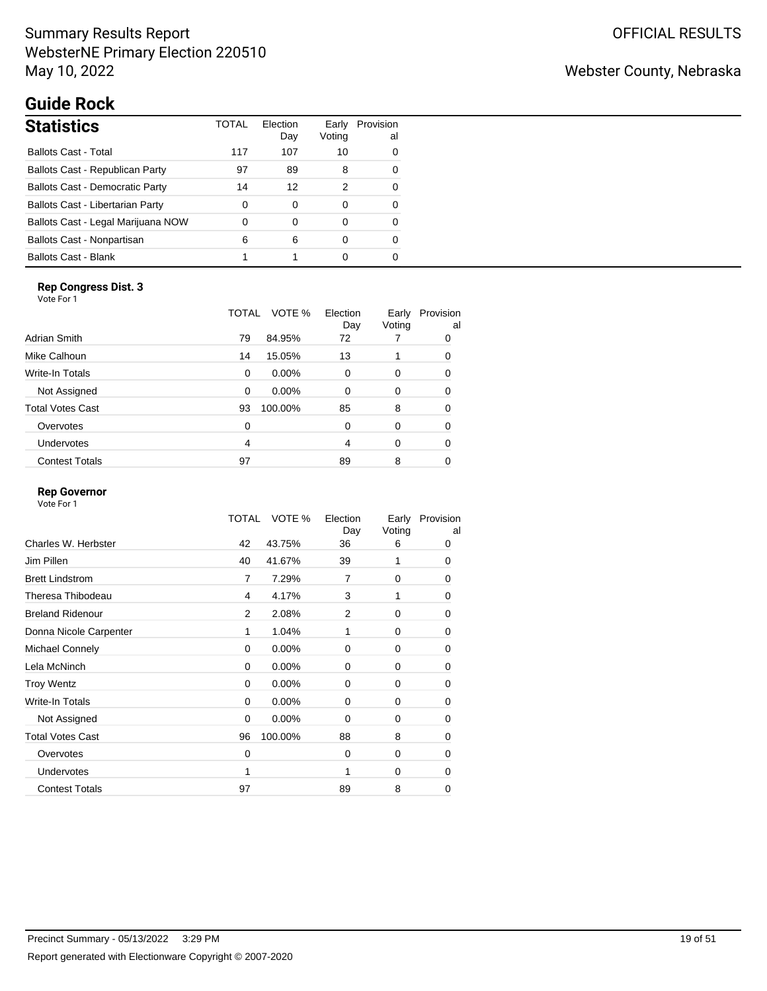# Summary Results Report WebsterNE Primary Election 220510 May 10, 2022

# Webster County, Nebraska

# **Guide Rock**

| <b>Statistics</b>                      | TOTAL | Flection<br>Day | Early<br>Voting | Provision<br>al |
|----------------------------------------|-------|-----------------|-----------------|-----------------|
| <b>Ballots Cast - Total</b>            | 117   | 107             | 10              | 0               |
| Ballots Cast - Republican Party        | 97    | 89              | 8               | 0               |
| <b>Ballots Cast - Democratic Party</b> | 14    | 12              | 2               | 0               |
| Ballots Cast - Libertarian Party       | 0     | 0               | 0               | 0               |
| Ballots Cast - Legal Marijuana NOW     | 0     | 0               | 0               | 0               |
| Ballots Cast - Nonpartisan             | 6     | 6               | 0               | $\Omega$        |
| Ballots Cast - Blank                   |       |                 |                 |                 |

## **Rep Congress Dist. 3**

| Vote For 1              |       |          |                 |                 |                 |
|-------------------------|-------|----------|-----------------|-----------------|-----------------|
|                         | TOTAL | VOTE %   | Election<br>Day | Early<br>Voting | Provision<br>al |
| Adrian Smith            | 79    | 84.95%   | 72              |                 | 0               |
| Mike Calhoun            | 14    | 15.05%   | 13              | 1               | 0               |
| Write-In Totals         | 0     | $0.00\%$ | 0               | 0               | 0               |
| Not Assigned            | 0     | $0.00\%$ | 0               | 0               | 0               |
| <b>Total Votes Cast</b> | 93    | 100.00%  | 85              | 8               | 0               |
| Overvotes               | 0     |          | 0               | $\Omega$        | 0               |
| Undervotes              | 4     |          | 4               | $\Omega$        | 0               |
| <b>Contest Totals</b>   | 97    |          | 89              | 8               |                 |

### **Rep Governor**

|                         | <b>TOTAL</b> | VOTE %   | Election<br>Day | Early<br>Voting | Provision<br>al |
|-------------------------|--------------|----------|-----------------|-----------------|-----------------|
| Charles W. Herbster     | 42           | 43.75%   | 36              | 6               | 0               |
| Jim Pillen              | 40           | 41.67%   | 39              | 1               | 0               |
| <b>Brett Lindstrom</b>  | 7            | 7.29%    | $\overline{7}$  | 0               | 0               |
| Theresa Thibodeau       | 4            | 4.17%    | 3               | 1               | 0               |
| <b>Breland Ridenour</b> | 2            | 2.08%    | 2               | 0               | 0               |
| Donna Nicole Carpenter  | 1            | 1.04%    | 1               | 0               | 0               |
| <b>Michael Connely</b>  | 0            | $0.00\%$ | 0               | 0               | 0               |
| Lela McNinch            | 0            | 0.00%    | $\Omega$        | 0               | 0               |
| <b>Troy Wentz</b>       | 0            | 0.00%    | $\Omega$        | 0               | 0               |
| Write-In Totals         | 0            | 0.00%    | 0               | 0               | 0               |
| Not Assigned            | 0            | 0.00%    | $\Omega$        | 0               | 0               |
| <b>Total Votes Cast</b> | 96           | 100.00%  | 88              | 8               | 0               |
| Overvotes               | $\mathbf 0$  |          | 0               | 0               | 0               |
| <b>Undervotes</b>       | 1            |          | 1               | 0               | 0               |
| <b>Contest Totals</b>   | 97           |          | 89              | 8               | 0               |
|                         |              |          |                 |                 |                 |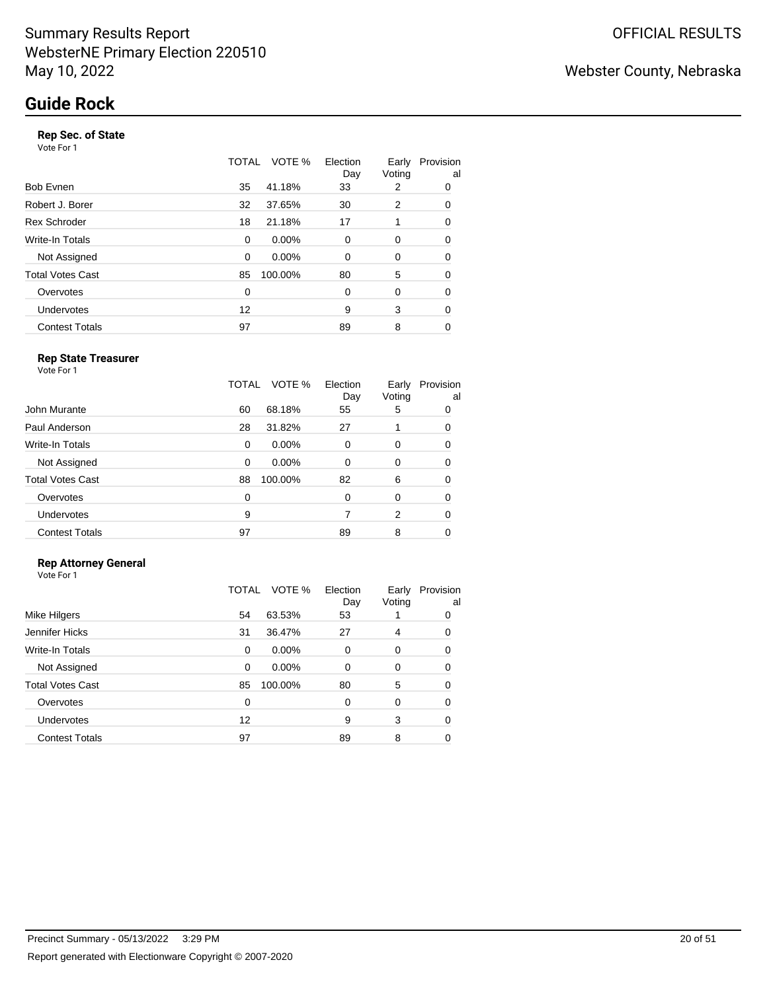### **Rep Sec. of State**

Vote For 1

|                       | TOTAL    | VOTE %   | Election<br>Day | Early<br>Voting | Provision<br>al |
|-----------------------|----------|----------|-----------------|-----------------|-----------------|
| Bob Evnen             | 35       | 41.18%   | 33              | 2               | 0               |
| Robert J. Borer       | 32       | 37.65%   | 30              | 2               | 0               |
| Rex Schroder          | 18       | 21.18%   | 17              | 1               | 0               |
| Write-In Totals       | $\Omega$ | $0.00\%$ | $\Omega$        | 0               | 0               |
| Not Assigned          | 0        | $0.00\%$ | 0               | 0               | 0               |
| Total Votes Cast      | 85       | 100.00%  | 80              | 5               | 0               |
| Overvotes             | 0        |          | 0               | 0               | 0               |
| Undervotes            | 12       |          | 9               | 3               | 0               |
| <b>Contest Totals</b> | 97       |          | 89              | 8               | 0               |

#### **Rep State Treasurer** Vote For 1

|                         | TOTAL | VOTE %   | Election<br>Day | Early<br>Voting | Provision<br>al |
|-------------------------|-------|----------|-----------------|-----------------|-----------------|
| John Murante            | 60    | 68.18%   | 55              | 5               | 0               |
| Paul Anderson           | 28    | 31.82%   | 27              |                 | 0               |
| <b>Write-In Totals</b>  | 0     | $0.00\%$ | 0               | 0               | 0               |
| Not Assigned            | 0     | $0.00\%$ | 0               | 0               | 0               |
| <b>Total Votes Cast</b> | 88    | 100.00%  | 82              | 6               | 0               |
| Overvotes               | 0     |          | 0               | $\Omega$        | 0               |
| Undervotes              | 9     |          |                 | 2               | $\Omega$        |
| <b>Contest Totals</b>   | 97    |          | 89              | 8               | 0               |

Overvotes 0 0 0 0 0 0 Undervotes and the control of the control of the control of the control of the control of the control of the control of the control of the control of the control of the control of the control of the control of the control Contest Totals **97** 89 8 0

Early Provision

al

## **Rep Attorney General**

| Vote For 1              |       |          |                 |                 |          |
|-------------------------|-------|----------|-----------------|-----------------|----------|
|                         | TOTAL | VOTE %   | Election<br>Day | Early<br>Voting | Provisio |
| Mike Hilgers            | 54    | 63.53%   | 53              |                 | 0        |
| Jennifer Hicks          | 31    | 36.47%   | 27              | $\overline{4}$  | 0        |
| Write-In Totals         | 0     | $0.00\%$ |                 | 0               | 0        |
| Not Assigned            | 0     | $0.00\%$ |                 | 0               | 0        |
| <b>Total Votes Cast</b> | 85    | 100.00%  | 80              | 5               | 0        |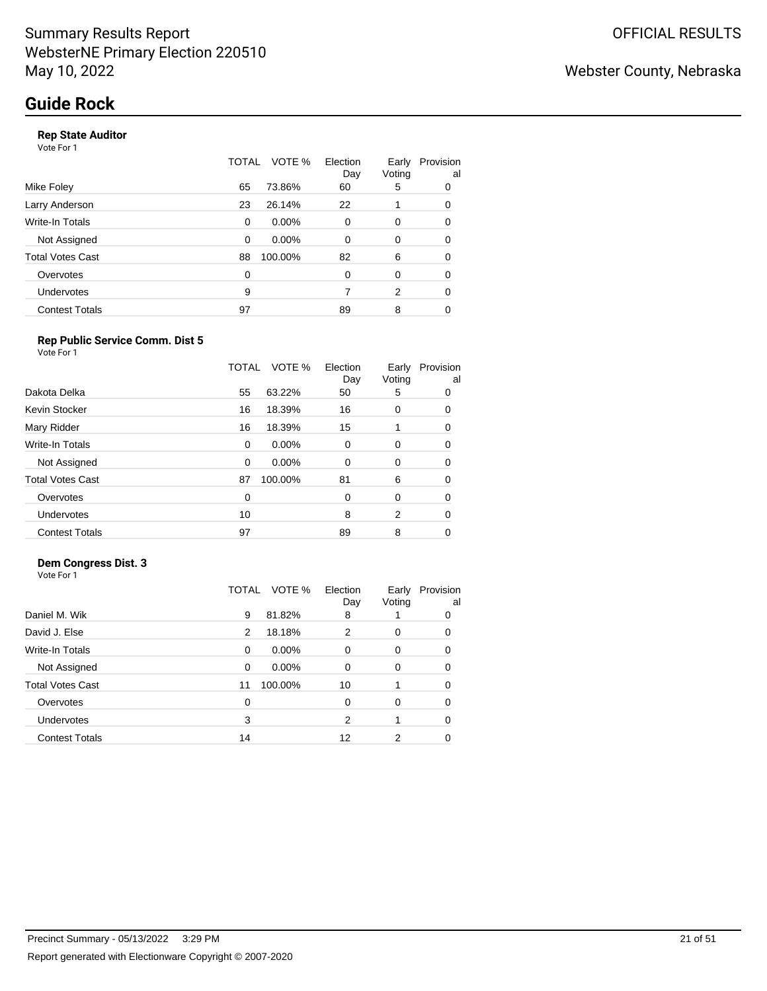### **Rep State Auditor**

Vote For 1

|                       | TOTAL | VOTE %   | Election<br>Day | Early<br>Voting | Provision<br>al |
|-----------------------|-------|----------|-----------------|-----------------|-----------------|
| Mike Foley            | 65    | 73.86%   | 60              | 5               | 0               |
| Larry Anderson        | 23    | 26.14%   | 22              |                 | 0               |
| Write-In Totals       | 0     | $0.00\%$ | $\Omega$        | 0               | 0               |
| Not Assigned          | 0     | $0.00\%$ | 0               | 0               | 0               |
| Total Votes Cast      | 88    | 100.00%  | 82              | 6               | 0               |
| Overvotes             | 0     |          | $\Omega$        | 0               | 0               |
| Undervotes            | 9     |          | 7               | 2               | 0               |
| <b>Contest Totals</b> | 97    |          | 89              | 8               | 0               |
|                       |       |          |                 |                 |                 |

### **Rep Public Service Comm. Dist 5**

|                         | TOTAL | VOTE %   | Election<br>Day | Early<br>Voting | Provision<br>al |
|-------------------------|-------|----------|-----------------|-----------------|-----------------|
| Dakota Delka            | 55    | 63.22%   | 50              | 5               | 0               |
| Kevin Stocker           | 16    | 18.39%   | 16              | 0               | 0               |
| Mary Ridder             | 16    | 18.39%   | 15              | 1               | 0               |
| Write-In Totals         | 0     | $0.00\%$ | $\Omega$        | $\Omega$        | 0               |
| Not Assigned            | 0     | $0.00\%$ | $\Omega$        | 0               | 0               |
| <b>Total Votes Cast</b> | 87    | 100.00%  | 81              | 6               | 0               |
| Overvotes               | 0     |          | $\Omega$        | $\Omega$        | 0               |
| Undervotes              | 10    |          | 8               | 2               | 0               |
| <b>Contest Totals</b>   | 97    |          | 89              | 8               |                 |

## **Dem Congress Dist. 3**

Vote For 1

|                         | VOTE %<br>TOTAL | Election<br>Day | Early<br>Voting | Provision<br>al |
|-------------------------|-----------------|-----------------|-----------------|-----------------|
| Daniel M. Wik           | 81.82%<br>9     | 8               |                 | 0               |
| David J. Else           | 18.18%<br>2     | 2               | 0               | 0               |
| <b>Write-In Totals</b>  | $0.00\%$<br>0   | 0               | 0               | 0               |
| Not Assigned            | $0.00\%$<br>0   | 0               | 0               | 0               |
| <b>Total Votes Cast</b> | 100.00%<br>11   | 10              |                 | 0               |
| Overvotes               | 0               | 0               | $\Omega$        | 0               |
| <b>Undervotes</b>       | 3               | $\overline{2}$  |                 | 0               |
| <b>Contest Totals</b>   | 14              | 12              | 2               | 0               |
|                         |                 |                 |                 |                 |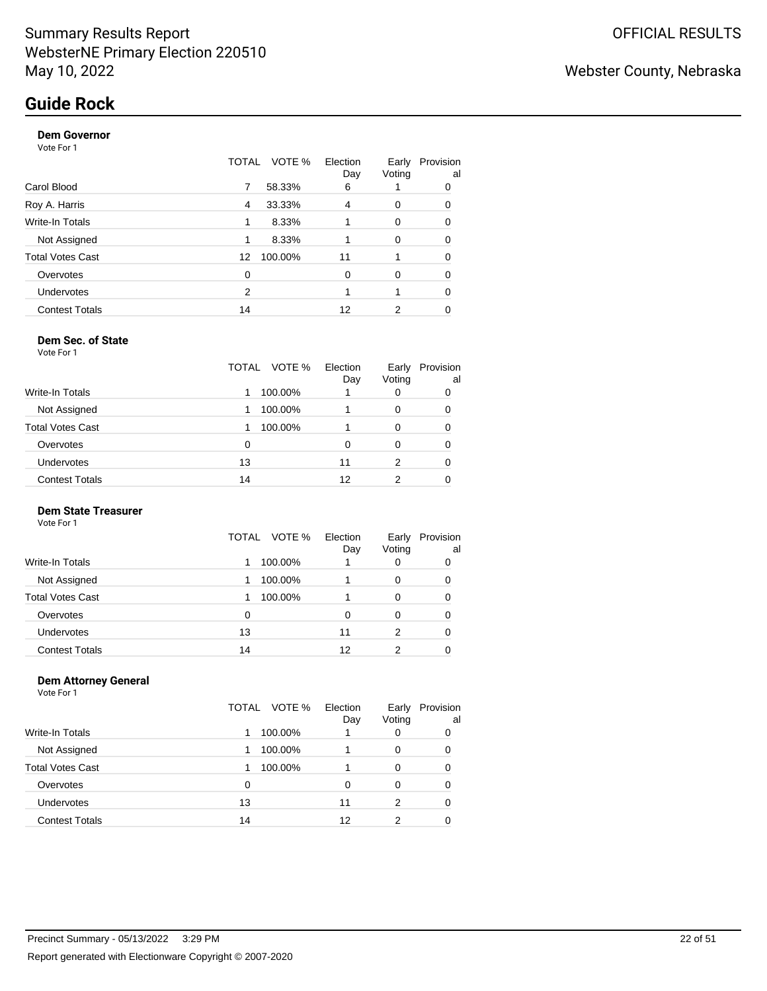#### **Dem Governor**

Vote For 1

|                         | TOTAL    | VOTE %  | Election<br>Day | Early<br>Voting | Provision<br>a |
|-------------------------|----------|---------|-----------------|-----------------|----------------|
| Carol Blood             | 7        | 58.33%  | 6               |                 | O              |
| Roy A. Harris           | 4        | 33.33%  | 4               | 0               | 0              |
| Write-In Totals         | 1        | 8.33%   |                 | 0               | 0              |
| Not Assigned            | 1        | 8.33%   |                 | 0               | 0              |
| <b>Total Votes Cast</b> | 12       | 100.00% | 11              |                 | 0              |
| Overvotes               | $\Omega$ |         | $\Omega$        | $\Omega$        | O              |
| Undervotes              | 2        |         |                 |                 | 0              |
| <b>Contest Totals</b>   | 14       |         | 12              | 2               |                |

#### **Dem Sec. of State** Vote For 1

|                         |              | TOTAL VOTE % | Election<br>Day | Early<br>Voting | Provision<br>al |
|-------------------------|--------------|--------------|-----------------|-----------------|-----------------|
| Write-In Totals         |              | 100.00%      |                 | O               | 0               |
| Not Assigned            |              | 100.00%      |                 | 0               | Ω               |
| <b>Total Votes Cast</b> |              | 100.00%      |                 | O               | 0               |
| Overvotes               | <sup>0</sup> |              |                 | 0               | 0               |
| Undervotes              | 13           |              | 11              | 2               | 0               |
| <b>Contest Totals</b>   | 14           |              | 12              | າ               |                 |

## **Dem State Treasurer**

Vote For 1

|                         | TOTAL | VOTE %  | Election<br>Day | Early<br>Voting | Provision<br>a |
|-------------------------|-------|---------|-----------------|-----------------|----------------|
| <b>Write-In Totals</b>  | 1     | 100.00% |                 | 0               | 0              |
| Not Assigned            | 1     | 100.00% |                 | 0               | 0              |
| <b>Total Votes Cast</b> |       | 100.00% |                 | 0               | O              |
| Overvotes               | 0     |         | 0               | 0               |                |
| <b>Undervotes</b>       | 13    |         | 11              | 2               | O              |
| <b>Contest Totals</b>   | 14    |         | 12              | 2               |                |

#### **Dem Attorney General** Vote For 1

|                         | TOTAL | VOTE %  | Election<br>Day | Early<br>Voting | Provision<br>al |
|-------------------------|-------|---------|-----------------|-----------------|-----------------|
| <b>Write-In Totals</b>  | 1     | 100.00% |                 | 0               | 0               |
| Not Assigned            | 1     | 100.00% |                 | 0               | 0               |
| <b>Total Votes Cast</b> |       | 100.00% |                 | 0               | 0               |
| Overvotes               | 0     |         | O               | 0               |                 |
| Undervotes              | 13    |         | 11              | 2               |                 |
| <b>Contest Totals</b>   | 14    |         | 12              | 2               |                 |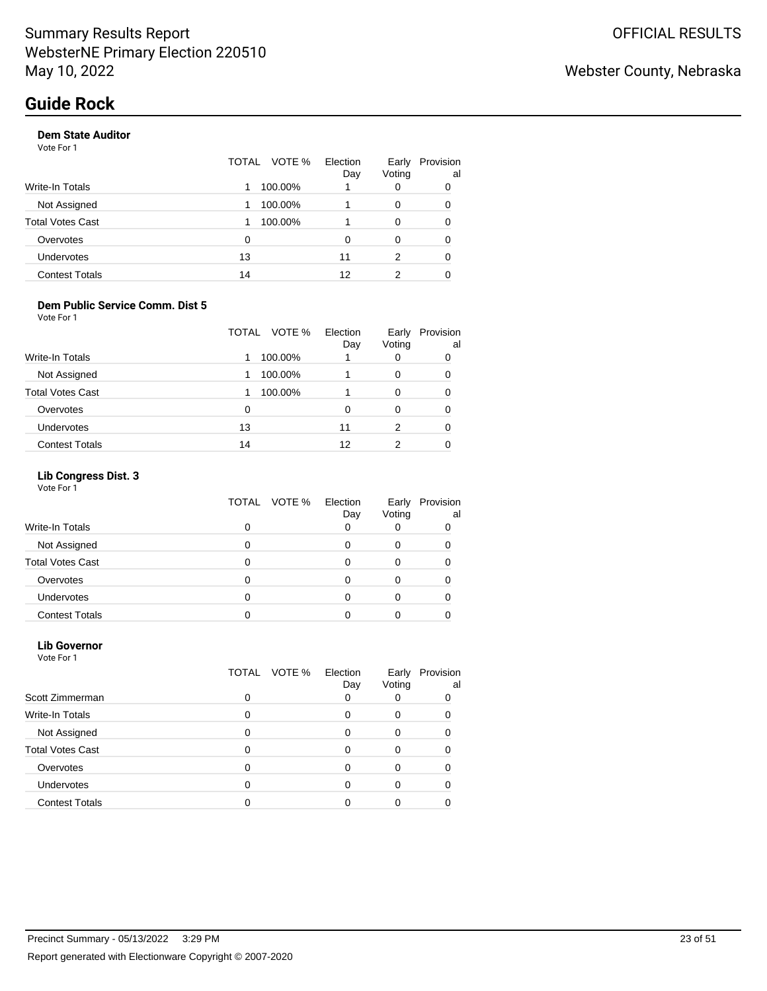### **Dem State Auditor**

Vote For 1

|                       | TOTAL | VOTE %  | Election<br>Day | Early<br>Voting | Provision<br>al |
|-----------------------|-------|---------|-----------------|-----------------|-----------------|
| Write-In Totals       |       | 100.00% |                 | 0               | 0               |
| Not Assigned          |       | 100.00% |                 | 0               | 0               |
| Total Votes Cast      |       | 100.00% |                 | 0               | 0               |
| Overvotes             | 0     |         | 0               | 0               | 0               |
| <b>Undervotes</b>     | 13    |         | 11              | 2               | 0               |
| <b>Contest Totals</b> | 14    |         | 12              | 2               | 0               |

### **Dem Public Service Comm. Dist 5**

Vote For 1

|                         | VOTE %<br>TOTAL | Election<br>Day | Early<br>Voting | Provision<br>al |
|-------------------------|-----------------|-----------------|-----------------|-----------------|
| <b>Write-In Totals</b>  | 100.00%         |                 | 0               | 0               |
| Not Assigned            | 100.00%         |                 | 0               | 0               |
| <b>Total Votes Cast</b> | 100.00%         |                 | 0               | 0               |
| Overvotes               | 0               | 0               | 0               | 0               |
| Undervotes              | 13              | 11              | 2               | 0               |
| <b>Contest Totals</b>   | 14              | 12              | 2               |                 |

#### **Lib Congress Dist. 3**

Vote For 1

|                         | TOTAL VOTE % | Election<br>Day | Early<br>Voting | Provision<br>al |
|-------------------------|--------------|-----------------|-----------------|-----------------|
| <b>Write-In Totals</b>  | 0            |                 |                 |                 |
| Not Assigned            | 0            |                 |                 |                 |
| <b>Total Votes Cast</b> | 0            |                 |                 |                 |
| Overvotes               | O            |                 |                 |                 |
| <b>Undervotes</b>       |              |                 |                 |                 |
| <b>Contest Totals</b>   |              |                 |                 |                 |

#### **Lib Governor** Vote For 1

|                         | TOTAL | VOTE % | Election<br>Day | Early<br>Voting | Provision<br>al |
|-------------------------|-------|--------|-----------------|-----------------|-----------------|
| Scott Zimmerman         | 0     |        |                 |                 |                 |
| Write-In Totals         | ი     |        | 0               |                 | Ω               |
| Not Assigned            | 0     |        | n               |                 |                 |
| <b>Total Votes Cast</b> | 0     |        |                 |                 |                 |
| Overvotes               |       |        |                 |                 |                 |
| <b>Undervotes</b>       |       |        |                 |                 |                 |
| <b>Contest Totals</b>   |       |        |                 |                 |                 |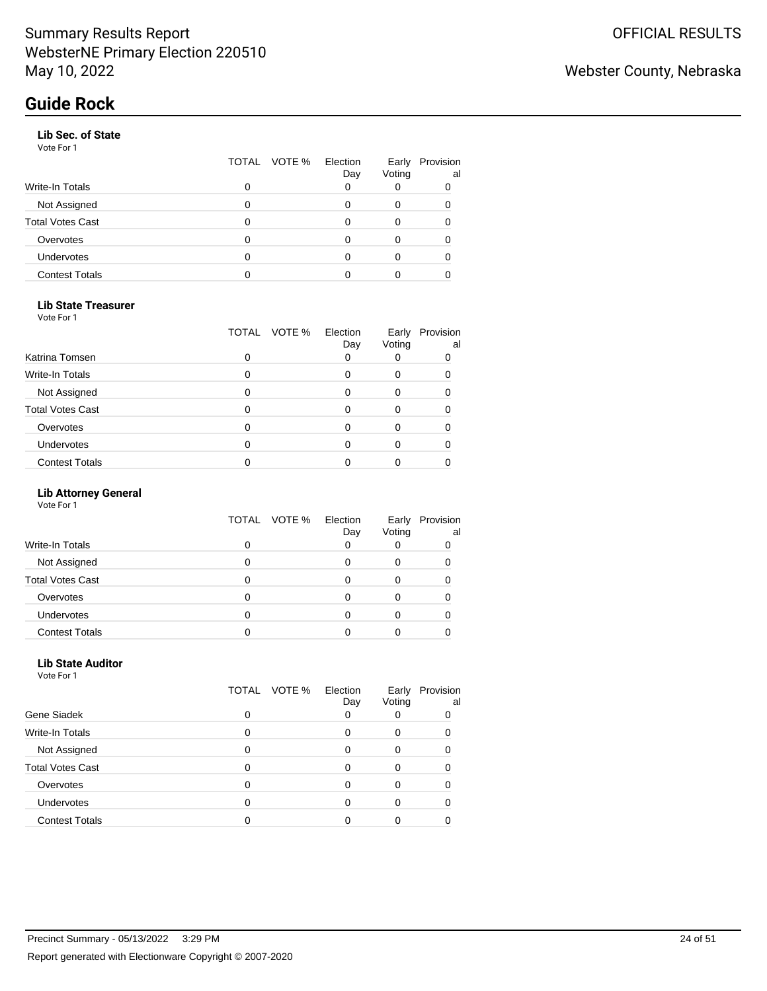## **Lib Sec. of State**

Vote For 1

|                         | TOTAL | VOTE % | Election<br>Day | Early<br>Voting | Provision<br>al |
|-------------------------|-------|--------|-----------------|-----------------|-----------------|
| <b>Write-In Totals</b>  | 0     |        | Ω               |                 |                 |
| Not Assigned            |       |        |                 | O               |                 |
| <b>Total Votes Cast</b> |       |        |                 |                 |                 |
| Overvotes               |       |        |                 |                 |                 |
| <b>Undervotes</b>       |       |        |                 | O               |                 |
| <b>Contest Totals</b>   |       |        |                 |                 |                 |

## **Lib State Treasurer**

Vote For 1

|                         |   | TOTAL VOTE % | Election<br>Day | Early<br>Voting | Provision<br>al |
|-------------------------|---|--------------|-----------------|-----------------|-----------------|
| Katrina Tomsen          | O |              |                 |                 |                 |
| <b>Write-In Totals</b>  | O |              | O               | Ω               |                 |
| Not Assigned            | ი |              |                 |                 |                 |
| <b>Total Votes Cast</b> | ი |              |                 |                 |                 |
| Overvotes               | O |              |                 | O               |                 |
| <b>Undervotes</b>       | ი |              |                 |                 |                 |
| <b>Contest Totals</b>   |   |              |                 |                 |                 |

### **Lib Attorney General**

Vote For 1

|                         | TOTAL VOTE % | Election<br>Day | Early<br>Voting | Provision<br>al |
|-------------------------|--------------|-----------------|-----------------|-----------------|
| <b>Write-In Totals</b>  |              |                 |                 |                 |
| Not Assigned            |              |                 | O               |                 |
| <b>Total Votes Cast</b> | O            |                 | 0               |                 |
| Overvotes               |              |                 | 0               |                 |
| <b>Undervotes</b>       |              |                 |                 |                 |
| <b>Contest Totals</b>   |              |                 |                 |                 |

#### **Lib State Auditor** Vote For 1

|                         |   | TOTAL VOTE % | Election<br>Day | Early<br>Voting | Provision<br>al |
|-------------------------|---|--------------|-----------------|-----------------|-----------------|
| Gene Siadek             |   |              |                 |                 | O               |
| Write-In Totals         | O |              | 0               | 0               | 0               |
| Not Assigned            | ი |              | O               | 0               |                 |
| <b>Total Votes Cast</b> | ი |              | 0               | 0               |                 |
| Overvotes               |   |              |                 |                 |                 |
| <b>Undervotes</b>       |   |              |                 | 0               |                 |
| <b>Contest Totals</b>   |   |              |                 |                 |                 |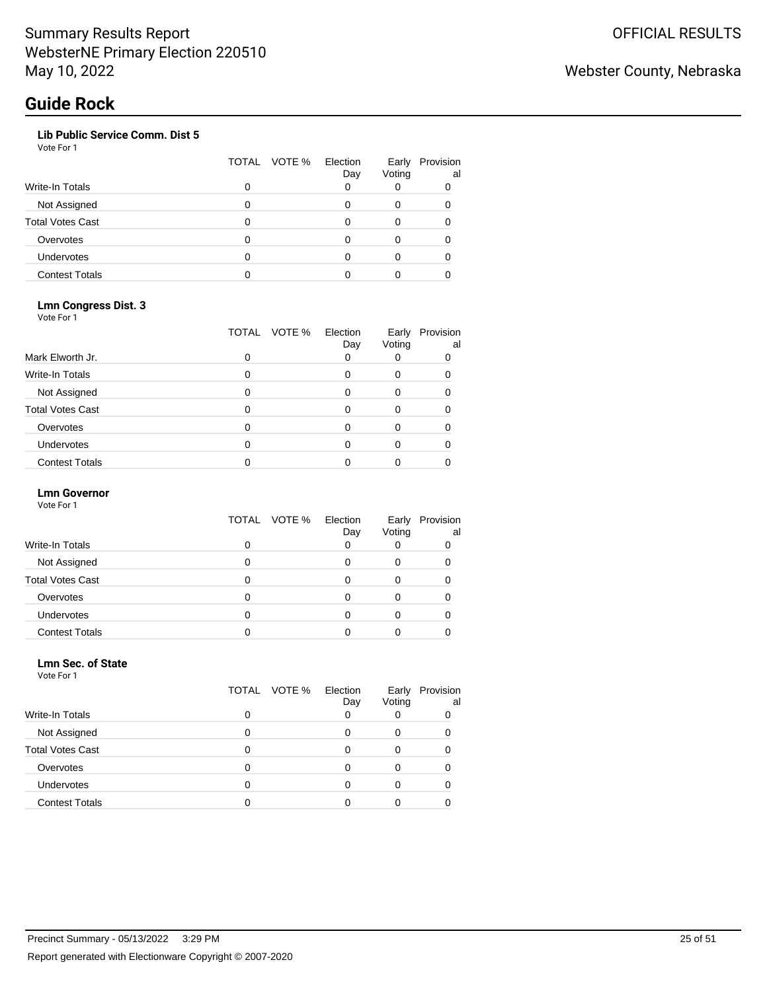### **Lib Public Service Comm. Dist 5**

Vote For 1

|                         | TOTAL | VOTE % | Election<br>Day | Early<br>Voting | Provision<br>al |
|-------------------------|-------|--------|-----------------|-----------------|-----------------|
| <b>Write-In Totals</b>  | 0     |        | O               |                 |                 |
| Not Assigned            | 0     |        | ი               | 0               |                 |
| <b>Total Votes Cast</b> | 0     |        |                 | 0               |                 |
| Overvotes               | 0     |        | Ω               | 0               |                 |
| <b>Undervotes</b>       | O     |        | Ω               | O               |                 |
| <b>Contest Totals</b>   |       |        |                 |                 |                 |

### **Lmn Congress Dist. 3**

Vote For 1

|                         | TOTAL | VOTE % | Election<br>Day | Early<br>Voting | Provision<br>al |
|-------------------------|-------|--------|-----------------|-----------------|-----------------|
| Mark Elworth Jr.        | 0     |        | 0               |                 |                 |
| Write-In Totals         | 0     |        | 0               | 0               |                 |
| Not Assigned            | O     |        | 0               | 0               |                 |
| <b>Total Votes Cast</b> | 0     |        | 0               | 0               |                 |
| Overvotes               | O     |        | 0               | 0               |                 |
| <b>Undervotes</b>       | ი     |        | ი               | 0               |                 |
| <b>Contest Totals</b>   |       |        |                 |                 |                 |

#### **Lmn Governor**

Vote For 1

|                         | TOTAL VOTE % | Election<br>Day | Early<br>Voting | Provision<br>al |
|-------------------------|--------------|-----------------|-----------------|-----------------|
| <b>Write-In Totals</b>  |              |                 |                 |                 |
| Not Assigned            |              |                 |                 |                 |
| <b>Total Votes Cast</b> | 0            |                 |                 |                 |
| Overvotes               |              |                 |                 |                 |
| <b>Undervotes</b>       |              |                 |                 |                 |
| <b>Contest Totals</b>   |              |                 |                 |                 |

#### **Lmn Sec. of State** Vote For 1

|                         |   | TOTAL VOTE % | Election<br>Day | Early<br>Voting | Provision<br>al |
|-------------------------|---|--------------|-----------------|-----------------|-----------------|
| Write-In Totals         | 0 |              | 0               |                 |                 |
| Not Assigned            | ი |              | 0               | 0               |                 |
| <b>Total Votes Cast</b> | O |              | O               | 0               |                 |
| Overvotes               | n |              | ი               | 0               |                 |
| <b>Undervotes</b>       | O |              | Ω               | 0               |                 |
| <b>Contest Totals</b>   |   |              |                 |                 |                 |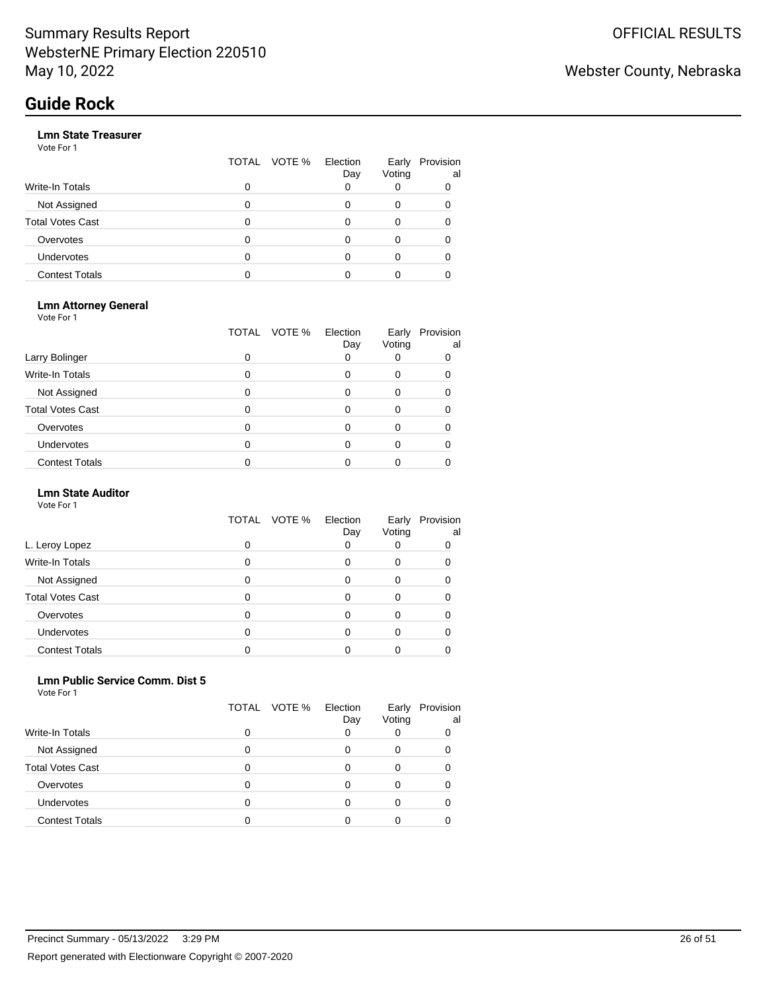### **Lmn State Treasurer**

Vote For 1

|                         | TOTAL | VOTE % | Election<br>Day | Early<br>Voting | Provision<br>al |
|-------------------------|-------|--------|-----------------|-----------------|-----------------|
| <b>Write-In Totals</b>  | ი     |        | Ω               |                 |                 |
| Not Assigned            |       |        | O               | 0               |                 |
| <b>Total Votes Cast</b> |       |        |                 | 0               |                 |
| Overvotes               | 0     |        |                 | 0               |                 |
| <b>Undervotes</b>       | 0     |        |                 | O               |                 |
| <b>Contest Totals</b>   |       |        |                 |                 |                 |

#### **Lmn Attorney General**

Vote For 1

|                         | TOTAL | VOTE % | Election<br>Day | Early<br>Voting | Provision<br>al |
|-------------------------|-------|--------|-----------------|-----------------|-----------------|
| Larry Bolinger          | 0     |        | 0               |                 | 0               |
| Write-In Totals         | 0     |        | 0               | 0               | 0               |
| Not Assigned            | O     |        | Ω               | 0               |                 |
| <b>Total Votes Cast</b> | 0     |        | 0               | 0               |                 |
| Overvotes               | O     |        | Ω               | 0               |                 |
| <b>Undervotes</b>       | ი     |        |                 |                 |                 |
| <b>Contest Totals</b>   |       |        |                 |                 |                 |

#### **Lmn State Auditor**

Vote For 1

|                         | TOTAL | VOTE % | Election<br>Day | Early<br>Voting | Provision<br>al |
|-------------------------|-------|--------|-----------------|-----------------|-----------------|
| L. Leroy Lopez          | Ω     |        |                 |                 |                 |
| Write-In Totals         | 0     |        | 0               | 0               | 0               |
| Not Assigned            | 0     |        | ი               |                 |                 |
| <b>Total Votes Cast</b> |       |        | 0               | 0               |                 |
| Overvotes               | O     |        | 0               | 0               |                 |
| <b>Undervotes</b>       |       |        | ი               |                 |                 |
| <b>Contest Totals</b>   |       |        |                 |                 |                 |

#### **Lmn Public Service Comm. Dist 5** Vote For 1

|                         | TOTAL VOTE % | Election<br>Day | Early<br>Voting | Provision<br>al |
|-------------------------|--------------|-----------------|-----------------|-----------------|
| <b>Write-In Totals</b>  |              |                 |                 |                 |
| Not Assigned            |              |                 |                 |                 |
| <b>Total Votes Cast</b> |              |                 |                 |                 |
| Overvotes               |              |                 |                 |                 |
| <b>Undervotes</b>       |              |                 |                 |                 |
| <b>Contest Totals</b>   |              |                 |                 |                 |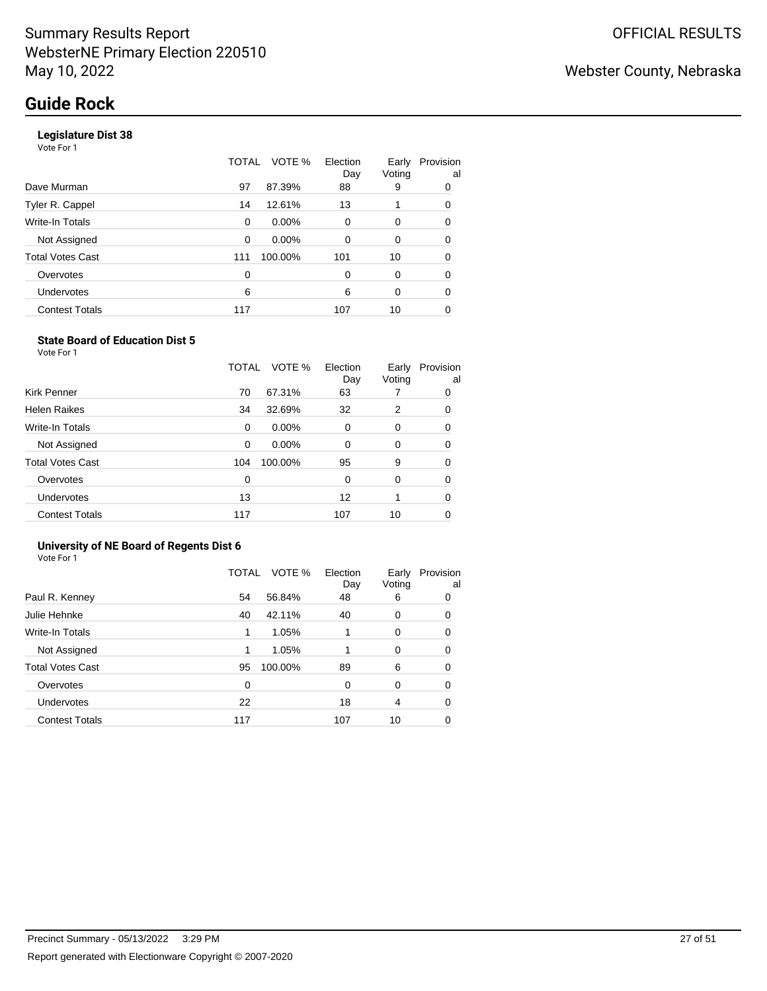## **Legislature Dist 38**

Vote For 1

|                       | TOTAL | VOTE %   | Election<br>Day | Early<br>Voting | Provision<br>al |
|-----------------------|-------|----------|-----------------|-----------------|-----------------|
| Dave Murman           | 97    | 87.39%   | 88              | 9               | 0               |
| Tyler R. Cappel       | 14    | 12.61%   | 13              |                 | 0               |
| Write-In Totals       | 0     | $0.00\%$ | $\Omega$        | 0               | 0               |
| Not Assigned          | 0     | $0.00\%$ | $\Omega$        | 0               | 0               |
| Total Votes Cast      | 111   | 100.00%  | 101             | 10              | 0               |
| Overvotes             | 0     |          | $\Omega$        | 0               | 0               |
| Undervotes            | 6     |          | 6               | 0               | 0               |
| <b>Contest Totals</b> | 117   |          | 107             | 10              | 0               |
|                       |       |          |                 |                 |                 |

#### **State Board of Education Dist 5** Vote For 1

|                         | TOTAL    | VOTE %   | Election<br>Day | Early<br>Voting | Provision<br>al |
|-------------------------|----------|----------|-----------------|-----------------|-----------------|
| Kirk Penner             | 70       | 67.31%   | 63              |                 | 0               |
| <b>Helen Raikes</b>     | 34       | 32.69%   | 32              | 2               | 0               |
| Write-In Totals         | $\Omega$ | $0.00\%$ | $\Omega$        | 0               | 0               |
| Not Assigned            | $\Omega$ | 0.00%    | $\Omega$        | 0               | 0               |
| <b>Total Votes Cast</b> | 104      | 100.00%  | 95              | 9               | 0               |
| Overvotes               | 0        |          | $\Omega$        | 0               | 0               |
| Undervotes              | 13       |          | 12              |                 | 0               |
| <b>Contest Totals</b>   | 117      |          | 107             | 10              |                 |

#### **University of NE Board of Regents Dist 6** Vote For 1

|                         | TOTAL | VOTE %  | Election<br>Day | Early<br>Voting | Provision<br>al |
|-------------------------|-------|---------|-----------------|-----------------|-----------------|
| Paul R. Kenney          | 54    | 56.84%  | 48              | 6               | 0               |
| Julie Hehnke            | 40    | 42.11%  | 40              | 0               | 0               |
| <b>Write-In Totals</b>  | 1     | 1.05%   |                 | 0               | 0               |
| Not Assigned            | 1     | 1.05%   |                 | 0               | 0               |
| <b>Total Votes Cast</b> | 95    | 100.00% | 89              | 6               | 0               |
| Overvotes               | 0     |         | 0               | 0               | 0               |
| Undervotes              | 22    |         | 18              | 4               | 0               |
| <b>Contest Totals</b>   | 117   |         | 107             | 10              | 0               |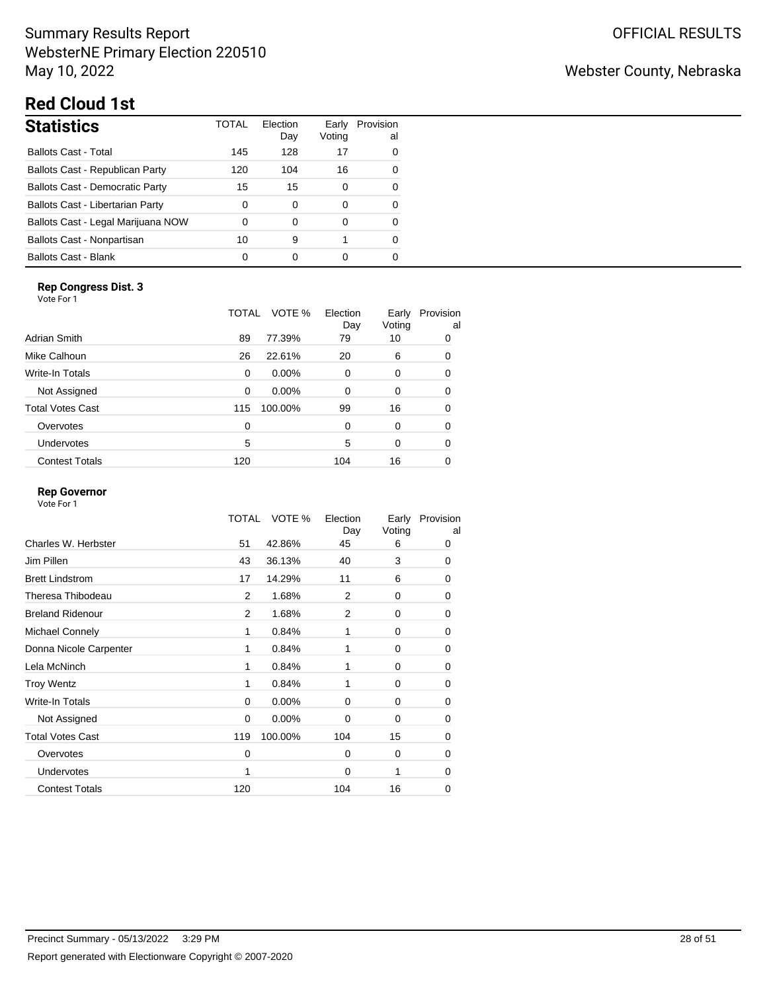# Summary Results Report WebsterNE Primary Election 220510 May 10, 2022

# Webster County, Nebraska

# **Red Cloud 1st**

| <b>Statistics</b>                      | TOTAL | Flection<br>Day | Early<br>Voting | Provision<br>al |
|----------------------------------------|-------|-----------------|-----------------|-----------------|
| <b>Ballots Cast - Total</b>            | 145   | 128             | 17              | 0               |
| Ballots Cast - Republican Party        | 120   | 104             | 16              | 0               |
| <b>Ballots Cast - Democratic Party</b> | 15    | 15              | 0               | 0               |
| Ballots Cast - Libertarian Party       | 0     | 0               | 0               | ∩               |
| Ballots Cast - Legal Marijuana NOW     | 0     | 0               | 0               | ∩               |
| Ballots Cast - Nonpartisan             | 10    | 9               |                 | ∩               |
| Ballots Cast - Blank                   |       |                 |                 |                 |

## **Rep Congress Dist. 3**

| Vote For 1              |       |          |                 |                 |                 |
|-------------------------|-------|----------|-----------------|-----------------|-----------------|
|                         | TOTAL | VOTE %   | Election<br>Day | Early<br>Voting | Provision<br>al |
| Adrian Smith            | 89    | 77.39%   | 79              | 10              | 0               |
| Mike Calhoun            | 26    | 22.61%   | 20              | 6               | 0               |
| Write-In Totals         | 0     | $0.00\%$ | $\Omega$        | 0               | 0               |
| Not Assigned            | 0     | $0.00\%$ | $\Omega$        | 0               | 0               |
| <b>Total Votes Cast</b> | 115   | 100.00%  | 99              | 16              | 0               |
| Overvotes               | 0     |          | $\Omega$        | 0               | 0               |
| <b>Undervotes</b>       | 5     |          | 5               | 0               | 0               |
| <b>Contest Totals</b>   | 120   |          | 104             | 16              | 0               |

#### **Rep Governor**

|                         | TOTAL       | VOTE %  | Election<br>Day | Early<br>Voting | Provision<br>al |
|-------------------------|-------------|---------|-----------------|-----------------|-----------------|
| Charles W. Herbster     | 51          | 42.86%  | 45              | 6               | 0               |
| Jim Pillen              | 43          | 36.13%  | 40              | 3               | 0               |
| <b>Brett Lindstrom</b>  | 17          | 14.29%  | 11              | 6               | 0               |
| Theresa Thibodeau       | 2           | 1.68%   | 2               | 0               | 0               |
| <b>Breland Ridenour</b> | 2           | 1.68%   | 2               | 0               | 0               |
| Michael Connely         | 1           | 0.84%   | 1               | 0               | 0               |
| Donna Nicole Carpenter  | 1           | 0.84%   | 1               | 0               | 0               |
| Lela McNinch            | 1           | 0.84%   | 1               | 0               | 0               |
| <b>Troy Wentz</b>       | 1           | 0.84%   | 1               | 0               | 0               |
| Write-In Totals         | 0           | 0.00%   | 0               | 0               | 0               |
| Not Assigned            | 0           | 0.00%   | $\Omega$        | 0               | 0               |
| <b>Total Votes Cast</b> | 119         | 100.00% | 104             | 15              | 0               |
| Overvotes               | $\mathbf 0$ |         | $\Omega$        | 0               | 0               |
| <b>Undervotes</b>       | 1           |         | 0               | 1               | 0               |
| <b>Contest Totals</b>   | 120         |         | 104             | 16              | 0               |
|                         |             |         |                 |                 |                 |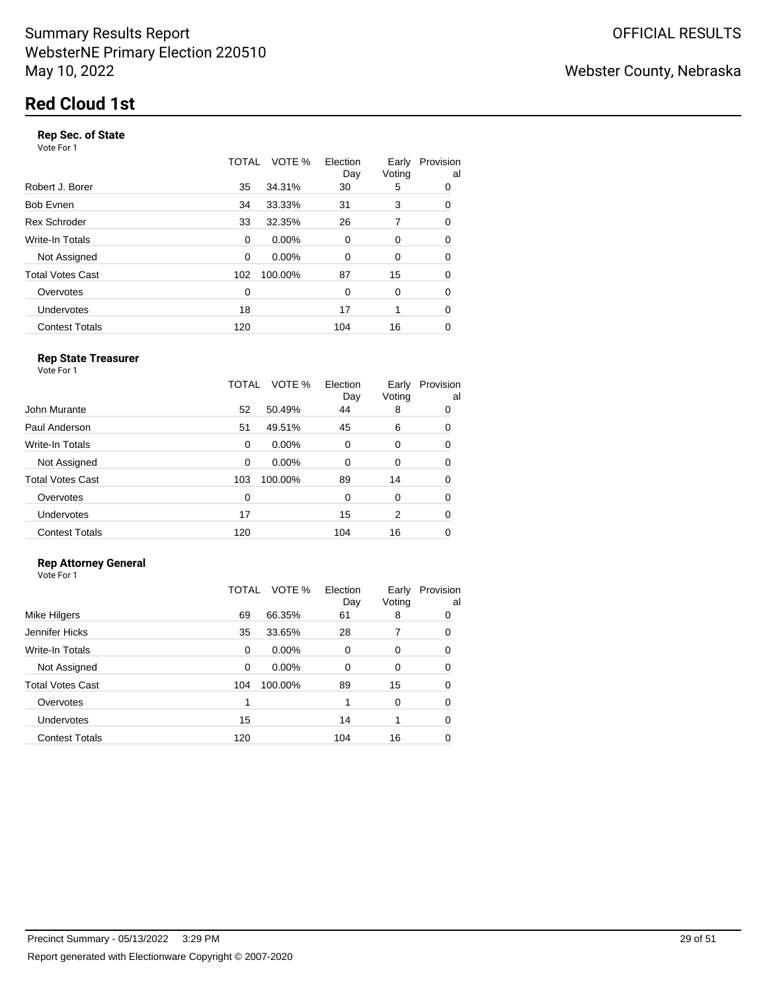## **Rep Sec. of State**

Vote For 1

|                       | TOTAL | VOTE %   | Election<br>Day | Early<br>Voting | Provision<br>al |
|-----------------------|-------|----------|-----------------|-----------------|-----------------|
| Robert J. Borer       | 35    | 34.31%   | 30              | 5               | 0               |
| Bob Evnen             | 34    | 33.33%   | 31              | 3               | 0               |
| <b>Rex Schroder</b>   | 33    | 32.35%   | 26              | 7               | 0               |
| Write-In Totals       | 0     | $0.00\%$ | $\Omega$        | 0               | 0               |
| Not Assigned          | 0     | 0.00%    | 0               | 0               | 0               |
| Total Votes Cast      | 102   | 100.00%  | 87              | 15              | 0               |
| Overvotes             | 0     |          | 0               | 0               | 0               |
| Undervotes            | 18    |          | 17              | 1               | 0               |
| <b>Contest Totals</b> | 120   |          | 104             | 16              | 0               |

#### **Rep State Treasurer** Vote For 1

| John Murante            | TOTAL<br>52 | VOTE %<br>50.49% | Election<br>Day<br>44 | Early<br>Voting<br>8 | Provision<br>al |
|-------------------------|-------------|------------------|-----------------------|----------------------|-----------------|
|                         |             |                  |                       |                      | 0               |
| Paul Anderson           | 51          | 49.51%           | 45                    | 6                    | 0               |
| <b>Write-In Totals</b>  | 0           | $0.00\%$         | 0                     | 0                    | 0               |
| Not Assigned            | 0           | $0.00\%$         | 0                     | 0                    | 0               |
| <b>Total Votes Cast</b> | 103         | 100.00%          | 89                    | 14                   | 0               |
| Overvotes               | 0           |                  | 0                     | $\Omega$             | 0               |
| Undervotes              | 17          |                  | 15                    | 2                    | 0               |
| <b>Contest Totals</b>   | 120         |                  | 104                   | 16                   | 0               |

## **Rep Attorney General**

| Vote For 1 |  |
|------------|--|
|            |  |

|                         | TOTAL | VOTE %   | Election<br>Day | Early<br>Voting | Provision<br>al |
|-------------------------|-------|----------|-----------------|-----------------|-----------------|
| Mike Hilgers            | 69    | 66.35%   | 61              | 8               | 0               |
| Jennifer Hicks          | 35    | 33.65%   | 28              | 7               | 0               |
| Write-In Totals         | 0     | $0.00\%$ | 0               | 0               | 0               |
| Not Assigned            | 0     | 0.00%    | 0               | 0               | 0               |
| <b>Total Votes Cast</b> | 104   | 100.00%  | 89              | 15              | 0               |
| Overvotes               | 1     |          |                 | 0               | 0               |
| Undervotes              | 15    |          | 14              |                 | 0               |
| <b>Contest Totals</b>   | 120   |          | 104             | 16              | 0               |
|                         |       |          |                 |                 |                 |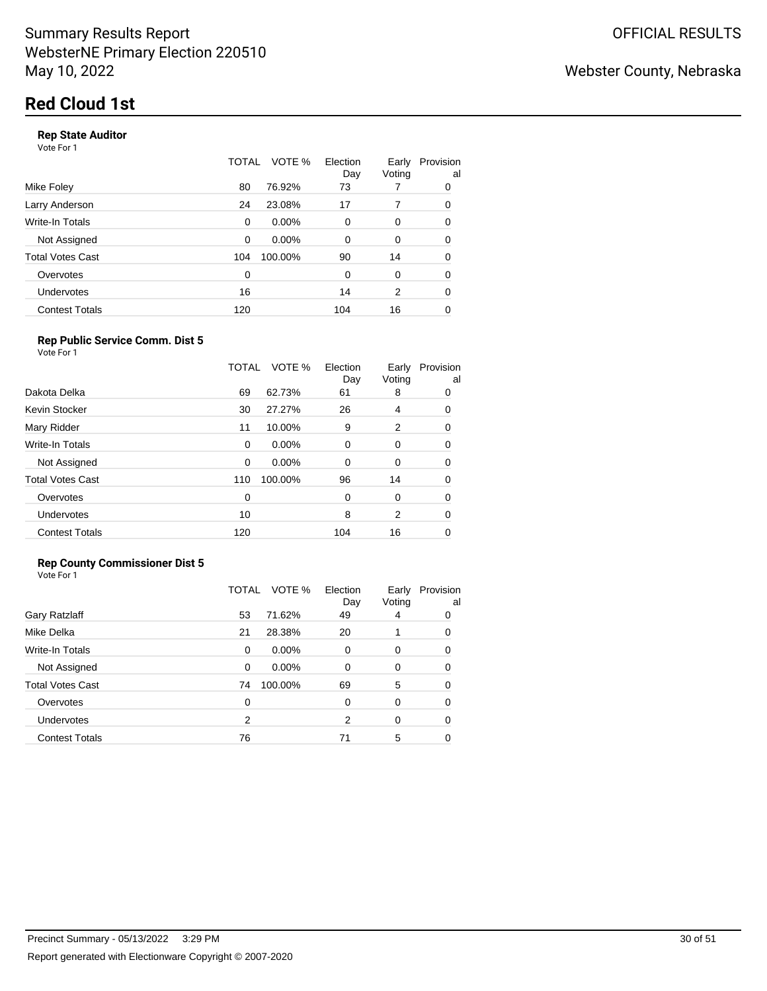### **Rep State Auditor**

Vote For 1

Vote For 1

|                       | TOTAL | VOTE %   | Election<br>Day | Early<br>Voting | Provision<br>al |
|-----------------------|-------|----------|-----------------|-----------------|-----------------|
| Mike Foley            | 80    | 76.92%   | 73              | 7               | 0               |
| Larry Anderson        | 24    | 23.08%   | 17              | 7               | 0               |
| Write-In Totals       | 0     | 0.00%    | $\Omega$        | $\Omega$        | 0               |
| Not Assigned          | 0     | $0.00\%$ | 0               | 0               | 0               |
| Total Votes Cast      | 104   | 100.00%  | 90              | 14              | 0               |
| Overvotes             | 0     |          | 0               | $\Omega$        | 0               |
| Undervotes            | 16    |          | 14              | 2               | 0               |
| <b>Contest Totals</b> | 120   |          | 104             | 16              | 0               |
|                       |       |          |                 |                 |                 |

#### **Rep Public Service Comm. Dist 5**

|                         | TOTAL | VOTE %  | Election<br>Day | Early<br>Voting | Provision<br>al |
|-------------------------|-------|---------|-----------------|-----------------|-----------------|
| Dakota Delka            | 69    | 62.73%  | 61              | 8               | 0               |
| Kevin Stocker           | 30    | 27.27%  | 26              | 4               | 0               |
| Mary Ridder             | 11    | 10.00%  | 9               | 2               | 0               |
| Write-In Totals         | 0     | 0.00%   | $\Omega$        | 0               | 0               |
| Not Assigned            | 0     | 0.00%   | $\Omega$        | 0               | 0               |
| <b>Total Votes Cast</b> | 110   | 100.00% | 96              | 14              | 0               |
| Overvotes               | 0     |         | $\Omega$        | 0               | 0               |
| Undervotes              | 10    |         | 8               | 2               | 0               |
| <b>Contest Totals</b>   | 120   |         | 104             | 16              | 0               |

#### **Rep County Commissioner Dist 5** Vote For 1

|                         | TOTAL | VOTE %  | Election<br>Day | Early<br>Voting | Provision<br>al |
|-------------------------|-------|---------|-----------------|-----------------|-----------------|
| Gary Ratzlaff           | 53    | 71.62%  | 49              | 4               | 0               |
| Mike Delka              | 21    | 28.38%  | 20              |                 | 0               |
| <b>Write-In Totals</b>  | 0     | 0.00%   | $\Omega$        | 0               | 0               |
| Not Assigned            | 0     | 0.00%   | $\Omega$        | 0               | 0               |
| <b>Total Votes Cast</b> | 74    | 100.00% | 69              | 5               | $\Omega$        |
| Overvotes               | 0     |         | 0               | 0               | 0               |
| Undervotes              | 2     |         | 2               | 0               | 0               |
| <b>Contest Totals</b>   | 76    |         |                 | 5               |                 |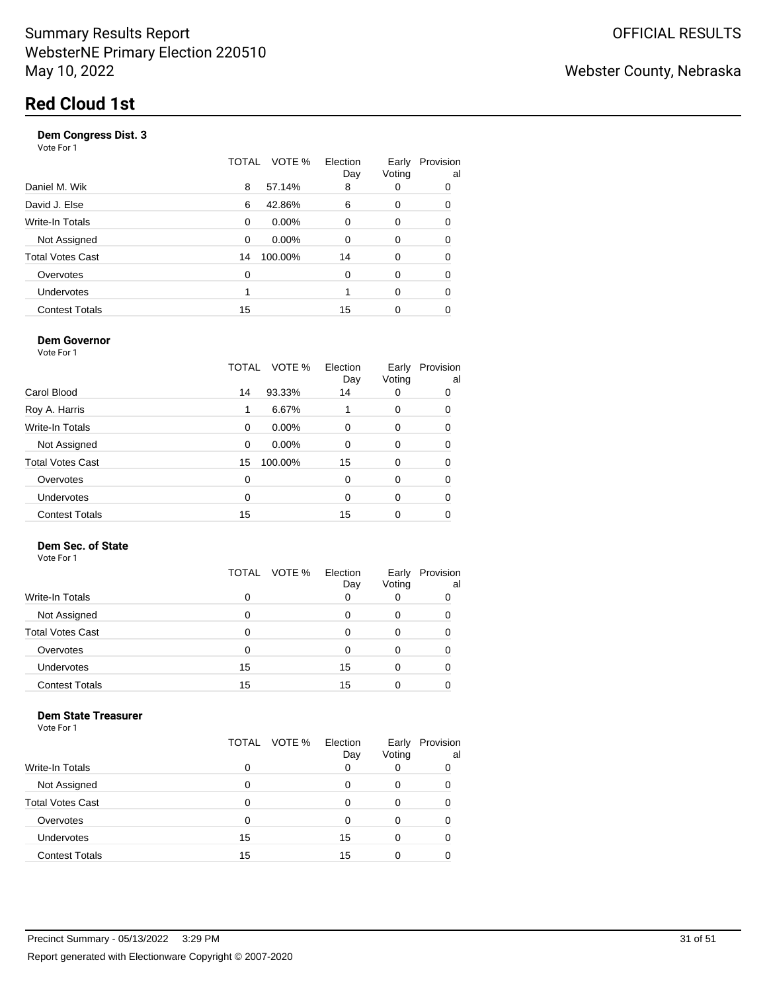## **Dem Congress Dist. 3**

Vote For 1

|                         | TOTAL | Election<br>VOTE %<br>Day | Early<br>Voting | Provision<br>al |
|-------------------------|-------|---------------------------|-----------------|-----------------|
| Daniel M. Wik           | 8     | 57.14%<br>8               | 0               | 0               |
| David J. Else           | 6     | 42.86%<br>6               | 0               | 0               |
| Write-In Totals         | 0     | $0.00\%$<br>0             | 0               | 0               |
| Not Assigned            | 0     | 0.00%<br>0                | 0               | 0               |
| <b>Total Votes Cast</b> | 14    | 100.00%<br>14             | $\Omega$        | 0               |
| Overvotes               | 0     | 0                         | 0               | 0               |
| <b>Undervotes</b>       |       |                           | $\Omega$        | 0               |
| <b>Contest Totals</b>   | 15    | 15                        | 0               | 0               |
|                         |       |                           |                 |                 |

## **Dem Governor**

Vote For 1

|                         | TOTAL | VOTE %  | Election<br>Day | Early<br>Voting | Provision<br>al |
|-------------------------|-------|---------|-----------------|-----------------|-----------------|
| Carol Blood             | 14    | 93.33%  | 14              | 0               | 0               |
| Roy A. Harris           | 1     | 6.67%   |                 | 0               | 0               |
| Write-In Totals         | 0     | 0.00%   | 0               | 0               | 0               |
| Not Assigned            | 0     | 0.00%   | 0               | 0               | 0               |
| <b>Total Votes Cast</b> | 15    | 100.00% | 15              | 0               | 0               |
| Overvotes               | 0     |         | 0               | 0               | 0               |
| Undervotes              | 0     |         | 0               | 0               | 0               |
| <b>Contest Totals</b>   | 15    |         | 15              | 0               |                 |
|                         |       |         |                 |                 |                 |

#### **Dem Sec. of State** Vote For 1

|                         | TOTAL | VOTE %<br>Election<br>Day | Early<br>Voting | Provision<br>al |
|-------------------------|-------|---------------------------|-----------------|-----------------|
| Write-In Totals         | 0     | 0                         |                 |                 |
| Not Assigned            | 0     | ი                         | 0               |                 |
| <b>Total Votes Cast</b> | O     |                           | O               |                 |
| Overvotes               | 0     |                           | 0               |                 |
| <b>Undervotes</b>       | 15    | 15                        | 0               |                 |
| <b>Contest Totals</b>   | 15    | 15                        |                 |                 |

## **Dem State Treasurer**

|                         | TOTAL | VOTE % | Election<br>Day | Early<br>Voting | Provision<br>al |
|-------------------------|-------|--------|-----------------|-----------------|-----------------|
| Write-In Totals         | 0     |        |                 |                 | 0               |
| Not Assigned            | 0     |        |                 |                 |                 |
| <b>Total Votes Cast</b> | 0     |        |                 |                 |                 |
| Overvotes               | 0     |        |                 |                 |                 |
| <b>Undervotes</b>       | 15    |        | 15              |                 |                 |
| <b>Contest Totals</b>   | 15    |        | 15              |                 |                 |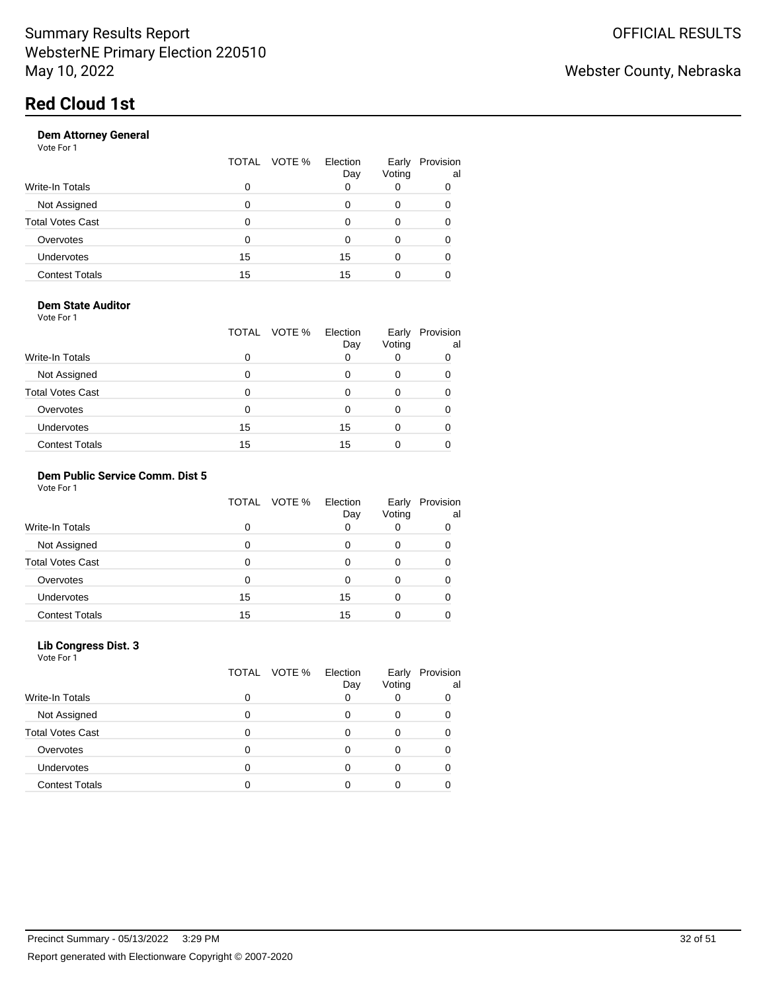### **Dem Attorney General**

Vote For 1

|                         | TOTAL | VOTE %<br>Election<br>Day | Early<br>Voting | Provision<br>al |
|-------------------------|-------|---------------------------|-----------------|-----------------|
| <b>Write-In Totals</b>  | 0     | 0                         |                 |                 |
| Not Assigned            | O     | O                         | 0               |                 |
| <b>Total Votes Cast</b> |       | O                         | 0               |                 |
| Overvotes               | 0     | Ω                         | 0               |                 |
| Undervotes              | 15    | 15                        | 0               |                 |
| <b>Contest Totals</b>   | 15    | 15                        |                 |                 |
|                         |       |                           |                 |                 |

### **Dem State Auditor**

Vote For 1

|                         | TOTAL | VOTE %<br>Election<br>Day | Early<br>Voting | Provision<br>al |
|-------------------------|-------|---------------------------|-----------------|-----------------|
| <b>Write-In Totals</b>  | 0     |                           |                 |                 |
| Not Assigned            | 0     |                           |                 |                 |
| <b>Total Votes Cast</b> | 0     |                           |                 |                 |
| Overvotes               | 0     |                           |                 |                 |
| <b>Undervotes</b>       | 15    | 15                        |                 |                 |
| <b>Contest Totals</b>   | 15    | 15                        |                 |                 |

## **Dem Public Service Comm. Dist 5**

| Vote For 1 |  |  |  |  |
|------------|--|--|--|--|
|------------|--|--|--|--|

|                         |    | TOTAL VOTE % | Election<br>Day | Early<br>Voting | Provision<br>al |
|-------------------------|----|--------------|-----------------|-----------------|-----------------|
| <b>Write-In Totals</b>  | 0  |              |                 |                 |                 |
| Not Assigned            | 0  |              |                 |                 |                 |
| <b>Total Votes Cast</b> | 0  |              |                 |                 |                 |
| Overvotes               | 0  |              |                 |                 |                 |
| <b>Undervotes</b>       | 15 |              | 15              |                 |                 |
| <b>Contest Totals</b>   | 15 |              | 15              |                 |                 |

#### **Lib Congress Dist. 3** Vote For 1

|                         | TOTAL | VOTE % | Election<br>Day | Early<br>Voting | Provision<br>al |
|-------------------------|-------|--------|-----------------|-----------------|-----------------|
| <b>Write-In Totals</b>  | 0     |        | 0               | 0               | 0               |
| Not Assigned            | O     |        | 0               | 0               | 0               |
| <b>Total Votes Cast</b> |       |        | O               | Ω               |                 |
| Overvotes               |       |        | O               | 0               |                 |
| <b>Undervotes</b>       |       |        | O               |                 |                 |
| <b>Contest Totals</b>   |       |        |                 |                 |                 |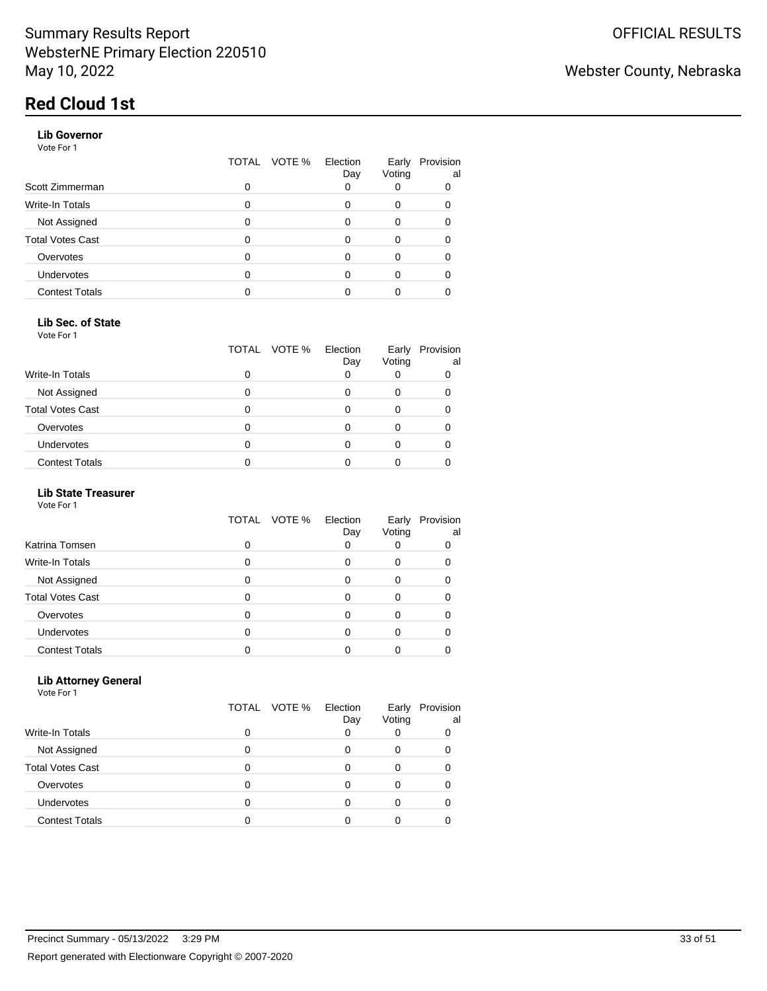## **Lib Governor**

Vote For 1

|                         | VOTE %<br>TOTAL | Election<br>Day | Early<br>Voting | Provision<br>al |
|-------------------------|-----------------|-----------------|-----------------|-----------------|
| Scott Zimmerman         | 0               |                 |                 | 0               |
| Write-In Totals         | ი               |                 | Ω               |                 |
| Not Assigned            | 0               |                 | Ω               |                 |
| <b>Total Votes Cast</b> | 0               |                 | Ω               |                 |
| Overvotes               | ი               |                 |                 |                 |
| <b>Undervotes</b>       | 0               |                 | Ω               |                 |
| <b>Contest Totals</b>   |                 |                 |                 |                 |
|                         |                 |                 |                 |                 |

## **Lib Sec. of State**

Vote For 1

|                         | TOTAL VOTE % | Election<br>Day | Early<br>Voting | Provision<br>al |
|-------------------------|--------------|-----------------|-----------------|-----------------|
| <b>Write-In Totals</b>  |              |                 |                 |                 |
| Not Assigned            |              |                 |                 |                 |
| <b>Total Votes Cast</b> |              |                 |                 |                 |
| Overvotes               |              |                 |                 |                 |
| Undervotes              |              |                 |                 |                 |
| <b>Contest Totals</b>   |              |                 |                 |                 |

#### **Lib State Treasurer**

Vote For 1

|                         | TOTAL VOTE % | Election<br>Day | Early<br>Voting | Provision<br>al |
|-------------------------|--------------|-----------------|-----------------|-----------------|
| Katrina Tomsen          | Ω            |                 |                 |                 |
| Write-In Totals         |              | Ω               | 0               |                 |
| Not Assigned            | O            | ი               |                 |                 |
| <b>Total Votes Cast</b> |              | O               |                 |                 |
| Overvotes               | ი            | ი               | 0               |                 |
| <b>Undervotes</b>       |              |                 |                 |                 |
| <b>Contest Totals</b>   |              |                 |                 |                 |
|                         |              |                 |                 |                 |

## **Lib Attorney General**

Vote For 1

|                       | Day | Voting | al |
|-----------------------|-----|--------|----|
| Write-In Totals       |     |        |    |
| Not Assigned          |     |        |    |
| Total Votes Cast      |     |        |    |
| Overvotes             |     |        |    |
| <b>Undervotes</b>     |     |        |    |
| <b>Contest Totals</b> |     |        |    |

TOTAL VOTE % Election

Early Provision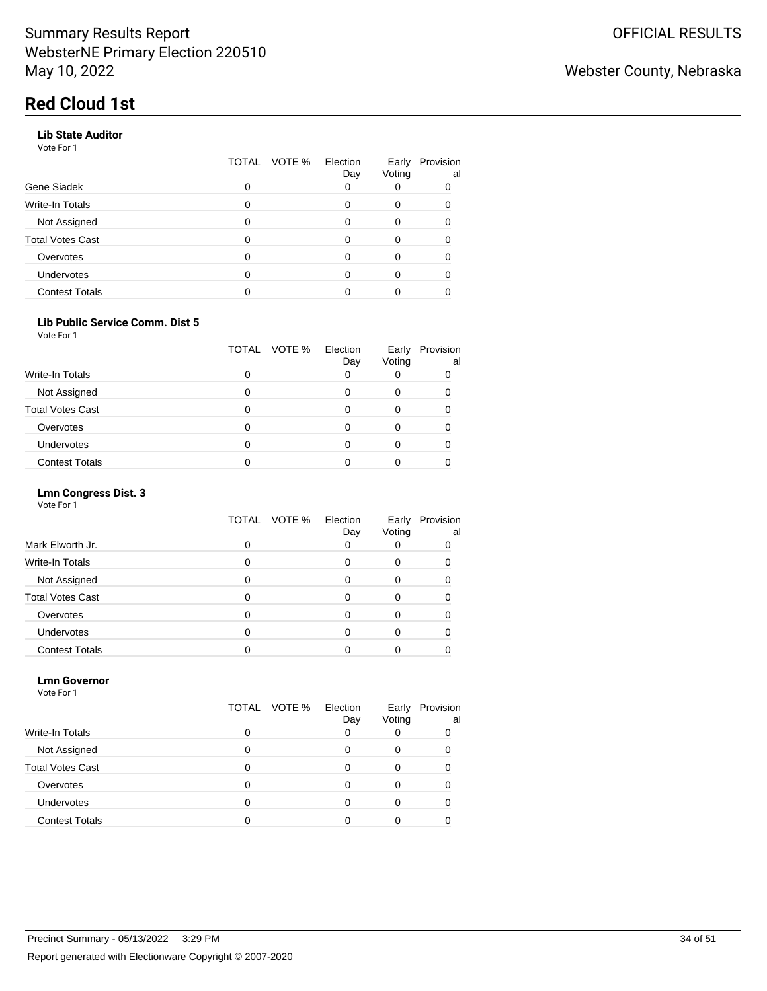### **Lib State Auditor**

Vote For 1

|                       | TOTAL | VOTE % | Election<br>Day | Early<br>Voting | Provision<br>al |
|-----------------------|-------|--------|-----------------|-----------------|-----------------|
| Gene Siadek           | 0     |        | 0               | O               | 0               |
| Write-In Totals       | 0     |        |                 | 0               | 0               |
| Not Assigned          | 0     |        |                 | Ω               |                 |
| Total Votes Cast      | ი     |        |                 | Ω               |                 |
| Overvotes             |       |        |                 | O               |                 |
| <b>Undervotes</b>     |       |        |                 | Ω               |                 |
| <b>Contest Totals</b> |       |        |                 |                 |                 |

### **Lib Public Service Comm. Dist 5**

Vote For 1

|                       | TOTAL VOTE % | Election<br>Day | Early<br>Voting | Provision<br>al |
|-----------------------|--------------|-----------------|-----------------|-----------------|
| Write-In Totals       |              |                 |                 |                 |
| Not Assigned          |              |                 |                 |                 |
| Total Votes Cast      |              |                 | 0               |                 |
| Overvotes             |              |                 | Ω               |                 |
| <b>Undervotes</b>     |              |                 |                 |                 |
| <b>Contest Totals</b> |              |                 |                 |                 |

#### **Lmn Congress Dist. 3**

Vote For 1

|                         | TOTAL | VOTE % | Election<br>Day | Early<br>Voting | Provision<br>al |
|-------------------------|-------|--------|-----------------|-----------------|-----------------|
| Mark Elworth Jr.        | 0     |        |                 |                 |                 |
| Write-In Totals         | O     |        | Ω               | 0               | 0               |
| Not Assigned            | 0     |        |                 | 0               |                 |
| <b>Total Votes Cast</b> | o     |        |                 |                 |                 |
| Overvotes               | 0     |        |                 | 0               |                 |
| <b>Undervotes</b>       | o     |        | O               | O               |                 |
| <b>Contest Totals</b>   |       |        |                 |                 |                 |

#### **Lmn Governor** Vote For 1

|                         | TOTAL VOTE % | Election<br>Day | Early<br>Voting | Provision<br>al |
|-------------------------|--------------|-----------------|-----------------|-----------------|
| <b>Write-In Totals</b>  |              |                 |                 |                 |
| Not Assigned            |              | Ω               |                 |                 |
| <b>Total Votes Cast</b> |              |                 |                 |                 |
| Overvotes               |              |                 |                 |                 |
| Undervotes              |              |                 |                 |                 |
| <b>Contest Totals</b>   |              |                 |                 |                 |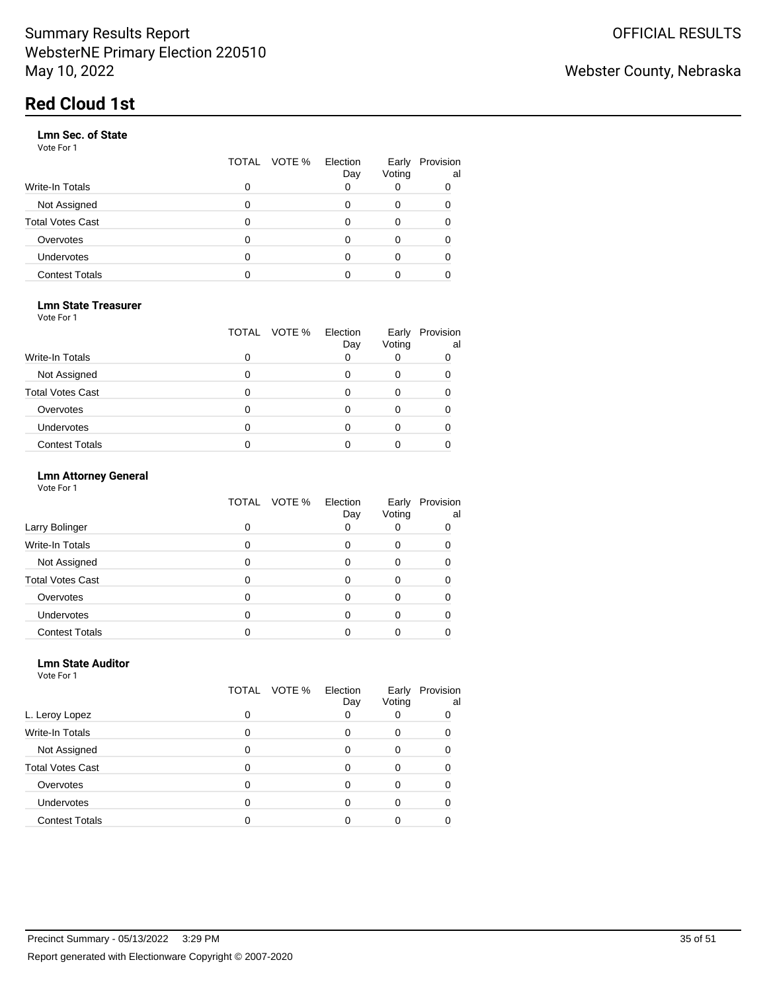## **Lmn Sec. of State**

Vote For 1

|                         | TOTAL VOTE % | Election<br>Day | Early<br>Voting | Provision<br>al |
|-------------------------|--------------|-----------------|-----------------|-----------------|
| <b>Write-In Totals</b>  |              | 0               |                 |                 |
| Not Assigned            |              |                 |                 |                 |
| <b>Total Votes Cast</b> |              |                 |                 |                 |
| Overvotes               |              |                 | 0               |                 |
| <b>Undervotes</b>       |              |                 |                 |                 |
| <b>Contest Totals</b>   |              |                 |                 |                 |

### **Lmn State Treasurer**

Vote For 1

|                         | TOTAL VOTE % | Election<br>Day | Early<br>Voting | Provision<br>al |
|-------------------------|--------------|-----------------|-----------------|-----------------|
| <b>Write-In Totals</b>  | O            |                 |                 |                 |
| Not Assigned            |              |                 | 0               |                 |
| <b>Total Votes Cast</b> |              | O               | $\mathbf{I}$    |                 |
| Overvotes               |              | 0               |                 |                 |
| <b>Undervotes</b>       |              |                 |                 |                 |
| <b>Contest Totals</b>   |              |                 |                 |                 |

#### **Lmn Attorney General**

| Vote For 1 |  |
|------------|--|
|------------|--|

|                         |   | TOTAL VOTE % | Election<br>Day | Early<br>Voting | Provision<br>al |
|-------------------------|---|--------------|-----------------|-----------------|-----------------|
| Larry Bolinger          |   |              |                 |                 |                 |
| Write-In Totals         |   |              | ი               | 0               | 0               |
| Not Assigned            |   |              | Ω               | 0               |                 |
| <b>Total Votes Cast</b> |   |              | ი               |                 |                 |
| Overvotes               |   |              | ი               |                 |                 |
| <b>Undervotes</b>       | 0 |              |                 |                 |                 |
| <b>Contest Totals</b>   |   |              |                 |                 |                 |

#### **Lmn State Auditor** Vote For 1

|                         |   | TOTAL VOTE % | Election<br>Day | Early<br>Voting | Provision<br>al |
|-------------------------|---|--------------|-----------------|-----------------|-----------------|
| L. Leroy Lopez          | 0 |              | 0               | 0               |                 |
| Write-In Totals         | O |              | 0               | $\Omega$        |                 |
| Not Assigned            | 0 |              | 0               | 0               |                 |
| <b>Total Votes Cast</b> | O |              | 0               | 0               |                 |
| Overvotes               | 0 |              | 0               | $\Omega$        |                 |
| <b>Undervotes</b>       | ი |              | ი               | $\Omega$        |                 |
| <b>Contest Totals</b>   |   |              |                 |                 |                 |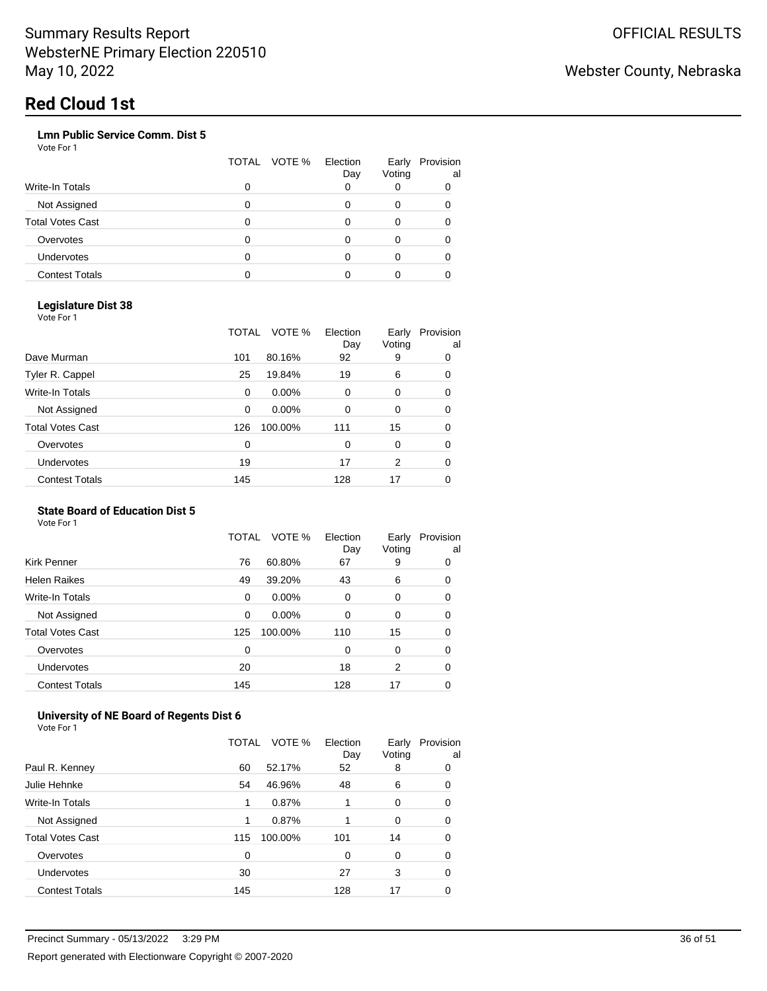## **Lmn Public Service Comm. Dist 5**

Vote For 1

|                         | TOTAL | VOTE % | Election<br>Day | Early<br>Voting | Provision<br>al |
|-------------------------|-------|--------|-----------------|-----------------|-----------------|
| <b>Write-In Totals</b>  | 0     |        | Ω               |                 |                 |
| Not Assigned            |       |        |                 | 0               |                 |
| <b>Total Votes Cast</b> |       |        |                 | 0               |                 |
| Overvotes               | Ω     |        |                 | 0               |                 |
| <b>Undervotes</b>       |       |        |                 | 0               |                 |
| <b>Contest Totals</b>   |       |        |                 |                 |                 |

#### **Legislature Dist 38**

Vote For 1

|                         | TOTAL    | VOTE %  | Election<br>Day | Early<br>Voting | Provision<br>al |
|-------------------------|----------|---------|-----------------|-----------------|-----------------|
| Dave Murman             | 101      | 80.16%  | 92              | 9               | 0               |
| Tyler R. Cappel         | 25       | 19.84%  | 19              | 6               | 0               |
| Write-In Totals         | $\Omega$ | 0.00%   | 0               | 0               | 0               |
| Not Assigned            | $\Omega$ | 0.00%   | 0               | 0               | 0               |
| <b>Total Votes Cast</b> | 126      | 100.00% | 111             | 15              | 0               |
| Overvotes               | 0        |         | 0               | 0               | 0               |
| Undervotes              | 19       |         | 17              | 2               | 0               |
| <b>Contest Totals</b>   | 145      |         | 128             | 17              | 0               |
|                         |          |         |                 |                 |                 |

# **State Board of Education Dist 5**

Vote For 1

|                         | TOTAL | VOTE %   | Election<br>Day | Early<br>Voting | Provision<br>al |
|-------------------------|-------|----------|-----------------|-----------------|-----------------|
| <b>Kirk Penner</b>      | 76    | 60.80%   | 67              | 9               | 0               |
| <b>Helen Raikes</b>     | 49    | 39.20%   | 43              | 6               | 0               |
| Write-In Totals         | 0     | 0.00%    | 0               | 0               | 0               |
| Not Assigned            | 0     | $0.00\%$ | $\Omega$        | 0               | 0               |
| <b>Total Votes Cast</b> | 125   | 100.00%  | 110             | 15              | 0               |
| Overvotes               | 0     |          | 0               | 0               | 0               |
| Undervotes              | 20    |          | 18              | 2               | 0               |
| <b>Contest Totals</b>   | 145   |          | 128             | 17              | 0               |
|                         |       |          |                 |                 |                 |

## **University of NE Board of Regents Dist 6**

|                       | TOTAL | VOTE %  | Election<br>Day | Early<br>Voting | Provision<br>al |
|-----------------------|-------|---------|-----------------|-----------------|-----------------|
| Paul R. Kenney        | 60    | 52.17%  | 52              | 8               | 0               |
| Julie Hehnke          | 54    | 46.96%  | 48              | 6               | 0               |
| Write-In Totals       | 1     | 0.87%   |                 | 0               | 0               |
| Not Assigned          | 1     | 0.87%   |                 | 0               | 0               |
| Total Votes Cast      | 115   | 100.00% | 101             | 14              | 0               |
| Overvotes             | 0     |         | 0               | 0               | 0               |
| Undervotes            | 30    |         | 27              | 3               | 0               |
| <b>Contest Totals</b> | 145   |         | 128             | 17              | 0               |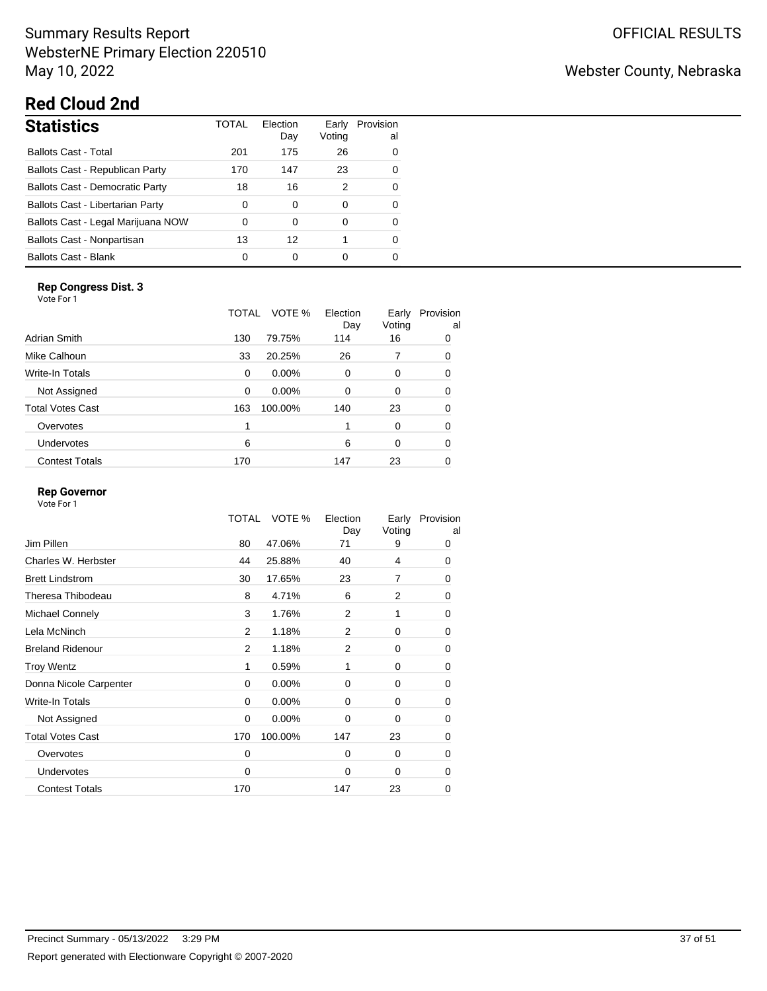# Summary Results Report WebsterNE Primary Election 220510 May 10, 2022

# Webster County, Nebraska

# **Red Cloud 2nd**

| <b>Statistics</b>                      | TOTAL | Flection<br>Day | Early<br>Voting | Provision<br>al |
|----------------------------------------|-------|-----------------|-----------------|-----------------|
| <b>Ballots Cast - Total</b>            | 201   | 175             | 26              | 0               |
| Ballots Cast - Republican Party        | 170   | 147             | 23              | ∩               |
| <b>Ballots Cast - Democratic Party</b> | 18    | 16              | 2               | ∩               |
| Ballots Cast - Libertarian Party       | 0     | 0               | O               | O               |
| Ballots Cast - Legal Marijuana NOW     | 0     | 0               | O               | ∩               |
| Ballots Cast - Nonpartisan             | 13    | 12              |                 |                 |
| Ballots Cast - Blank                   |       | Ω               |                 |                 |

## **Rep Congress Dist. 3**

| Vote For 1              |       |         |                 |                 |                 |
|-------------------------|-------|---------|-----------------|-----------------|-----------------|
|                         | TOTAL | VOTE %  | Election<br>Day | Early<br>Voting | Provision<br>al |
| Adrian Smith            | 130   | 79.75%  | 114             | 16              | 0               |
| Mike Calhoun            | 33    | 20.25%  | 26              | 7               | 0               |
| Write-In Totals         | 0     | 0.00%   | $\Omega$        | 0               | 0               |
| Not Assigned            | 0     | 0.00%   | $\Omega$        | 0               | 0               |
| <b>Total Votes Cast</b> | 163   | 100.00% | 140             | 23              | 0               |
| Overvotes               | 1     |         |                 | 0               | 0               |
| <b>Undervotes</b>       | 6     |         | 6               | 0               | 0               |
| <b>Contest Totals</b>   | 170   |         | 147             | 23              | 0               |

### **Rep Governor**

|                         | <b>TOTAL</b> | VOTE %  | Election<br>Day | Early<br>Voting | Provision<br>al |
|-------------------------|--------------|---------|-----------------|-----------------|-----------------|
| Jim Pillen              | 80           | 47.06%  | 71              | 9               | 0               |
| Charles W. Herbster     | 44           | 25.88%  | 40              | 4               | 0               |
| <b>Brett Lindstrom</b>  | 30           | 17.65%  | 23              | $\overline{7}$  | 0               |
| Theresa Thibodeau       | 8            | 4.71%   | 6               | $\overline{2}$  | 0               |
| Michael Connely         | 3            | 1.76%   | 2               | 1               | 0               |
| Lela McNinch            | 2            | 1.18%   | 2               | 0               | 0               |
| <b>Breland Ridenour</b> | 2            | 1.18%   | 2               | 0               | 0               |
| <b>Troy Wentz</b>       | 1            | 0.59%   | 1               | 0               | 0               |
| Donna Nicole Carpenter  | 0            | 0.00%   | $\Omega$        | 0               | 0               |
| Write-In Totals         | 0            | 0.00%   | 0               | 0               | 0               |
| Not Assigned            | 0            | 0.00%   | $\Omega$        | 0               | 0               |
| <b>Total Votes Cast</b> | 170          | 100.00% | 147             | 23              | 0               |
| Overvotes               | 0            |         | 0               | 0               | 0               |
| Undervotes              | 0            |         | $\Omega$        | 0               | 0               |
| <b>Contest Totals</b>   | 170          |         | 147             | 23              | 0               |
|                         |              |         |                 |                 |                 |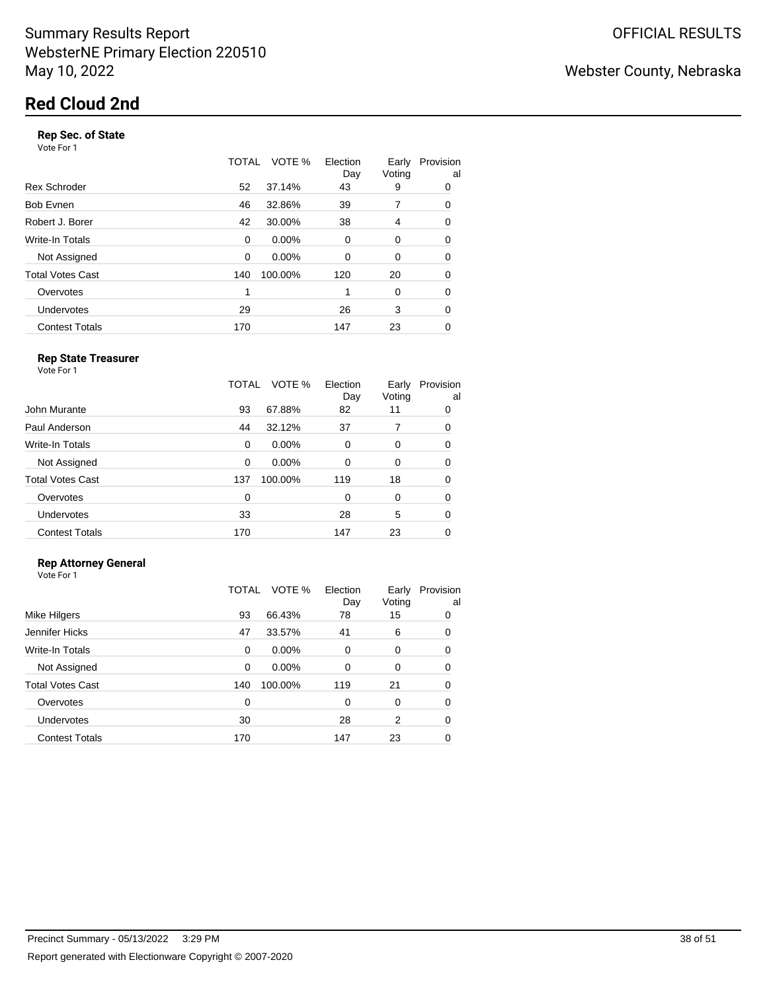## **Rep Sec. of State**

Vote For 1

|                       | TOTAL | VOTE %  | Election<br>Day | Early<br>Voting | Provision<br>al |
|-----------------------|-------|---------|-----------------|-----------------|-----------------|
| <b>Rex Schroder</b>   | 52    | 37.14%  | 43              | 9               | 0               |
| Bob Evnen             | 46    | 32.86%  | 39              | 7               | 0               |
| Robert J. Borer       | 42    | 30.00%  | 38              | 4               | 0               |
| Write-In Totals       | 0     | 0.00%   | 0               | 0               | 0               |
| Not Assigned          | 0     | 0.00%   | 0               | 0               | 0               |
| Total Votes Cast      | 140   | 100.00% | 120             | 20              | 0               |
| Overvotes             |       |         | 1               | 0               | 0               |
| Undervotes            | 29    |         | 26              | 3               | 0               |
| <b>Contest Totals</b> | 170   |         | 147             | 23              |                 |

#### **Rep State Treasurer** Vote For 1

|                         | TOTAL    | VOTE %   | Election<br>Day | Early<br>Voting | Provision<br>a |
|-------------------------|----------|----------|-----------------|-----------------|----------------|
| John Murante            | 93       | 67.88%   | 82              | 11              | 0              |
| Paul Anderson           | 44       | 32.12%   | 37              | 7               | 0              |
| Write-In Totals         | $\Omega$ | $0.00\%$ | 0               | 0               | 0              |
| Not Assigned            | 0        | 0.00%    | 0               | 0               | 0              |
| <b>Total Votes Cast</b> | 137      | 100.00%  | 119             | 18              | 0              |
| Overvotes               | 0        |          | 0               | 0               | 0              |
| Undervotes              | 33       |          | 28              | 5               | 0              |
| <b>Contest Totals</b>   | 170      |          | 147             | 23              |                |

## **Rep Attorney General**

| Vote For 1 |  |
|------------|--|
|            |  |

|                         | TOTAL | VOTE %  | Election<br>Day | Early<br>Voting | Provision<br>al |
|-------------------------|-------|---------|-----------------|-----------------|-----------------|
| Mike Hilgers            | 93    | 66.43%  | 78              | 15              | 0               |
| Jennifer Hicks          | 47    | 33.57%  | 41              | 6               | 0               |
| Write-In Totals         | 0     | 0.00%   | $\Omega$        | 0               | 0               |
| Not Assigned            | 0     | 0.00%   | $\Omega$        | 0               | 0               |
| <b>Total Votes Cast</b> | 140   | 100.00% | 119             | 21              | 0               |
| Overvotes               | 0     |         | 0               | 0               | 0               |
| Undervotes              | 30    |         | 28              | 2               | 0               |
| <b>Contest Totals</b>   | 170   |         | 147             | 23              | 0               |
|                         |       |         |                 |                 |                 |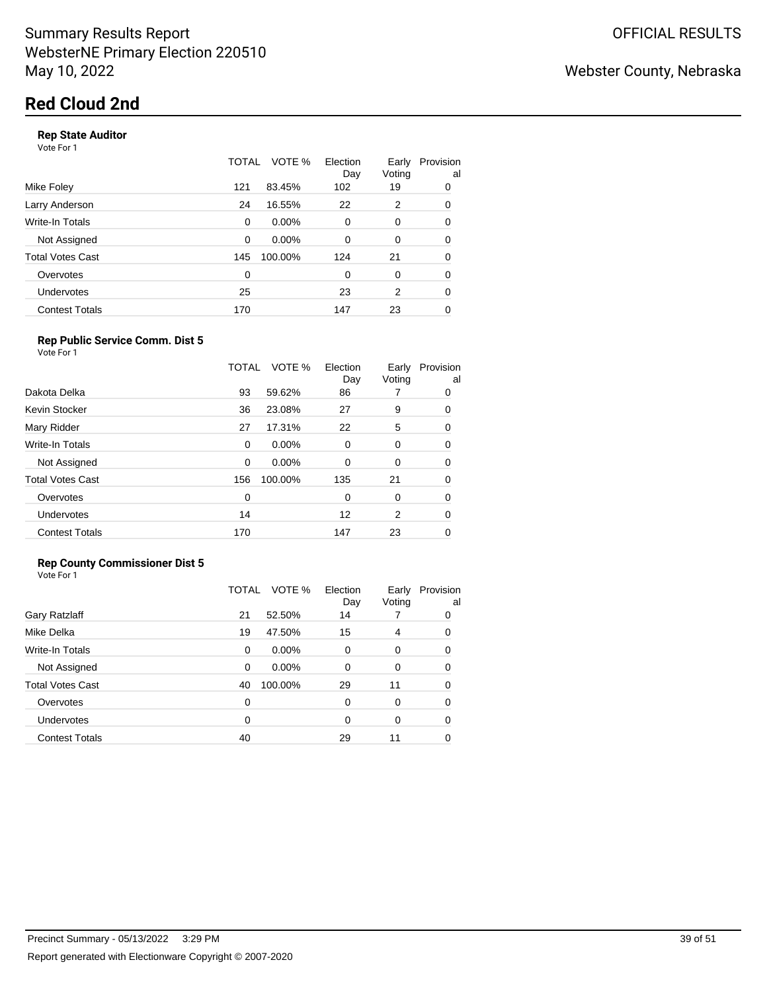## **Rep State Auditor**

Vote For 1

Vote For 1

|                       | TOTAL | VOTE %   | Election<br>Day | Early<br>Voting | Provision<br>al |
|-----------------------|-------|----------|-----------------|-----------------|-----------------|
| Mike Foley            | 121   | 83.45%   | 102             | 19              | 0               |
| Larry Anderson        | 24    | 16.55%   | 22              | 2               | 0               |
| Write-In Totals       | 0     | 0.00%    | $\Omega$        | 0               | 0               |
| Not Assigned          | 0     | $0.00\%$ | $\Omega$        | 0               | 0               |
| Total Votes Cast      | 145   | 100.00%  | 124             | 21              | 0               |
| Overvotes             | 0     |          | $\Omega$        | 0               | 0               |
| Undervotes            | 25    |          | 23              | 2               | 0               |
| <b>Contest Totals</b> | 170   |          | 147             | 23              | 0               |
|                       |       |          |                 |                 |                 |

#### **Rep Public Service Comm. Dist 5**

|                         | TOTAL | VOTE %  | Election<br>Day | Early<br>Voting | Provision<br>al |
|-------------------------|-------|---------|-----------------|-----------------|-----------------|
| Dakota Delka            | 93    | 59.62%  | 86              |                 | 0               |
| Kevin Stocker           | 36    | 23.08%  | 27              | 9               | 0               |
| Mary Ridder             | 27    | 17.31%  | 22              | 5               | 0               |
| Write-In Totals         | 0     | 0.00%   | $\Omega$        | 0               | 0               |
| Not Assigned            | 0     | 0.00%   | 0               | 0               | 0               |
| <b>Total Votes Cast</b> | 156   | 100.00% | 135             | 21              | 0               |
| Overvotes               | 0     |         | $\Omega$        | 0               | $\mathbf 0$     |
| Undervotes              | 14    |         | 12              | 2               | 0               |
| <b>Contest Totals</b>   | 170   |         | 147             | 23              | 0               |

#### **Rep County Commissioner Dist 5** Vote For 1

|                         | TOTAL | VOTE %  | Election<br>Day | Early<br>Voting | Provision<br>al |
|-------------------------|-------|---------|-----------------|-----------------|-----------------|
| Gary Ratzlaff           | 21    | 52.50%  | 14              |                 | 0               |
| Mike Delka              | 19    | 47.50%  | 15              | 4               | 0               |
| <b>Write-In Totals</b>  | 0     | 0.00%   | $\Omega$        | 0               | 0               |
| Not Assigned            | 0     | 0.00%   | $\Omega$        | 0               | 0               |
| <b>Total Votes Cast</b> | 40    | 100.00% | 29              | 11              | 0               |
| Overvotes               | 0     |         | 0               | 0               | 0               |
| Undervotes              | 0     |         | 0               | 0               | 0               |
| <b>Contest Totals</b>   | 40    |         | 29              | 11              | 0               |
|                         |       |         |                 |                 |                 |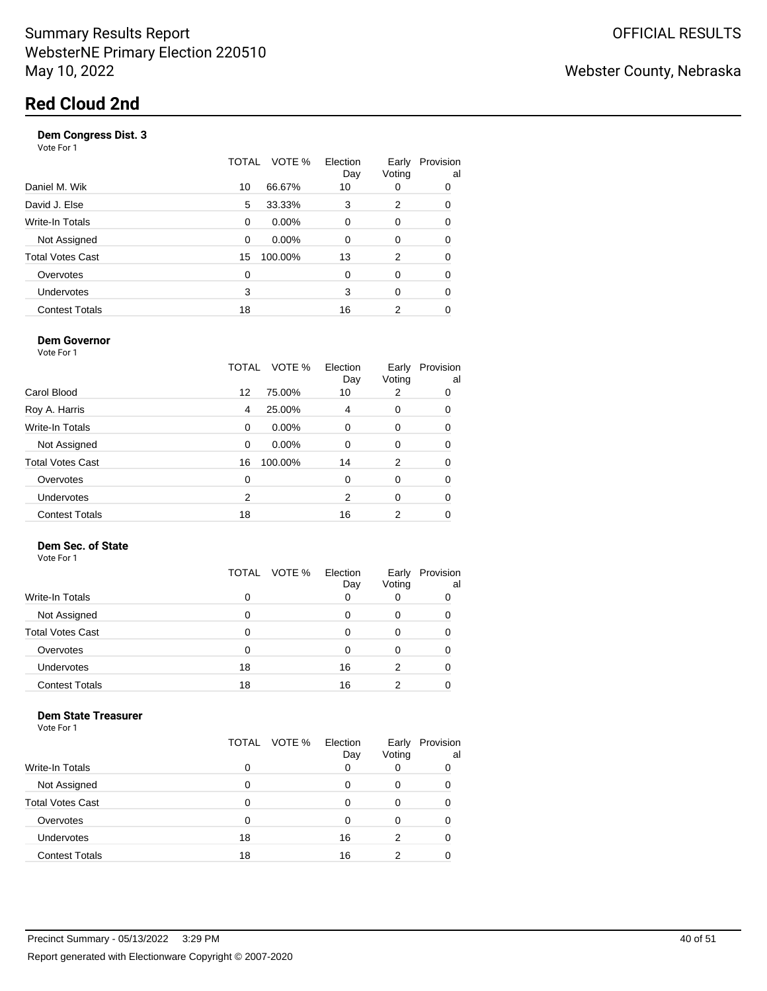# **Dem Congress Dist. 3**

Vote For 1

|                         | TOTAL | VOTE %   | Election<br>Day | Early<br>Voting | Provision<br>al |
|-------------------------|-------|----------|-----------------|-----------------|-----------------|
| Daniel M. Wik           | 10    | 66.67%   | 10              | 0               | 0               |
| David J. Else           | 5     | 33.33%   | 3               | 2               | 0               |
| <b>Write-In Totals</b>  | 0     | $0.00\%$ | 0               | 0               | 0               |
| Not Assigned            | 0     | 0.00%    | 0               | 0               | 0               |
| <b>Total Votes Cast</b> | 15    | 100.00%  | 13              | 2               | 0               |
| Overvotes               | 0     |          | 0               | 0               | 0               |
| <b>Undervotes</b>       | 3     |          | 3               | $\Omega$        | 0               |
| <b>Contest Totals</b>   | 18    |          | 16              | 2               | 0               |

## **Dem Governor**

Vote For 1

|                         | TOTAL | VOTE %   | Election<br>Day | Early<br>Voting | Provision<br>al |
|-------------------------|-------|----------|-----------------|-----------------|-----------------|
| Carol Blood             | 12    | 75.00%   | 10              | 2               | 0               |
| Roy A. Harris           | 4     | 25.00%   | 4               | 0               | 0               |
| Write-In Totals         | 0     | $0.00\%$ | 0               | 0               | 0               |
| Not Assigned            | 0     | 0.00%    | $\Omega$        | 0               | 0               |
| <b>Total Votes Cast</b> | 16    | 100.00%  | 14              | 2               | 0               |
| Overvotes               | 0     |          | 0               | 0               | 0               |
| Undervotes              | 2     |          | 2               | 0               | 0               |
| <b>Contest Totals</b>   | 18    |          | 16              | 2               |                 |

#### **Dem Sec. of State** Vote For 1

|                         | TOTAL | VOTE %<br>Election<br>Day | Early<br>Voting | Provision<br>al |
|-------------------------|-------|---------------------------|-----------------|-----------------|
| <b>Write-In Totals</b>  | 0     | Ω                         |                 |                 |
| Not Assigned            | 0     |                           |                 |                 |
| <b>Total Votes Cast</b> | 0     |                           |                 |                 |
| Overvotes               | 0     |                           |                 |                 |
| Undervotes              | 18    | 16                        | 2               |                 |
| <b>Contest Totals</b>   | 18    | 16                        | っ               |                 |

## **Dem State Treasurer**

|                         | TOTAL | VOTE % | Election<br>Day | Early<br>Voting | Provision<br>al |
|-------------------------|-------|--------|-----------------|-----------------|-----------------|
| Write-In Totals         | 0     |        |                 |                 | 0               |
| Not Assigned            | O     |        |                 |                 |                 |
| <b>Total Votes Cast</b> | 0     |        |                 |                 |                 |
| Overvotes               | 0     |        |                 |                 |                 |
| <b>Undervotes</b>       | 18    |        | 16              | 2               |                 |
| <b>Contest Totals</b>   | 18    |        | 16              |                 |                 |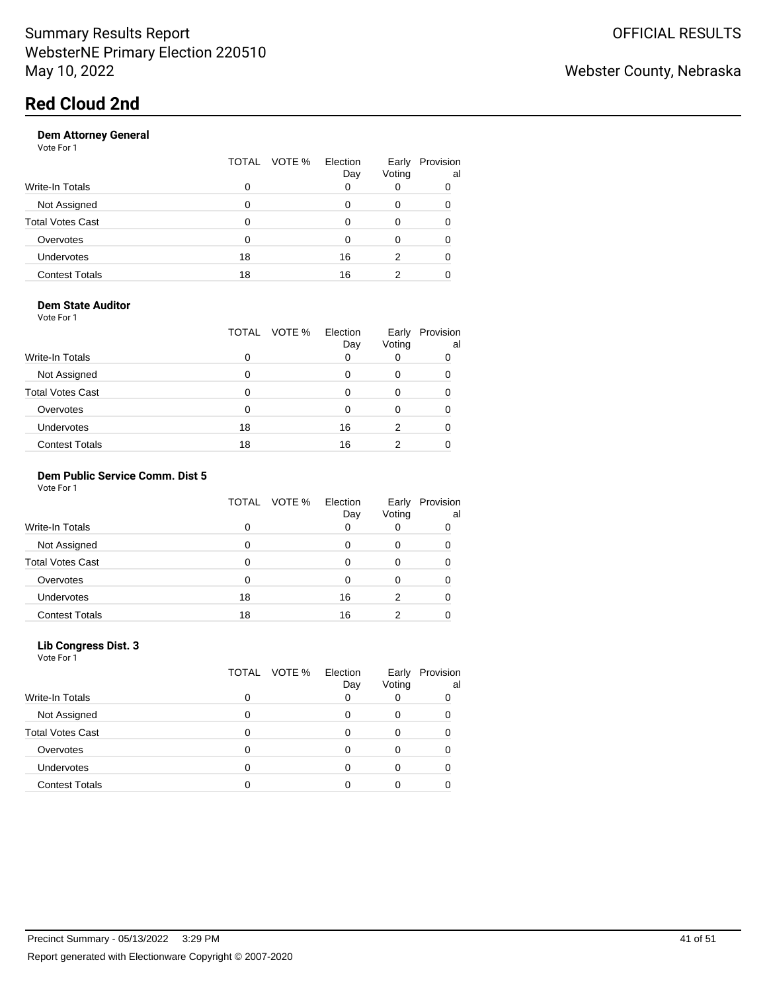### **Dem Attorney General**

Vote For 1

|                         | TOTAL | VOTE % | Election<br>Day | Early<br>Voting | Provision<br>al |
|-------------------------|-------|--------|-----------------|-----------------|-----------------|
| <b>Write-In Totals</b>  | 0     |        | 0               |                 |                 |
| Not Assigned            |       |        | O               | 0               |                 |
| <b>Total Votes Cast</b> |       |        | O               | 0               |                 |
| Overvotes               | O     |        | O               | 0               |                 |
| <b>Undervotes</b>       | 18    |        | 16              | 2               |                 |
| <b>Contest Totals</b>   | 18    |        | 16              | 2               |                 |

### **Dem State Auditor**

Vote For 1

|                         | VOTE %<br>TOTAL | Election<br>Day | Early<br>Voting | Provision<br>al |
|-------------------------|-----------------|-----------------|-----------------|-----------------|
| <b>Write-In Totals</b>  | 0               |                 |                 |                 |
| Not Assigned            | 0               |                 |                 |                 |
| <b>Total Votes Cast</b> | Ω               |                 |                 |                 |
| Overvotes               | Ω               |                 |                 |                 |
| <b>Undervotes</b>       | 18              | 16              | 2               |                 |
| <b>Contest Totals</b>   | 18              | 16              | າ               |                 |

## **Dem Public Service Comm. Dist 5**

| Vote For 1 |  |  |  |  |
|------------|--|--|--|--|
|------------|--|--|--|--|

|                         |    | TOTAL VOTE % | Election<br>Day | Early<br>Voting | Provision<br>al |
|-------------------------|----|--------------|-----------------|-----------------|-----------------|
| <b>Write-In Totals</b>  | 0  |              |                 |                 |                 |
| Not Assigned            | 0  |              |                 | 0               |                 |
| <b>Total Votes Cast</b> | 0  |              |                 |                 |                 |
| Overvotes               | 0  |              |                 |                 |                 |
| <b>Undervotes</b>       | 18 |              | 16              | 2               |                 |
| <b>Contest Totals</b>   | 18 |              | 16              | 2               |                 |

#### **Lib Congress Dist. 3** Vote For 1

|                         | TOTAL | VOTE % | Election<br>Day | Early<br>Voting | Provision<br>al |
|-------------------------|-------|--------|-----------------|-----------------|-----------------|
| <b>Write-In Totals</b>  | 0     |        | 0               | 0               | 0               |
| Not Assigned            | O     |        | 0               | 0               | 0               |
| <b>Total Votes Cast</b> |       |        | O               | Ω               |                 |
| Overvotes               |       |        | O               | 0               |                 |
| <b>Undervotes</b>       |       |        | O               |                 |                 |
| <b>Contest Totals</b>   |       |        |                 |                 |                 |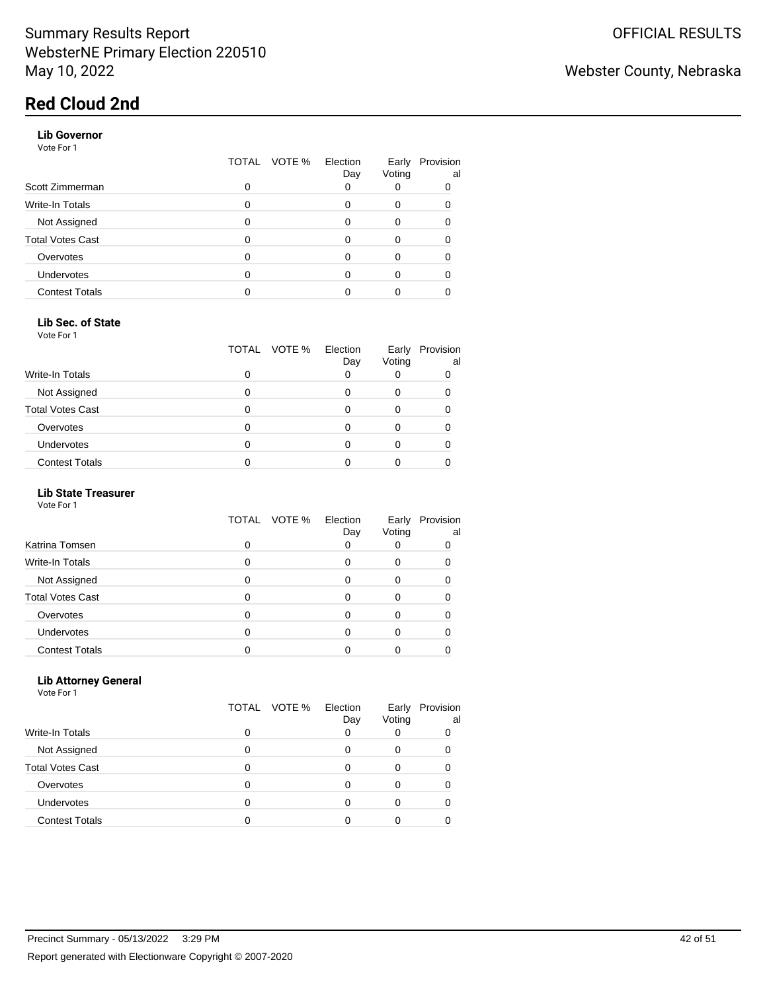## **Lib Governor**

Vote For 1

|                       | VOTE %<br>TOTAL | Election<br>Day | Early<br>Voting | Provision<br>al |
|-----------------------|-----------------|-----------------|-----------------|-----------------|
| Scott Zimmerman       | 0               | 0               | O               |                 |
| Write-In Totals       | Ω               | n               | 0               |                 |
| Not Assigned          | 0               | 0               | 0               |                 |
| Total Votes Cast      | 0               | O               | 0               |                 |
| Overvotes             | Ω               | O               | 0               |                 |
| <b>Undervotes</b>     | 0               |                 | 0               |                 |
| <b>Contest Totals</b> |                 |                 |                 |                 |
|                       |                 |                 |                 |                 |

## **Lib Sec. of State**

Vote For 1

|                         | TOTAL VOTE % | Election<br>Day | Early<br>Voting | Provision<br>al |
|-------------------------|--------------|-----------------|-----------------|-----------------|
| Write-In Totals         |              |                 |                 |                 |
| Not Assigned            |              |                 |                 |                 |
| <b>Total Votes Cast</b> |              |                 |                 |                 |
| Overvotes               |              |                 |                 |                 |
| Undervotes              |              |                 |                 |                 |
| <b>Contest Totals</b>   |              |                 |                 |                 |

#### **Lib State Treasurer**

Vote For 1

|                         | TOTAL VOTE % | Election<br>Day | Early<br>Voting | Provision<br>al |
|-------------------------|--------------|-----------------|-----------------|-----------------|
| Katrina Tomsen          | Ω            |                 |                 |                 |
| Write-In Totals         |              | Ω               | 0               |                 |
| Not Assigned            | O            | ი               |                 |                 |
| <b>Total Votes Cast</b> |              | O               |                 |                 |
| Overvotes               | ი            | ი               | 0               |                 |
| Undervotes              |              |                 |                 |                 |
| <b>Contest Totals</b>   |              |                 |                 |                 |
|                         |              |                 |                 |                 |

# **Lib Attorney General**

|                       | VOTE %<br>TOTAL | Election<br>Day | Early<br>Voting | Provision<br>al |
|-----------------------|-----------------|-----------------|-----------------|-----------------|
| Write-In Totals       | 0               |                 |                 |                 |
| Not Assigned          |                 |                 |                 |                 |
| Total Votes Cast      |                 |                 |                 |                 |
| Overvotes             | O               |                 |                 |                 |
| Undervotes            |                 |                 |                 |                 |
| <b>Contest Totals</b> |                 |                 |                 |                 |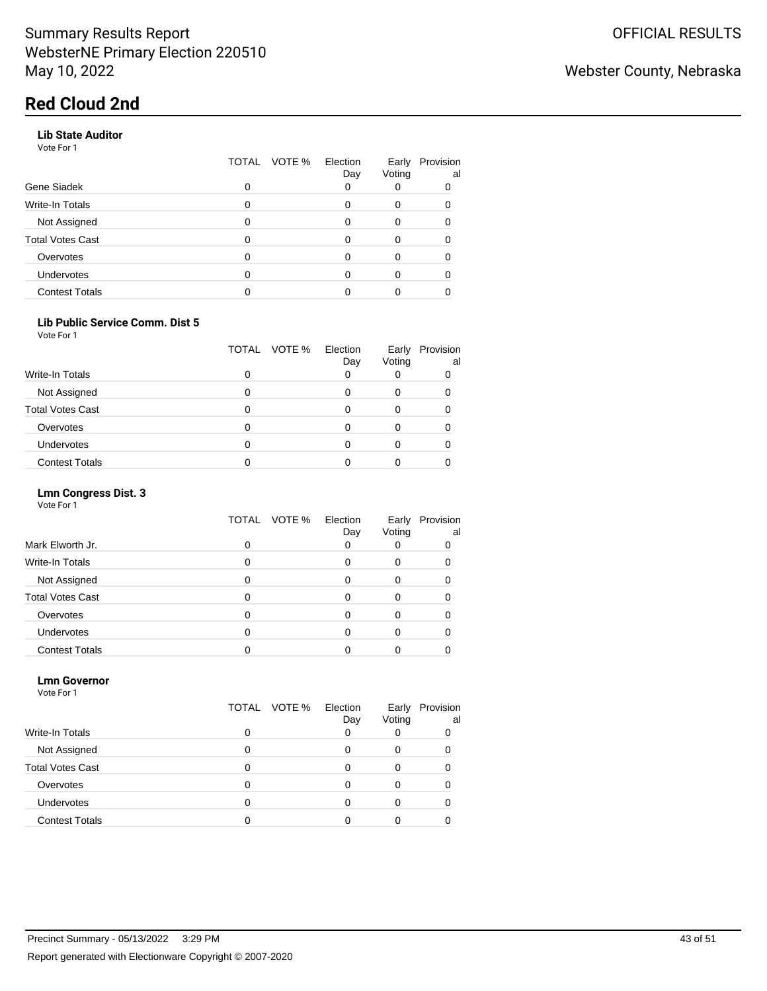### **Lib State Auditor**

Vote For 1

|                       | TOTAL | VOTE % | Election<br>Day | Early<br>Voting | Provision<br>al |
|-----------------------|-------|--------|-----------------|-----------------|-----------------|
| Gene Siadek           | 0     |        |                 |                 | 0               |
| Write-In Totals       |       |        |                 | O               | ი               |
| Not Assigned          |       |        |                 | O               |                 |
| Total Votes Cast      | ი     |        |                 | 0               |                 |
| Overvotes             |       |        |                 | O               |                 |
| Undervotes            |       |        |                 | Ω               |                 |
| <b>Contest Totals</b> |       |        |                 |                 |                 |

## **Lib Public Service Comm. Dist 5**

Vote For 1

|                       | TOTAL VOTE % | Election<br>Day | Early<br>Voting | Provision<br>al |
|-----------------------|--------------|-----------------|-----------------|-----------------|
| Write-In Totals       |              |                 |                 |                 |
| Not Assigned          |              |                 |                 |                 |
| Total Votes Cast      |              |                 | 0               |                 |
| Overvotes             |              |                 | Ω               |                 |
| Undervotes            |              |                 |                 |                 |
| <b>Contest Totals</b> |              |                 |                 |                 |

#### **Lmn Congress Dist. 3**

Vote For 1

|                         | TOTAL | VOTE % | Election<br>Day | Early<br>Voting | Provision<br>al |
|-------------------------|-------|--------|-----------------|-----------------|-----------------|
| Mark Elworth Jr.        |       |        |                 | O               |                 |
| <b>Write-In Totals</b>  |       |        | 0               | 0               |                 |
| Not Assigned            | O     |        | ი               | 0               |                 |
| <b>Total Votes Cast</b> |       |        | O               | ∩               |                 |
| Overvotes               |       |        | ი               | 0               |                 |
| Undervotes              |       |        | ი               | 0               |                 |
| <b>Contest Totals</b>   |       |        |                 |                 |                 |

#### **Lmn Governor** Vote For 1

|                         | TOTAL VOTE % | Election<br>Day | Early<br>Voting | Provision<br>al |
|-------------------------|--------------|-----------------|-----------------|-----------------|
| Write-In Totals         |              |                 |                 |                 |
| Not Assigned            |              | Ω               |                 |                 |
| <b>Total Votes Cast</b> |              |                 |                 |                 |
| Overvotes               |              |                 |                 |                 |
| Undervotes              |              |                 |                 |                 |
| <b>Contest Totals</b>   |              |                 |                 |                 |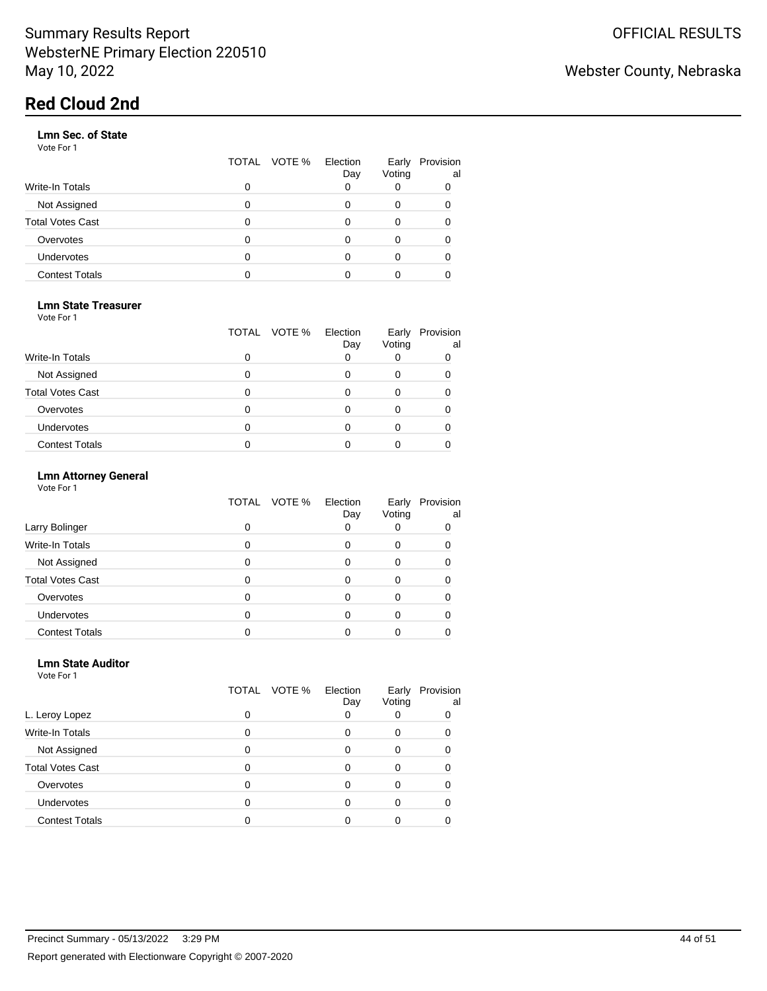## **Lmn Sec. of State**

Vote For 1

|                         | TOTAL VOTE % | Election<br>Day | Early<br>Voting | Provision<br>al |
|-------------------------|--------------|-----------------|-----------------|-----------------|
| <b>Write-In Totals</b>  |              | 0               |                 |                 |
| Not Assigned            |              |                 |                 |                 |
| <b>Total Votes Cast</b> |              |                 |                 |                 |
| Overvotes               |              |                 | 0               |                 |
| <b>Undervotes</b>       |              |                 |                 |                 |
| <b>Contest Totals</b>   |              |                 |                 |                 |

### **Lmn State Treasurer**

Vote For 1

|                         | TOTAL VOTE % | Election<br>Day | Early<br>Voting | Provision<br>al |
|-------------------------|--------------|-----------------|-----------------|-----------------|
| <b>Write-In Totals</b>  |              |                 |                 |                 |
| Not Assigned            |              |                 | 0               |                 |
| <b>Total Votes Cast</b> |              |                 | $\mathbf{I}$    |                 |
| Overvotes               |              |                 |                 |                 |
| <b>Undervotes</b>       |              |                 |                 |                 |
| <b>Contest Totals</b>   |              |                 |                 |                 |

#### **Lmn Attorney General**

| Vote For 1 |
|------------|
|------------|

|                         | TOTAL VOTE % | Election<br>Day | Early<br>Voting | Provision<br>al |
|-------------------------|--------------|-----------------|-----------------|-----------------|
| Larry Bolinger          | ი            |                 |                 |                 |
| <b>Write-In Totals</b>  | 0            |                 |                 |                 |
| Not Assigned            | ი            |                 | O               |                 |
| <b>Total Votes Cast</b> | 0            |                 | 0               |                 |
| Overvotes               | O            |                 | 0               |                 |
| Undervotes              | 0            |                 | 0               |                 |
| <b>Contest Totals</b>   |              |                 |                 |                 |

#### **Lmn State Auditor** Vote For 1

|                         |   | TOTAL VOTE % | Election<br>Day | Early<br>Voting | Provision<br>al |
|-------------------------|---|--------------|-----------------|-----------------|-----------------|
| L. Leroy Lopez          | 0 |              | 0               | 0               |                 |
| Write-In Totals         | O |              | 0               | $\Omega$        |                 |
| Not Assigned            | 0 |              | 0               | 0               |                 |
| <b>Total Votes Cast</b> | O |              | 0               | 0               |                 |
| Overvotes               | 0 |              | 0               | $\Omega$        |                 |
| Undervotes              | ი |              | ი               | $\Omega$        |                 |
| <b>Contest Totals</b>   |   |              |                 |                 |                 |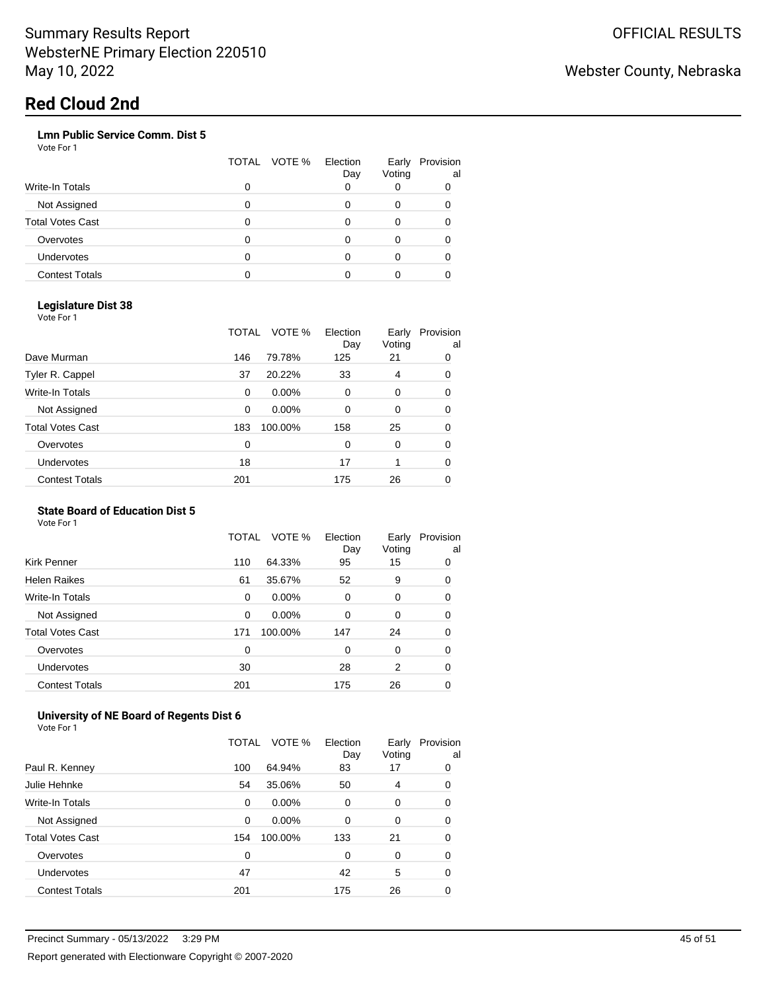## **Lmn Public Service Comm. Dist 5**

Vote For 1

|                         | TOTAL | VOTE % | Election<br>Day | Early<br>Voting | Provision<br>al |
|-------------------------|-------|--------|-----------------|-----------------|-----------------|
| <b>Write-In Totals</b>  | 0     |        | Ω               |                 |                 |
| Not Assigned            |       |        |                 | 0               |                 |
| <b>Total Votes Cast</b> |       |        |                 | 0               |                 |
| Overvotes               | Ω     |        |                 | 0               |                 |
| <b>Undervotes</b>       |       |        |                 | 0               |                 |
| <b>Contest Totals</b>   |       |        |                 |                 |                 |

#### **Legislature Dist 38**

Vote For 1

|                         | <b>TOTAL</b> | VOTE %  | Election<br>Day | Early<br>Voting | Provision<br>a |
|-------------------------|--------------|---------|-----------------|-----------------|----------------|
| Dave Murman             | 146          | 79.78%  | 125             | 21              | 0              |
| Tyler R. Cappel         | 37           | 20.22%  | 33              | 4               | 0              |
| Write-In Totals         | 0            | 0.00%   | 0               | 0               | 0              |
| Not Assigned            | 0            | 0.00%   | 0               | 0               | 0              |
| <b>Total Votes Cast</b> | 183          | 100.00% | 158             | 25              | 0              |
| Overvotes               | 0            |         | 0               | 0               | 0              |
| Undervotes              | 18           |         | 17              | 1               | 0              |
| <b>Contest Totals</b>   | 201          |         | 175             | 26              | 0              |
|                         |              |         |                 |                 |                |

# **State Board of Education Dist 5**

Vote For 1

|                         | TOTAL | VOTE %   | Election<br>Day | Early<br>Voting | Provision<br>al |
|-------------------------|-------|----------|-----------------|-----------------|-----------------|
| <b>Kirk Penner</b>      | 110   | 64.33%   | 95              | 15              | 0               |
| <b>Helen Raikes</b>     | 61    | 35.67%   | 52              | 9               | 0               |
| Write-In Totals         | 0     | $0.00\%$ | 0               | 0               | 0               |
| Not Assigned            | 0     | $0.00\%$ | 0               | 0               | 0               |
| <b>Total Votes Cast</b> | 171   | 100.00%  | 147             | 24              | 0               |
| Overvotes               | 0     |          | 0               | 0               | 0               |
| Undervotes              | 30    |          | 28              | 2               | 0               |
| <b>Contest Totals</b>   | 201   |          | 175             | 26              | 0               |

## **University of NE Board of Regents Dist 6**

|                       | TOTAL | VOTE %   | Election<br>Day | Early<br>Voting | Provision<br>al |
|-----------------------|-------|----------|-----------------|-----------------|-----------------|
| Paul R. Kenney        | 100   | 64.94%   | 83              | 17              | 0               |
| Julie Hehnke          | 54    | 35.06%   | 50              | 4               | 0               |
| Write-In Totals       | 0     | $0.00\%$ | $\Omega$        | 0               | 0               |
| Not Assigned          | 0     | 0.00%    | 0               | 0               | 0               |
| Total Votes Cast      | 154   | 100.00%  | 133             | 21              | 0               |
| Overvotes             | 0     |          | 0               | 0               | 0               |
| Undervotes            | 47    |          | 42              | 5               | 0               |
| <b>Contest Totals</b> | 201   |          | 175             | 26              | 0               |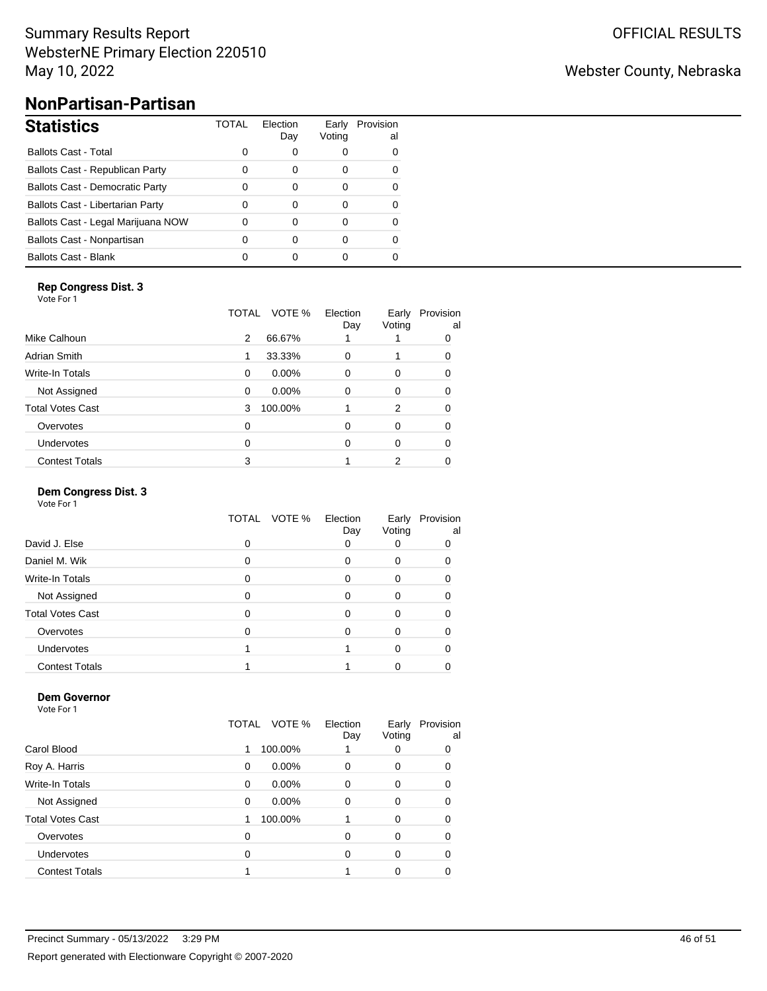# Summary Results Report WebsterNE Primary Election 220510 May 10, 2022

# Webster County, Nebraska

# **NonPartisan-Partisan**

| <b>Statistics</b>                      | TOTAL | Flection<br>Day | Earlv<br>Voting | Provision<br>al |  |
|----------------------------------------|-------|-----------------|-----------------|-----------------|--|
| <b>Ballots Cast - Total</b>            | 0     | 0               |                 |                 |  |
| Ballots Cast - Republican Party        | 0     | 0               | 0               |                 |  |
| <b>Ballots Cast - Democratic Party</b> | 0     | 0               | 0               | 0               |  |
| Ballots Cast - Libertarian Party       | 0     | 0               | 0               |                 |  |
| Ballots Cast - Legal Marijuana NOW     | 0     | 0               | 0               | 0               |  |
| Ballots Cast - Nonpartisan             | 0     | 0               | 0               |                 |  |
| <b>Ballots Cast - Blank</b>            |       | 0               |                 |                 |  |

## **Rep Congress Dist. 3**

| Vote For 1              |                 |                 |                 |                 |
|-------------------------|-----------------|-----------------|-----------------|-----------------|
|                         | VOTE %<br>TOTAL | Election<br>Day | Early<br>Voting | Provision<br>al |
| Mike Calhoun            | 66.67%<br>2     |                 |                 |                 |
| Adrian Smith            | 33.33%<br>1     | 0               |                 | 0               |
| Write-In Totals         | 0.00%<br>0      | 0               | $\Omega$        | 0               |
| Not Assigned            | 0.00%<br>0      | 0               | $\Omega$        | 0               |
| <b>Total Votes Cast</b> | 100.00%<br>3    |                 | 2               | 0               |
| Overvotes               | 0               | 0               | 0               | 0               |
| Undervotes              | 0               | 0               | $\Omega$        | 0               |
| <b>Contest Totals</b>   | 3               |                 | 2               |                 |

### **Dem Congress Dist. 3**

Vote For 1

|                         | VOTE %<br>TOTAL | Election<br>Day | Early<br>Voting | Provision<br>al |
|-------------------------|-----------------|-----------------|-----------------|-----------------|
| David J. Else           | 0               |                 |                 |                 |
| Daniel M. Wik           | 0               | 0               | 0               |                 |
| Write-In Totals         | O               | 0               | 0               |                 |
| Not Assigned            | O               | 0               | 0               |                 |
| <b>Total Votes Cast</b> | O               | 0               | 0               |                 |
| Overvotes               | O               | ი               | 0               |                 |
| Undervotes              |                 |                 | $\Omega$        |                 |
| <b>Contest Totals</b>   |                 |                 |                 |                 |

### **Dem Governor**

|                         | VOTE %<br>TOTAL | Election<br>Day | Early<br>Voting | Provision<br>al |
|-------------------------|-----------------|-----------------|-----------------|-----------------|
| Carol Blood             | 100.00%<br>1    |                 |                 |                 |
| Roy A. Harris           | 0.00%<br>0      | 0               | 0               | O               |
| Write-In Totals         | 0.00%<br>0      | 0               | $\Omega$        | 0               |
| Not Assigned            | $0.00\%$<br>0   | $\Omega$        | $\Omega$        |                 |
| <b>Total Votes Cast</b> | 100.00%         |                 | $\Omega$        |                 |
| Overvotes               | 0               | 0               | $\Omega$        |                 |
| Undervotes              | 0               | ი               | $\Omega$        |                 |
| <b>Contest Totals</b>   |                 |                 |                 |                 |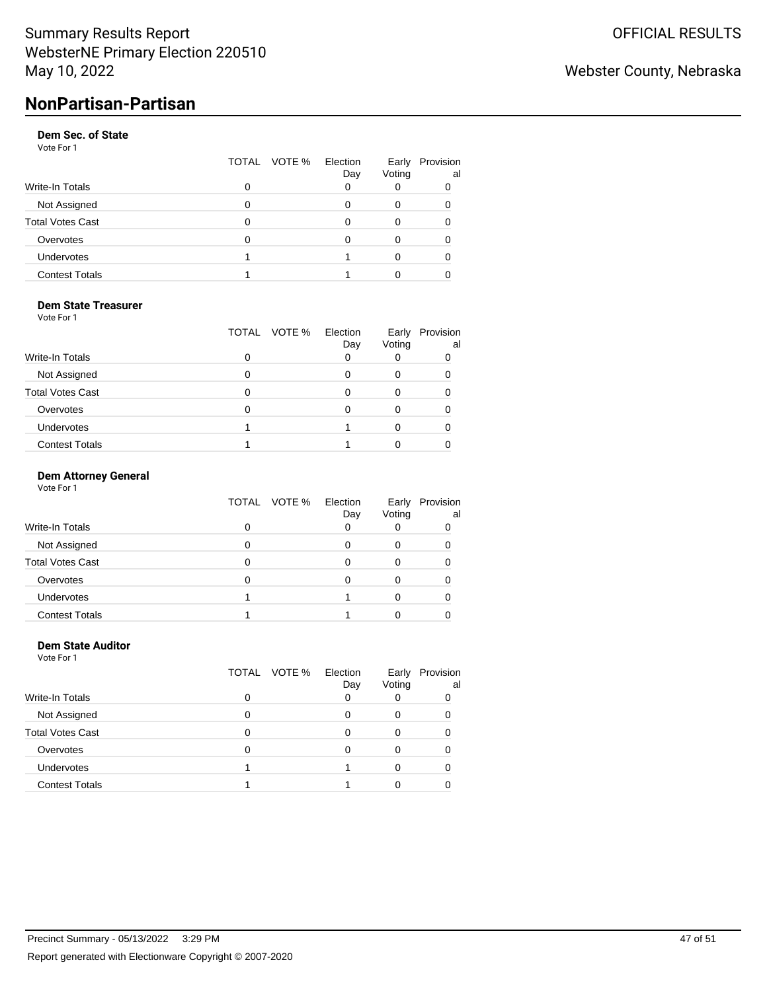# **Dem Sec. of State**

Vote For 1

|                         | TOTAL | VOTE % | Election<br>Day | Early<br>Voting | Provision<br>al |
|-------------------------|-------|--------|-----------------|-----------------|-----------------|
| Write-In Totals         |       |        | 0               |                 |                 |
| Not Assigned            |       |        |                 |                 |                 |
| <b>Total Votes Cast</b> |       |        |                 |                 |                 |
| Overvotes               |       |        |                 |                 |                 |
| <b>Undervotes</b>       |       |        |                 |                 |                 |
| <b>Contest Totals</b>   |       |        |                 |                 |                 |

### **Dem State Treasurer**

Vote For 1

|                         | TOTAL VOTE % | Election<br>Day | Early<br>Voting | Provision<br>al |
|-------------------------|--------------|-----------------|-----------------|-----------------|
| <b>Write-In Totals</b>  |              |                 |                 |                 |
| Not Assigned            |              |                 |                 |                 |
| <b>Total Votes Cast</b> |              |                 |                 |                 |
| Overvotes               |              | O               |                 |                 |
| <b>Undervotes</b>       |              |                 |                 |                 |
| <b>Contest Totals</b>   |              |                 |                 |                 |

#### **Dem Attorney General**

Vote For 1

|                         |   | TOTAL VOTE % | Election<br>Day | Early<br>Voting | Provision<br>al |
|-------------------------|---|--------------|-----------------|-----------------|-----------------|
| Write-In Totals         | ი |              |                 |                 |                 |
| Not Assigned            | 0 |              | O               |                 |                 |
| <b>Total Votes Cast</b> | 0 |              |                 |                 |                 |
| Overvotes               | O |              | O               |                 |                 |
| <b>Undervotes</b>       |   |              |                 |                 |                 |
| <b>Contest Totals</b>   |   |              |                 |                 |                 |

#### **Dem State Auditor** Vote For 1

|                         | TOTAL VOTE % | Election<br>Day | Early<br>Voting | Provision<br>al |
|-------------------------|--------------|-----------------|-----------------|-----------------|
| <b>Write-In Totals</b>  | 0            |                 |                 | 0               |
| Not Assigned            |              |                 | O               |                 |
| <b>Total Votes Cast</b> |              |                 |                 |                 |
| Overvotes               |              |                 | O               |                 |
| <b>Undervotes</b>       |              |                 | ∩               |                 |
| <b>Contest Totals</b>   |              |                 |                 |                 |
|                         |              |                 |                 |                 |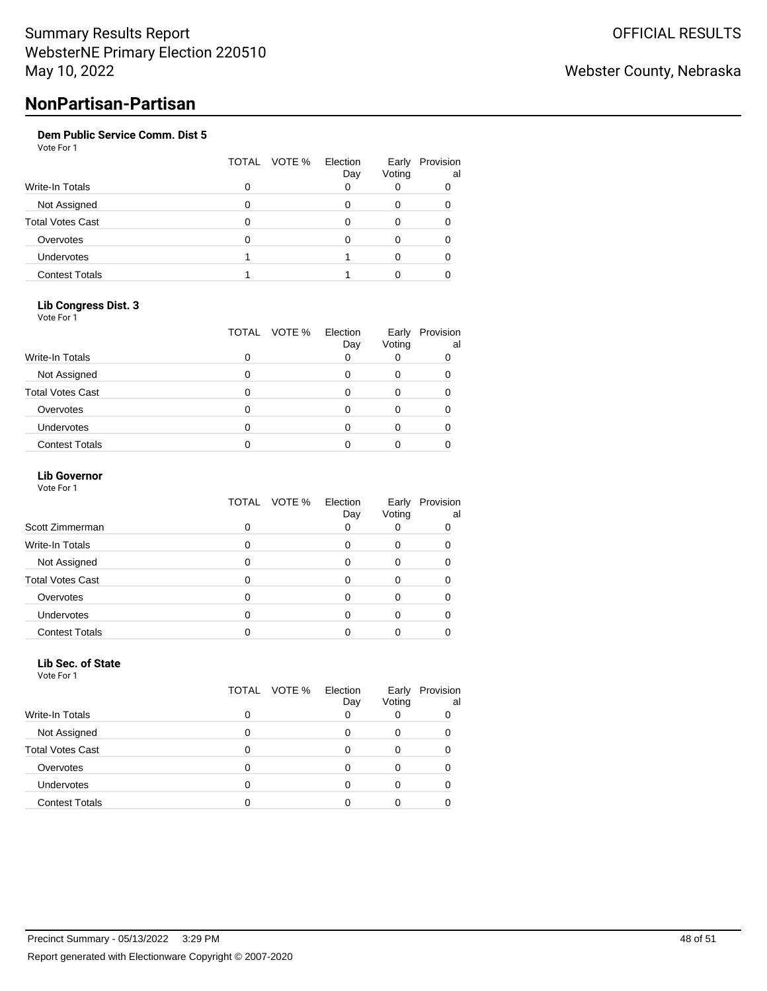## **Dem Public Service Comm. Dist 5**

Vote For 1

|                         | TOTAL VOTE % | Election<br>Day | Early<br>Voting | Provision<br>al |
|-------------------------|--------------|-----------------|-----------------|-----------------|
| <b>Write-In Totals</b>  |              | 0               |                 |                 |
| Not Assigned            |              |                 |                 |                 |
| <b>Total Votes Cast</b> |              |                 |                 |                 |
| Overvotes               |              |                 | 0               |                 |
| <b>Undervotes</b>       |              |                 |                 |                 |
| <b>Contest Totals</b>   |              |                 |                 |                 |

## **Lib Congress Dist. 3**

Vote For 1

|                         | TOTAL VOTE % | Election<br>Day | Early<br>Voting | Provision<br>al |
|-------------------------|--------------|-----------------|-----------------|-----------------|
| Write-In Totals         | O            |                 |                 | 0               |
| Not Assigned            | 0            |                 | Ω               |                 |
| <b>Total Votes Cast</b> |              | U               |                 |                 |
| Overvotes               |              |                 |                 |                 |
| <b>Undervotes</b>       |              |                 |                 |                 |
| <b>Contest Totals</b>   |              |                 |                 |                 |

#### **Lib Governor** Vote For 1

|                         | TOTAL VOTE % | Election<br>Day | Early<br>Voting | Provision<br>al |
|-------------------------|--------------|-----------------|-----------------|-----------------|
| Scott Zimmerman         |              |                 |                 |                 |
| Write-In Totals         |              | Ω               | ŋ               |                 |
| Not Assigned            | O            | ი               |                 |                 |
| <b>Total Votes Cast</b> |              | ∩               |                 |                 |
| Overvotes               |              |                 |                 |                 |
| Undervotes              |              |                 |                 |                 |
| <b>Contest Totals</b>   |              |                 |                 |                 |

#### **Lib Sec. of State** Vote For 1

| Write-In Totals         | 0 | TOTAL VOTE % | Election<br>Day | Early<br>Voting | Provision<br>al<br>0 |
|-------------------------|---|--------------|-----------------|-----------------|----------------------|
| Not Assigned            | ი |              | O               |                 |                      |
|                         |   |              |                 |                 |                      |
| <b>Total Votes Cast</b> | O |              |                 |                 |                      |
| Overvotes               | ი |              |                 |                 |                      |
| <b>Undervotes</b>       | O |              |                 |                 |                      |
| <b>Contest Totals</b>   |   |              |                 |                 |                      |

# Webster County, Nebraska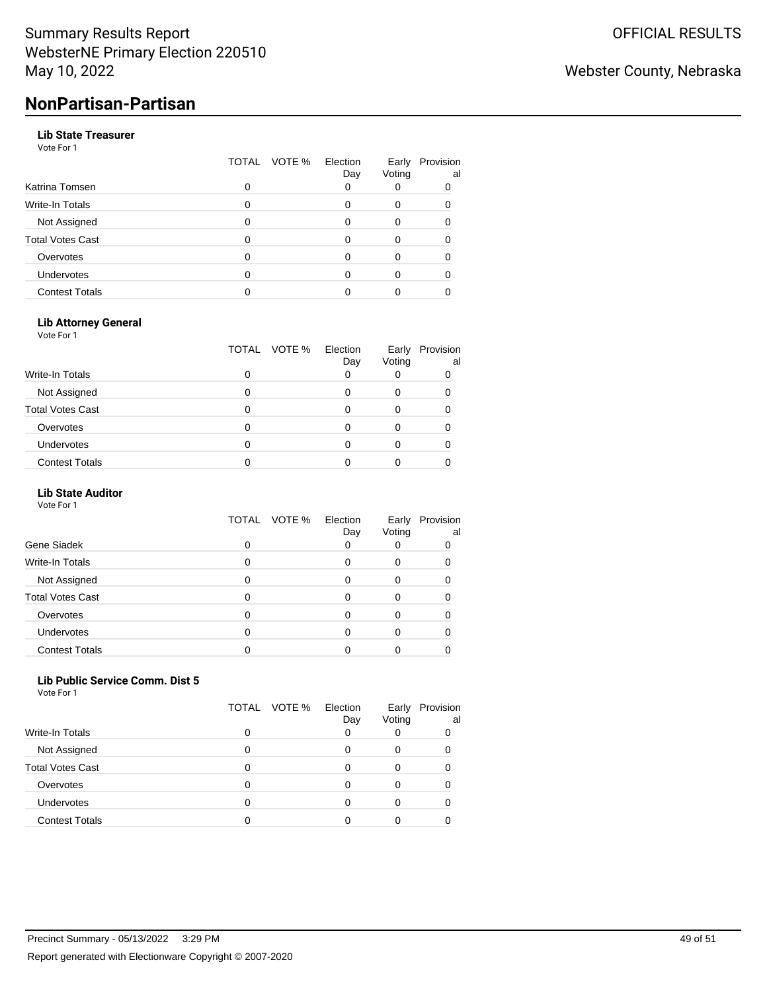## **Lib State Treasurer**

Vote For 1

|                         | TOTAL | VOTE % | Election<br>Day | Early<br>Voting | Provision<br>al |
|-------------------------|-------|--------|-----------------|-----------------|-----------------|
| Katrina Tomsen          | 0     |        |                 | O               | 0               |
| Write-In Totals         | 0     |        |                 | 0               |                 |
| Not Assigned            | 0     |        |                 | O               |                 |
| <b>Total Votes Cast</b> | 0     |        |                 | 0               |                 |
| Overvotes               | ი     |        |                 |                 |                 |
| <b>Undervotes</b>       | 0     |        |                 | Ω               |                 |
| <b>Contest Totals</b>   |       |        |                 |                 |                 |

### **Lib Attorney General**

Vote For 1

|                         | TOTAL VOTE % | Election<br>Day | Early<br>Voting | Provision<br>al |
|-------------------------|--------------|-----------------|-----------------|-----------------|
| Write-In Totals         |              |                 |                 |                 |
| Not Assigned            |              |                 |                 |                 |
| <b>Total Votes Cast</b> |              |                 |                 |                 |
| Overvotes               |              |                 |                 |                 |
| Undervotes              |              |                 |                 |                 |
| <b>Contest Totals</b>   |              |                 |                 |                 |

#### **Lib State Auditor**

Vote For 1

|                         | TOTAL VOTE % | Election<br>Day | Early<br>Voting | Provision<br>al |
|-------------------------|--------------|-----------------|-----------------|-----------------|
| Gene Siadek             |              |                 |                 |                 |
| Write-In Totals         |              | 0               | 0               |                 |
| Not Assigned            |              | 0               | 0               |                 |
| <b>Total Votes Cast</b> |              | ∩               | 0               |                 |
| Overvotes               |              | $\Omega$        | 0               |                 |
| Undervotes              |              |                 | 0               |                 |
| <b>Contest Totals</b>   |              |                 |                 |                 |
|                         |              |                 |                 |                 |

#### **Lib Public Service Comm. Dist 5** Vote For 1

|                         | TOTAL VOTE % | Election | Early  | Provision |
|-------------------------|--------------|----------|--------|-----------|
| Write-In Totals         | Ω            | Day      | Voting | al        |
| Not Assigned            |              |          |        |           |
| <b>Total Votes Cast</b> |              |          |        |           |
| Overvotes               |              |          |        |           |
| <b>Undervotes</b>       |              |          |        |           |
| <b>Contest Totals</b>   |              |          |        |           |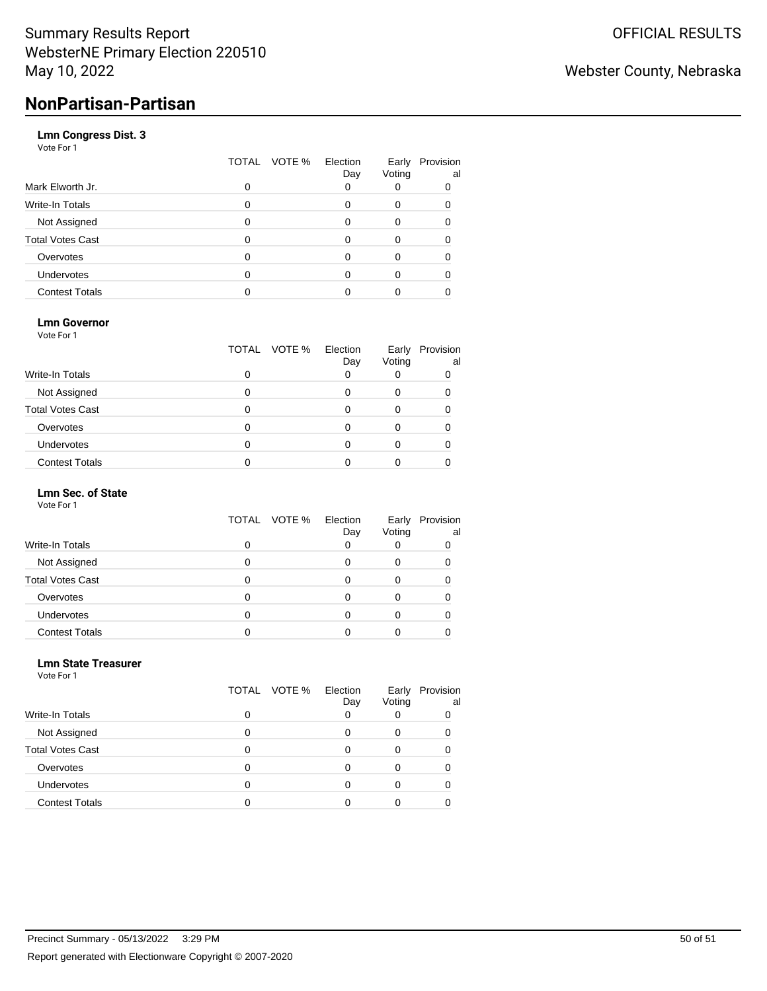# **Lmn Congress Dist. 3**

Vote For 1

|                         | TOTAL | Election<br>VOTE %<br>Day | Early<br>Voting | Provision<br>al |
|-------------------------|-------|---------------------------|-----------------|-----------------|
| Mark Elworth Jr.        | 0     | 0                         |                 | 0               |
| Write-In Totals         | 0     | ∩                         |                 |                 |
| Not Assigned            | 0     |                           |                 |                 |
| <b>Total Votes Cast</b> | 0     |                           |                 |                 |
| Overvotes               | ი     |                           |                 |                 |
| <b>Undervotes</b>       | 0     |                           |                 |                 |
| <b>Contest Totals</b>   |       |                           |                 |                 |

### **Lmn Governor**

Vote For 1

|                         | TOTAL VOTE % | Election<br>Day | Early<br>Voting | Provision<br>al |
|-------------------------|--------------|-----------------|-----------------|-----------------|
| <b>Write-In Totals</b>  |              |                 |                 |                 |
| Not Assigned            |              |                 |                 |                 |
| <b>Total Votes Cast</b> |              |                 |                 |                 |
| Overvotes               |              |                 |                 |                 |
| Undervotes              |              |                 |                 |                 |
| <b>Contest Totals</b>   |              |                 |                 |                 |

#### **Lmn Sec. of State**

Vote For 1

|                         | TOTAL VOTE % | Election<br>Day | Early<br>Voting | Provision<br>al |
|-------------------------|--------------|-----------------|-----------------|-----------------|
| <b>Write-In Totals</b>  |              |                 |                 |                 |
| Not Assigned            |              |                 |                 |                 |
| <b>Total Votes Cast</b> | 0            |                 |                 |                 |
| Overvotes               |              |                 |                 |                 |
| <b>Undervotes</b>       |              |                 |                 |                 |
| <b>Contest Totals</b>   |              |                 |                 |                 |

#### **Lmn State Treasurer** Vote For 1

|                         | TOTAL VOTE % | Election<br>Day | Early<br>Voting | Provision<br>al |
|-------------------------|--------------|-----------------|-----------------|-----------------|
| Write-In Totals         | ი            |                 |                 | 0               |
| Not Assigned            | 0            |                 |                 |                 |
| <b>Total Votes Cast</b> | ი            | 0               | 0               |                 |
| Overvotes               | ი            |                 |                 |                 |
| <b>Undervotes</b>       | O            |                 |                 |                 |
| <b>Contest Totals</b>   |              |                 |                 |                 |
|                         |              |                 |                 |                 |